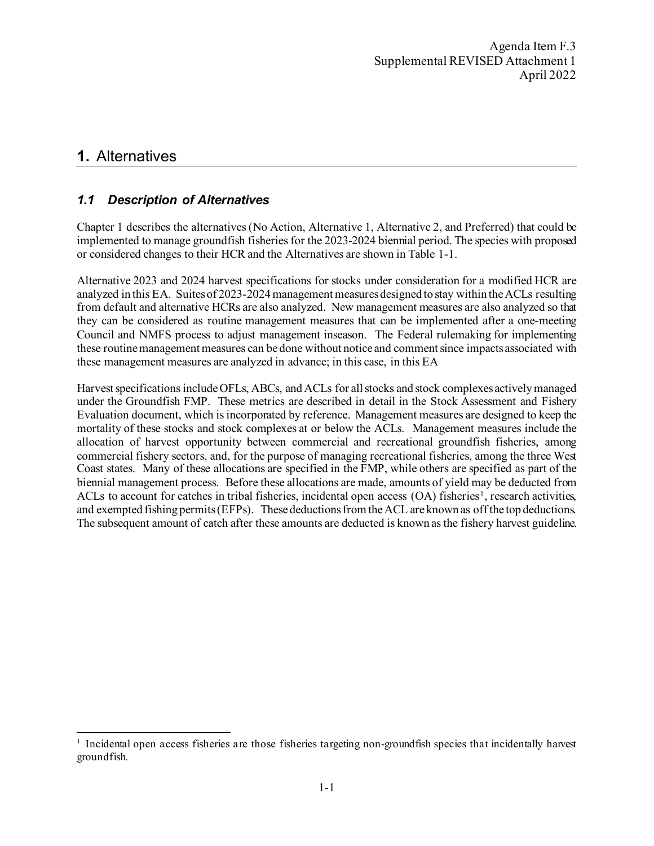# <span id="page-0-0"></span>**1.** Alternatives

# *1.1 Description of Alternatives*

Chapter [1](#page-0-0) describes the alternatives (No Action, Alternative 1, Alternative 2, and Preferred) that could be implemented to manage groundfish fisheries for the 2023-2024 biennial period. The species with proposed or considered changes to their HCR and the Alternatives are shown in [Table 1-1.](#page-1-0)

Alternative 2023 and 2024 harvest specifications for stocks under consideration for a modified HCR are analyzed in this EA. Suites of 2023-2024management measures designed to stay within the ACLs resulting from default and alternative HCRs are also analyzed. New management measures are also analyzed so that they can be considered as routine management measures that can be implemented after a one-meeting Council and NMFS process to adjust management inseason. The Federal rulemaking for implementing these routine management measures can be done without notice and comment since impacts associated with these management measures are analyzed in advance; in this case, in this EA

Harvest specifications include OFLs, ABCs, and ACLs for all stocks and stock complexes actively managed under the Groundfish FMP. These metrics are described in detail in the Stock Assessment and Fishery Evaluation document, which is incorporated by reference. Management measures are designed to keep the mortality of these stocks and stock complexes at or below the ACLs. Management measures include the allocation of harvest opportunity between commercial and recreational groundfish fisheries, among commercial fishery sectors, and, for the purpose of managing recreational fisheries, among the three West Coast states. Many of these allocations are specified in the FMP, while others are specified as part of the biennial management process. Before these allocations are made, amounts of yield may be deducted from ACLs to account for catches in tribal fisheries, incidental open access  $(OA)$  fisheries<sup>[1](#page-0-1)</sup>, research activities, and exempted fishing permits (EFPs). These deductions from the ACL are known as off the top deductions. The subsequent amount of catch after these amounts are deducted is known as the fishery harvest guideline.

<span id="page-0-1"></span> $1$  Incidental open access fisheries are those fisheries targeting non-ground fish species that incidentally harvest groundfish.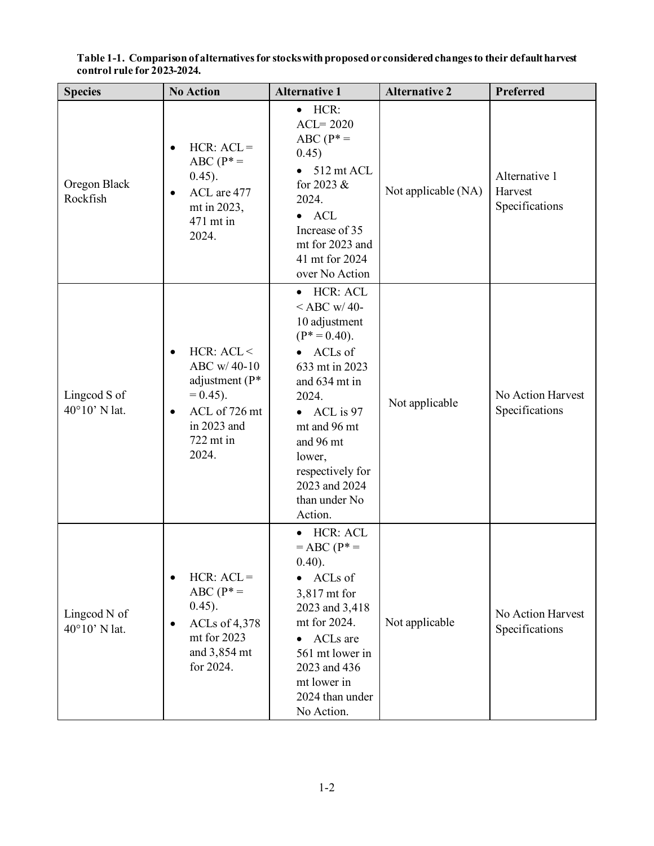| <b>Species</b>                | <b>No Action</b>                                                                                                                               | <b>Alternative 1</b>                                                                                                                                                                                                                                                                     | <b>Alternative 2</b> | Preferred                                  |
|-------------------------------|------------------------------------------------------------------------------------------------------------------------------------------------|------------------------------------------------------------------------------------------------------------------------------------------------------------------------------------------------------------------------------------------------------------------------------------------|----------------------|--------------------------------------------|
| Oregon Black<br>Rockfish      | $HCR: ACL =$<br>$\bullet$<br>$ABC(P^* =$<br>$0.45$ ).<br>ACL are 477<br>٠<br>mt in 2023,<br>471 mt in<br>2024.                                 | $\bullet$ HCR:<br>$ACL = 2020$<br>ABC ( $P^* =$<br>0.45)<br>512 mt ACL<br>for 2023 &<br>2024.<br><b>ACL</b><br>$\bullet$<br>Increase of 35<br>mt for 2023 and<br>41 mt for 2024<br>over No Action                                                                                        | Not applicable (NA)  | Alternative 1<br>Harvest<br>Specifications |
| Lingcod S of<br>40°10' N lat. | HCR: ACL <<br>$\bullet$<br>ABC w/40-10<br>adjustment $(P^*)$<br>$= 0.45$ ).<br>ACL of 726 mt<br>$\bullet$<br>in 2023 and<br>722 mt in<br>2024. | <b>HCR: ACL</b><br>$\bullet$<br>$<$ ABC w/40-<br>10 adjustment<br>$(P^* = 0.40)$ .<br>ACLs of<br>$\bullet$<br>633 mt in 2023<br>and 634 mt in<br>2024.<br>ACL is 97<br>$\bullet$<br>mt and 96 mt<br>and 96 mt<br>lower,<br>respectively for<br>2023 and 2024<br>than under No<br>Action. | Not applicable       | No Action Harvest<br>Specifications        |
| Lingcod N of<br>40°10' N lat. | $HCR: ACL =$<br>$ABC (P^* =$<br>$0.45$ ).<br>ACLs of 4,378<br>mt for 2023<br>and 3,854 mt<br>for 2024.                                         | HCR: ACL<br>$\bullet$<br>$= ABC (P^* =$<br>(0.40).<br>ACLs of<br>3,817 mt for<br>2023 and 3,418<br>mt for 2024.<br>ACLs are<br>561 mt lower in<br>2023 and 436<br>mt lower in<br>2024 than under<br>No Action.                                                                           | Not applicable       | No Action Harvest<br>Specifications        |

<span id="page-1-0"></span>**Table 1-1. Comparison of alternatives for stocks with proposed or considered changes to their default harvest control rule for 2023-2024.**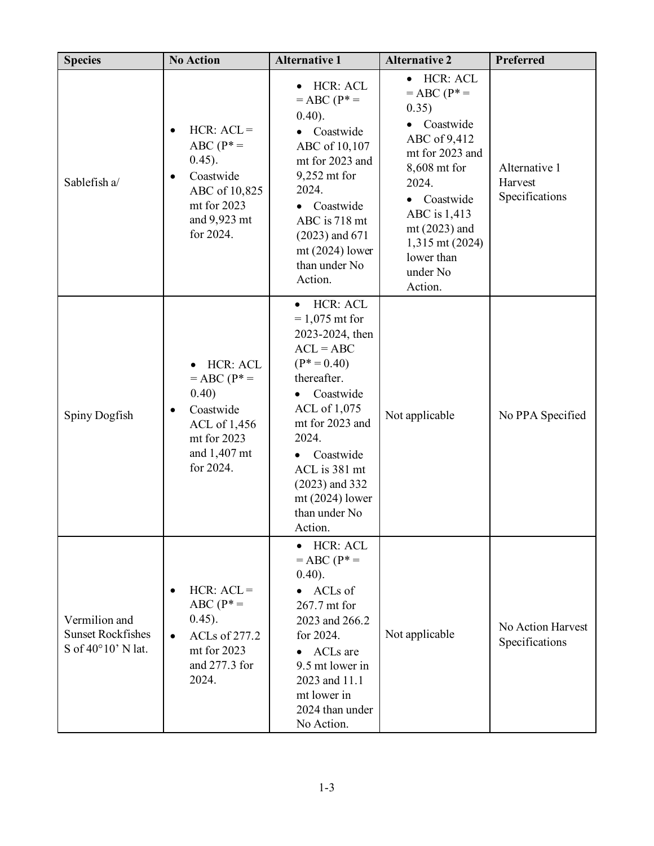| <b>Species</b>                                                  | <b>No Action</b>                                                                                                                           | <b>Alternative 1</b>                                                                                                                                                                                                                                                                 | <b>Alternative 2</b>                                                                                                                                                                                                                                              | Preferred                                  |
|-----------------------------------------------------------------|--------------------------------------------------------------------------------------------------------------------------------------------|--------------------------------------------------------------------------------------------------------------------------------------------------------------------------------------------------------------------------------------------------------------------------------------|-------------------------------------------------------------------------------------------------------------------------------------------------------------------------------------------------------------------------------------------------------------------|--------------------------------------------|
| Sablefish a/                                                    | $HCR: ACL =$<br>$\bullet$<br>$ABC(P^* =$<br>(0.45).<br>Coastwide<br>$\bullet$<br>ABC of 10,825<br>mt for 2023<br>and 9,923 mt<br>for 2024. | HCR: ACL<br>$= ABC (P^* =$<br>(0.40).<br>Coastwide<br>ABC of 10,107<br>mt for 2023 and<br>9,252 mt for<br>2024.<br>Coastwide<br>$\bullet$<br>ABC is 718 mt<br>$(2023)$ and 671<br>$mt(2024)$ lower<br>than under No<br>Action.                                                       | <b>HCR: ACL</b><br>$\bullet$<br>$= ABC (P^* =$<br>0.35)<br>Coastwide<br>$\bullet$<br>ABC of 9,412<br>mt for 2023 and<br>8,608 mt for<br>2024.<br>Coastwide<br>$\bullet$<br>ABC is 1,413<br>$mt(2023)$ and<br>1,315 mt (2024)<br>lower than<br>under No<br>Action. | Alternative 1<br>Harvest<br>Specifications |
| Spiny Dogfish                                                   | HCR: ACL<br>$= ABC (P^* =$<br>0.40)<br>Coastwide<br>$\bullet$<br>ACL of 1,456<br>mt for 2023<br>and 1,407 mt<br>for 2024.                  | HCR: ACL<br>$\bullet$<br>$= 1,075$ mt for<br>2023-2024, then<br>$ACL = ABC$<br>$(P^* = 0.40)$<br>thereafter.<br>Coastwide<br>ACL of 1,075<br>mt for 2023 and<br>2024.<br>Coastwide<br>$\bullet$<br>ACL is 381 mt<br>$(2023)$ and 332<br>$mt(2024)$ lower<br>than under No<br>Action. | Not applicable                                                                                                                                                                                                                                                    | No PPA Specified                           |
| Vermilion and<br><b>Sunset Rockfishes</b><br>S of 40°10' N lat. | $HCR: ACL =$<br>$ABC(P^* =$<br>(0.45).<br>ACLs of 277.2<br>$\bullet$<br>mt for 2023<br>and 277.3 for<br>2024.                              | <b>HCR: ACL</b><br>$\bullet$<br>$= ABC (P^* =$<br>(0.40).<br>ACLs of<br>$\bullet$<br>267.7 mt for<br>2023 and 266.2<br>for 2024.<br>ACLs are<br>9.5 mt lower in<br>2023 and 11.1<br>mt lower in<br>2024 than under<br>No Action.                                                     | Not applicable                                                                                                                                                                                                                                                    | No Action Harvest<br>Specifications        |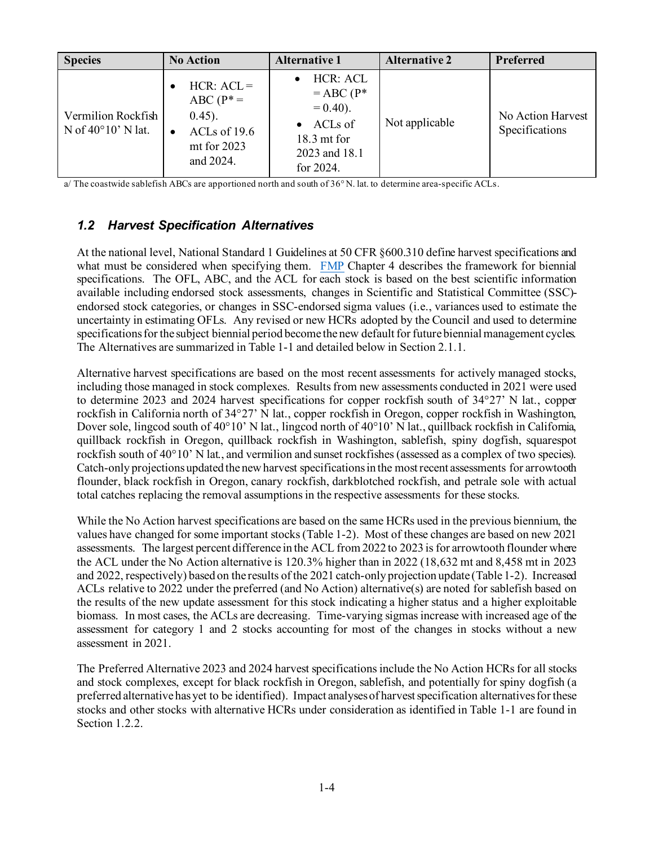| <b>Species</b>                                    | <b>No Action</b>                                                                                     | <b>Alternative 1</b>                                                                                           | <b>Alternative 2</b> | Preferred                           |
|---------------------------------------------------|------------------------------------------------------------------------------------------------------|----------------------------------------------------------------------------------------------------------------|----------------------|-------------------------------------|
| Vermilion Rockfish<br>N of $40^{\circ}10'$ N lat. | $HCR: ACL =$<br>$ABC(P^* =$<br>$(0.45)$ .<br>ACLs of $19.6$<br>$\bullet$<br>mt for 2023<br>and 2024. | HCR: ACL<br>$= ABC (P^*$<br>$= 0.40$ ).<br>ACLs of<br>$\bullet$<br>$18.3$ mt for<br>2023 and 18.1<br>for 2024. | Not applicable       | No Action Harvest<br>Specifications |

a/ The coastwide sablefish ABCs are apportioned north and south of 36° N. lat. to determine area-specific ACLs.

## *1.2 Harvest Specification Alternatives*

At the national level, National Standard 1 Guidelines at 50 CFR §600.310 define harvest specifications and what must be considered when specifying them. [FMP](https://pcouncil.org/documents/2016/08/pacific-coast-groundfish-fishery-management-plan.pdf/) Chapter 4 describes the framework for biennial specifications. The OFL, ABC, and the ACL for each stock is based on the best scientific information available including endorsed stock assessments, changes in Scientific and Statistical Committee (SSC) endorsed stock categories, or changes in SSC-endorsed sigma values (i.e., variances used to estimate the uncertainty in estimating OFLs. Any revised or new HCRs adopted by the Council and used to determine specifications for the subject biennial period become the new default for future biennial management cycles. The Alternatives are summarized i[n Table 1-1](#page-1-0) and detailed below in Section [2.1.1.](#page-33-0)

Alternative harvest specifications are based on the most recent assessments for actively managed stocks, including those managed in stock complexes. Results from new assessments conducted in 2021 were used to determine 2023 and 2024 harvest specifications for copper rockfish south of 34°27' N lat., copper rockfish in California north of 34°27' N lat., copper rockfish in Oregon, copper rockfish in Washington, Dover sole, lingcod south of 40°10' N lat., lingcod north of 40°10' N lat., quillback rockfish in California, quillback rockfish in Oregon, quillback rockfish in Washington, sablefish, spiny dogfish, squarespot rockfish south of 40°10' N lat., and vermilion and sunset rockfishes (assessed as a complex of two species). Catch-only projections updated the new harvest specifications in the most recent assessments for arrowtooth flounder, black rockfish in Oregon, canary rockfish, darkblotched rockfish, and petrale sole with actual total catches replacing the removal assumptions in the respective assessments for these stocks.

While the No Action harvest specifications are based on the same HCRs used in the previous biennium, the values have changed for some important stocks [\(Table 1-2\)](#page-4-0). Most of these changes are based on new 2021 assessments. The largest percent difference in the ACL from 2022 to 2023 is for arrowtooth flounder where the ACL under the No Action alternative is 120.3% higher than in 2022 (18,632 mt and 8,458 mt in 2023 and 2022, respectively) based on the results of the 2021 catch-only projection update [\(Table 1-2\)](#page-4-0). Increased ACLs relative to 2022 under the preferred (and No Action) alternative(s) are noted for sablefish based on the results of the new update assessment for this stock indicating a higher status and a higher exploitable biomass. In most cases, the ACLs are decreasing. Time-varying sigmas increase with increased age of the assessment for category 1 and 2 stocks accounting for most of the changes in stocks without a new assessment in 2021.

The Preferred Alternative 2023 and 2024 harvest specifications include the No Action HCRs for all stocks and stock complexes, except for black rockfish in Oregon, sablefish, and potentially for spiny dogfish (a preferred alternative has yet to be identified). Impact analyses of harvest specification alternatives for these stocks and other stocks with alternative HCRs under consideration as identified in [Table 1-1](#page-1-0) are found in Sectio[n 1.2.2.](#page-26-0)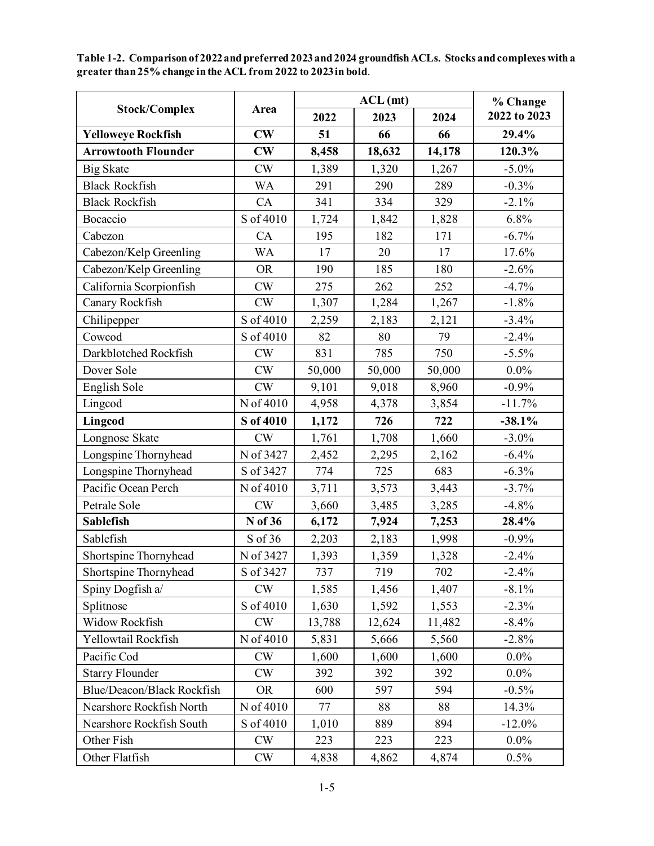|                            |           |        | $ACL$ (mt) |        | % Change     |
|----------------------------|-----------|--------|------------|--------|--------------|
| <b>Stock/Complex</b>       | Area      | 2022   | 2023       | 2024   | 2022 to 2023 |
| <b>Yelloweye Rockfish</b>  | CW        | 51     | 66         | 66     | 29.4%        |
| <b>Arrowtooth Flounder</b> | CW        | 8,458  | 18,632     | 14,178 | 120.3%       |
| <b>Big Skate</b>           | CW        | 1,389  | 1,320      | 1,267  | $-5.0\%$     |
| <b>Black Rockfish</b>      | <b>WA</b> | 291    | 290        | 289    | $-0.3%$      |
| <b>Black Rockfish</b>      | CA        | 341    | 334        | 329    | $-2.1%$      |
| Bocaccio                   | S of 4010 | 1,724  | 1,842      | 1,828  | 6.8%         |
| Cabezon                    | CA        | 195    | 182        | 171    | $-6.7\%$     |
| Cabezon/Kelp Greenling     | <b>WA</b> | 17     | 20         | 17     | 17.6%        |
| Cabezon/Kelp Greenling     | <b>OR</b> | 190    | 185        | 180    | $-2.6%$      |
| California Scorpionfish    | CW        | 275    | 262        | 252    | $-4.7%$      |
| Canary Rockfish            | CW        | 1,307  | 1,284      | 1,267  | $-1.8%$      |
| Chilipepper                | S of 4010 | 2,259  | 2,183      | 2,121  | $-3.4%$      |
| Cowcod                     | S of 4010 | 82     | 80         | 79     | $-2.4%$      |
| Darkblotched Rockfish      | CW        | 831    | 785        | 750    | $-5.5%$      |
| Dover Sole                 | CW        | 50,000 | 50,000     | 50,000 | $0.0\%$      |
| English Sole               | CW        | 9,101  | 9,018      | 8,960  | $-0.9%$      |
| Lingcod                    | N of 4010 | 4,958  | 4,378      | 3,854  | $-11.7%$     |
| Lingcod                    | S of 4010 | 1,172  | 726        | 722    | $-38.1%$     |
| Longnose Skate             | CW        | 1,761  | 1,708      | 1,660  | $-3.0\%$     |
| Longspine Thornyhead       | N of 3427 | 2,452  | 2,295      | 2,162  | $-6.4%$      |
| Longspine Thornyhead       | S of 3427 | 774    | 725        | 683    | $-6.3%$      |
| Pacific Ocean Perch        | N of 4010 | 3,711  | 3,573      | 3,443  | $-3.7%$      |
| Petrale Sole               | CW        | 3,660  | 3,485      | 3,285  | $-4.8%$      |
| <b>Sablefish</b>           | N of 36   | 6,172  | 7,924      | 7,253  | 28.4%        |
| Sablefish                  | S of 36   | 2,203  | 2,183      | 1,998  | $-0.9%$      |
| Shortspine Thornyhead      | N of 3427 | 1,393  | 1,359      | 1,328  | $-2.4%$      |
| Shortspine Thornyhead      | S of 3427 | 737    | 719        | 702    | $-2.4\%$     |
| Spiny Dogfish a/           | CW        | 1,585  | 1,456      | 1,407  | $-8.1%$      |
| Splitnose                  | S of 4010 | 1,630  | 1,592      | 1,553  | $-2.3%$      |
| Widow Rockfish             | CW        | 13,788 | 12,624     | 11,482 | $-8.4%$      |
| Yellowtail Rockfish        | N of 4010 | 5,831  | 5,666      | 5,560  | $-2.8%$      |
| Pacific Cod                | <b>CW</b> | 1,600  | 1,600      | 1,600  | $0.0\%$      |
| <b>Starry Flounder</b>     | <b>CW</b> | 392    | 392        | 392    | $0.0\%$      |
| Blue/Deacon/Black Rockfish | <b>OR</b> | 600    | 597        | 594    | $-0.5%$      |
| Nearshore Rockfish North   | N of 4010 | 77     | 88         | 88     | 14.3%        |
| Nearshore Rockfish South   | S of 4010 | 1,010  | 889        | 894    | $-12.0%$     |
| Other Fish                 | <b>CW</b> | 223    | 223        | 223    | $0.0\%$      |
| Other Flatfish             | <b>CW</b> | 4,838  | 4,862      | 4,874  | 0.5%         |

<span id="page-4-0"></span>**Table 1-2. Comparison of 2022and preferred 2023and 2024 groundfish ACLs. Stocks and complexes with a greater than 25% change in the ACL from 2022 to 2023in bold**.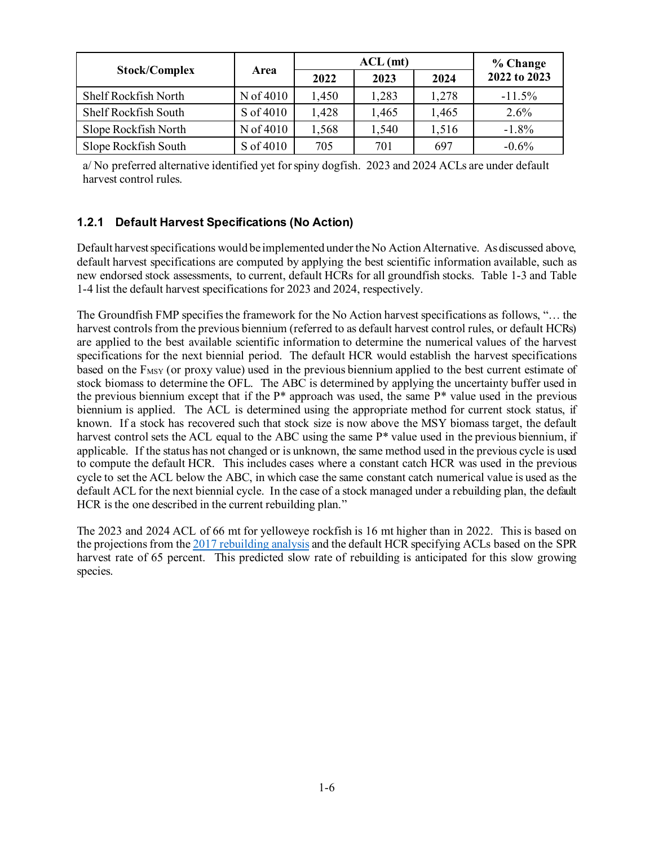|                      |           |       | % Change |       |              |
|----------------------|-----------|-------|----------|-------|--------------|
| <b>Stock/Complex</b> | Area      | 2022  | 2023     | 2024  | 2022 to 2023 |
| Shelf Rockfish North | N of 4010 | 1,450 | 1,283    | 1,278 | $-11.5%$     |
| Shelf Rockfish South | S of 4010 | 1,428 | 1,465    | 1,465 | 2.6%         |
| Slope Rockfish North | N of 4010 | 1,568 | 1,540    | 1,516 | $-1.8\%$     |
| Slope Rockfish South | S of 4010 | 705   | 701      | 697   | $-0.6\%$     |

a/ No preferred alternative identified yet for spiny dogfish. 2023 and 2024 ACLs are under default harvest control rules.

## **1.2.1 Default Harvest Specifications (No Action)**

Default harvest specifications would be implemented under the No Action Alternative. As discussed above, default harvest specifications are computed by applying the best scientific information available, such as new endorsed stock assessments, to current, default HCRs for all groundfish stocks. [Table 1-3](#page-6-0) and [Table](#page-16-0)  [1-4](#page-16-0) list the default harvest specifications for 2023 and 2024, respectively.

The Groundfish FMP specifies the framework for the No Action harvest specifications as follows, "… the harvest controls from the previous biennium (referred to as default harvest control rules, or default HCRs) are applied to the best available scientific information to determine the numerical values of the harvest specifications for the next biennial period. The default HCR would establish the harvest specifications based on the  $F_{MSY}$  (or proxy value) used in the previous biennium applied to the best current estimate of stock biomass to determine the OFL. The ABC is determined by applying the uncertainty buffer used in the previous biennium except that if the P\* approach was used, the same P\* value used in the previous biennium is applied. The ACL is determined using the appropriate method for current stock status, if known. If a stock has recovered such that stock size is now above the MSY biomass target, the default harvest control sets the ACL equal to the ABC using the same P<sup>\*</sup> value used in the previous biennium, if applicable. If the status has not changed or is unknown, the same method used in the previous cycle is used to compute the default HCR. This includes cases where a constant catch HCR was used in the previous cycle to set the ACL below the ABC, in which case the same constant catch numerical value is used as the default ACL for the next biennial cycle. In the case of a stock managed under a rebuilding plan, the default HCR is the one described in the current rebuilding plan."

The 2023 and 2024 ACL of 66 mt for yelloweye rockfish is 16 mt higher than in 2022. This is based on the projections from th[e 2017 rebuilding analysis](https://www.pcouncil.org/documents/2017/01/rebuilding-analysis-for-yelloweye-rockfish-sebastes-ruberrimus-based-on-the-2017-stock-assessment.pdf/) and the default HCR specifying ACLs based on the SPR harvest rate of 65 percent. This predicted slow rate of rebuilding is anticipated for this slow growing species.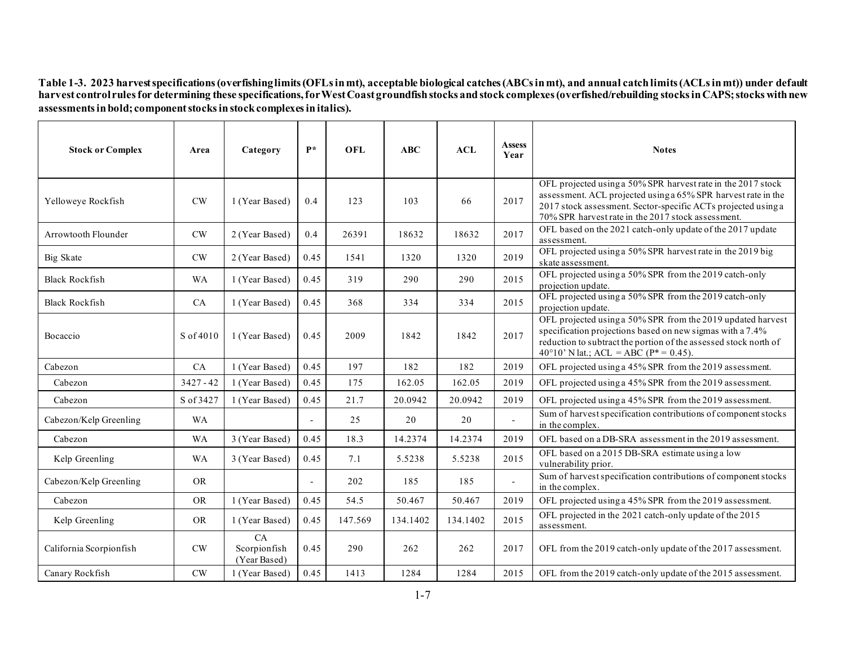**Table 1-3. 2023 harvest specifications (overfishing limits (OFLs in mt), acceptable biological catches (ABCs in mt), and annual catch limits (ACLs in mt)) under default harvest control rules for determining these specifications, for West Coast groundfish stocks and stock complexes (overfished/rebuilding stocks in CAPS; stocks with new assessments in bold; component stocks in stock complexes in italics).**

<span id="page-6-0"></span>

| <b>Stock or Complex</b> | Area          | Category                           | $P*$ | OFL     | ABC      | <b>ACL</b> | <b>Assess</b><br>Year | <b>Notes</b>                                                                                                                                                                                                                                         |
|-------------------------|---------------|------------------------------------|------|---------|----------|------------|-----------------------|------------------------------------------------------------------------------------------------------------------------------------------------------------------------------------------------------------------------------------------------------|
| Yelloweye Rockfish      | $\mathrm{CW}$ | 1 (Year Based)                     | 0.4  | 123     | 103      | 66         | 2017                  | OFL projected using a 50% SPR harvest rate in the 2017 stock<br>assessment. ACL projected using a 65% SPR harvest rate in the<br>2017 stock assessment. Sector-specific ACTs projected using a<br>70% SPR harvest rate in the 2017 stock assessment. |
| Arrowtooth Flounder     | $\mathrm{CW}$ | 2 (Year Based)                     | 0.4  | 26391   | 18632    | 18632      | 2017                  | OFL based on the 2021 catch-only update of the 2017 update<br>assessment.                                                                                                                                                                            |
| Big Skate               | $\mathrm{CW}$ | 2 (Year Based)                     | 0.45 | 1541    | 1320     | 1320       | 2019                  | OFL projected using a 50% SPR harvest rate in the 2019 big<br>skate assessment.                                                                                                                                                                      |
| <b>Black Rockfish</b>   | <b>WA</b>     | 1 (Year Based)                     | 0.45 | 319     | 290      | 290        | 2015                  | OFL projected using a 50% SPR from the 2019 catch-only<br>projection update.                                                                                                                                                                         |
| <b>Black Rockfish</b>   | CA            | 1 (Year Based)                     | 0.45 | 368     | 334      | 334        | 2015                  | OFL projected using a 50% SPR from the 2019 catch-only<br>projection update.                                                                                                                                                                         |
| Bocaccio                | S of 4010     | 1 (Year Based)                     | 0.45 | 2009    | 1842     | 1842       | 2017                  | OFL projected using a 50% SPR from the 2019 updated harvest<br>specification projections based on new sigmas with a 7.4%<br>reduction to subtract the portion of the assessed stock north of<br>40°10' N lat.; ACL = ABC ( $P^*$ = 0.45).            |
| Cabezon                 | CA            | 1 (Year Based)                     | 0.45 | 197     | 182      | 182        | 2019                  | OFL projected using a 45% SPR from the 2019 assessment.                                                                                                                                                                                              |
| Cabezon                 | $3427 - 42$   | 1 (Year Based)                     | 0.45 | 175     | 162.05   | 162.05     | 2019                  | OFL projected using a 45% SPR from the 2019 assessment.                                                                                                                                                                                              |
| Cabezon                 | S of 3427     | 1 (Year Based)                     | 0.45 | 21.7    | 20.0942  | 20.0942    | 2019                  | OFL projected using a 45% SPR from the 2019 assessment.                                                                                                                                                                                              |
| Cabezon/Kelp Greenling  | <b>WA</b>     |                                    |      | 25      | 20       | 20         | $\mathbf{r}$          | Sum of harvest specification contributions of component stocks<br>in the complex.                                                                                                                                                                    |
| Cabezon                 | <b>WA</b>     | 3 (Year Based)                     | 0.45 | 18.3    | 14.2374  | 14.2374    | 2019                  | OFL based on a DB-SRA assessment in the 2019 assessment.                                                                                                                                                                                             |
| Kelp Greenling          | <b>WA</b>     | 3 (Year Based)                     | 0.45 | 7.1     | 5.5238   | 5.5238     | 2015                  | OFL based on a 2015 DB-SRA estimate using a low<br>vulnerability prior.                                                                                                                                                                              |
| Cabezon/Kelp Greenling  | <b>OR</b>     |                                    |      | 202     | 185      | 185        | $\mathbf{r}$          | Sum of harvest specification contributions of component stocks<br>in the complex.                                                                                                                                                                    |
| Cabezon                 | <b>OR</b>     | 1 (Year Based)                     | 0.45 | 54.5    | 50.467   | 50.467     | 2019                  | OFL projected using a 45% SPR from the 2019 assessment.                                                                                                                                                                                              |
| Kelp Greenling          | <b>OR</b>     | 1 (Year Based)                     | 0.45 | 147.569 | 134.1402 | 134.1402   | 2015                  | OFL projected in the 2021 catch-only update of the 2015<br>assessment.                                                                                                                                                                               |
| California Scorpionfish | CW            | CA<br>Scorpionfish<br>(Year Based) | 0.45 | 290     | 262      | 262        | 2017                  | OFL from the 2019 catch-only update of the 2017 assessment.                                                                                                                                                                                          |
| Canary Rockfish         | CW            | 1 (Year Based)                     | 0.45 | 1413    | 1284     | 1284       | 2015                  | OFL from the 2019 catch-only update of the 2015 assessment.                                                                                                                                                                                          |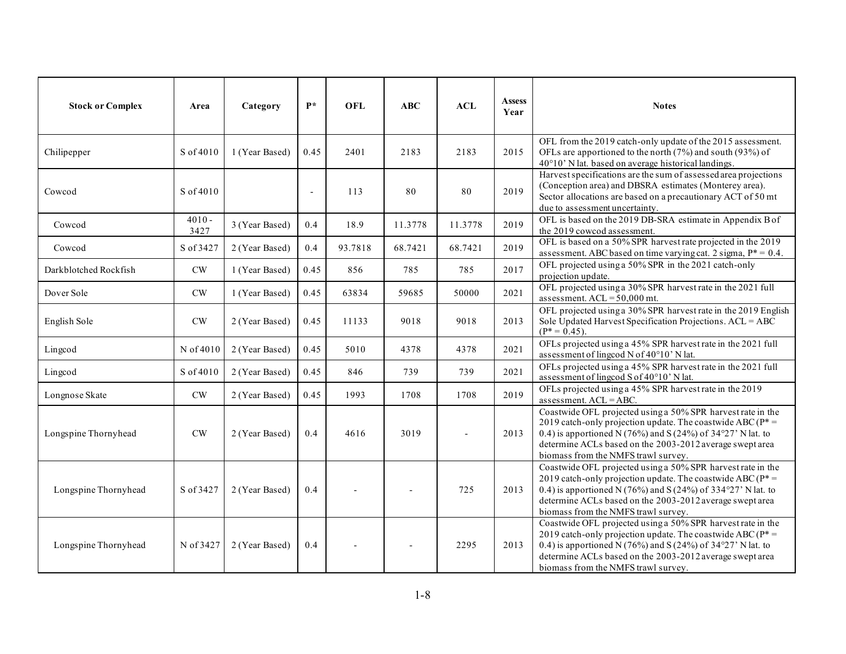| <b>Stock or Complex</b> | Area             | Category       | $P*$           | <b>OFL</b> | ABC     | ACL     | <b>Assess</b><br>Year | <b>Notes</b>                                                                                                                                                                                                                                                                                     |
|-------------------------|------------------|----------------|----------------|------------|---------|---------|-----------------------|--------------------------------------------------------------------------------------------------------------------------------------------------------------------------------------------------------------------------------------------------------------------------------------------------|
| Chilipepper             | S of 4010        | 1 (Year Based) | 0.45           | 2401       | 2183    | 2183    | 2015                  | OFL from the 2019 catch-only update of the 2015 assessment.<br>OFLs are apportioned to the north (7%) and south (93%) of<br>40°10' N lat. based on average historical landings.                                                                                                                  |
| Cowcod                  | S of 4010        |                | $\blacksquare$ | 113        | 80      | 80      | 2019                  | Harvest specifications are the sum of assessed area projections<br>(Conception area) and DBSRA estimates (Monterey area).<br>Sector allocations are based on a precautionary ACT of 50 mt<br>due to assessment uncertainty.                                                                      |
| Cowcod                  | $4010 -$<br>3427 | 3 (Year Based) | 0.4            | 18.9       | 11.3778 | 11.3778 | 2019                  | OFL is based on the 2019 DB-SRA estimate in Appendix B of<br>the 2019 cowcod assessment.                                                                                                                                                                                                         |
| Cowcod                  | S of 3427        | 2 (Year Based) | 0.4            | 93.7818    | 68.7421 | 68.7421 | 2019                  | OFL is based on a 50% SPR harvest rate projected in the 2019<br>assessment. ABC based on time varying cat. 2 sigma, $P^* = 0.4$ .                                                                                                                                                                |
| Darkblotched Rockfish   | $\mathrm{CW}$    | 1 (Year Based) | 0.45           | 856        | 785     | 785     | 2017                  | OFL projected using a 50% SPR in the 2021 catch-only<br>projection update.                                                                                                                                                                                                                       |
| Dover Sole              | CW               | 1 (Year Based) | 0.45           | 63834      | 59685   | 50000   | 2021                  | OFL projected using a 30% SPR harvest rate in the 2021 full<br>assessment. $ACL = 50,000$ mt.                                                                                                                                                                                                    |
| English Sole            | $\mathrm{CW}$    | 2 (Year Based) | 0.45           | 11133      | 9018    | 9018    | 2013                  | OFL projected using a 30% SPR harvest rate in the 2019 English<br>Sole Updated Harvest Specification Projections. ACL = ABC<br>$(P^* = 0.45)$ .                                                                                                                                                  |
| Lingcod                 | N of 4010        | 2 (Year Based) | 0.45           | 5010       | 4378    | 4378    | 2021                  | OFLs projected using a 45% SPR harvest rate in the 2021 full<br>assessment of lingcod N of 40°10' N lat.                                                                                                                                                                                         |
| Lingcod                 | S of 4010        | 2 (Year Based) | 0.45           | 846        | 739     | 739     | 2021                  | OFLs projected using a 45% SPR harvest rate in the 2021 full<br>assessment of lingcod S of 40°10' N lat.                                                                                                                                                                                         |
| Longnose Skate          | $\mathrm{CW}$    | 2 (Year Based) | 0.45           | 1993       | 1708    | 1708    | 2019                  | OFLs projected using a 45% SPR harvest rate in the 2019<br>assessment. ACL = ABC.                                                                                                                                                                                                                |
| Longspine Thornyhead    | CW               | 2 (Year Based) | 0.4            | 4616       | 3019    |         | 2013                  | Coastwide OFL projected using a 50% SPR harvest rate in the<br>2019 catch-only projection update. The coastwide ABC ( $P^*$ =<br>0.4) is apportioned N (76%) and S (24%) of 34°27' N lat. to<br>determine ACLs based on the 2003-2012 average swept area<br>biomass from the NMFS trawl survey.  |
| Longspine Thornyhead    | S of 3427        | 2 (Year Based) | 0.4            |            |         | 725     | 2013                  | Coastwide OFL projected using a 50% SPR harvest rate in the<br>2019 catch-only projection update. The coastwide ABC ( $P^*$ =<br>0.4) is apportioned N (76%) and S (24%) of 334°27' N lat. to<br>determine ACLs based on the 2003-2012 average swept area<br>biomass from the NMFS trawl survey. |
| Longspine Thornyhead    | N of 3427        | 2 (Year Based) | 0.4            |            |         | 2295    | 2013                  | Coastwide OFL projected using a 50% SPR harvest rate in the<br>2019 catch-only projection update. The coastwide ABC ( $P^*$ =<br>0.4) is apportioned N (76%) and S (24%) of 34°27' N lat. to<br>determine ACLs based on the 2003-2012 average swept area<br>biomass from the NMFS trawl survey.  |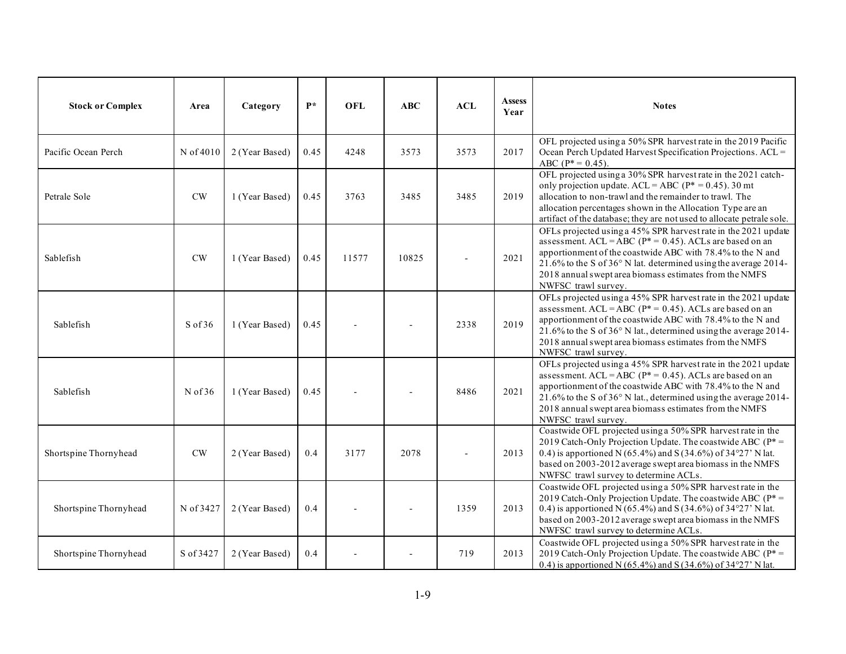| <b>Stock or Complex</b> | Area      | Category       | $\mathbf{P}^*$ | <b>OFL</b> | ABC   | <b>ACL</b> | <b>Assess</b><br>Year | <b>Notes</b>                                                                                                                                                                                                                                                                                                                                     |
|-------------------------|-----------|----------------|----------------|------------|-------|------------|-----------------------|--------------------------------------------------------------------------------------------------------------------------------------------------------------------------------------------------------------------------------------------------------------------------------------------------------------------------------------------------|
| Pacific Ocean Perch     | N of 4010 | 2 (Year Based) | 0.45           | 4248       | 3573  | 3573       | 2017                  | OFL projected using a 50% SPR harvest rate in the 2019 Pacific<br>Ocean Perch Updated Harvest Specification Projections. ACL =<br>ABC ( $P^* = 0.45$ ).                                                                                                                                                                                          |
| Petrale Sole            | CW        | 1 (Year Based) | 0.45           | 3763       | 3485  | 3485       | 2019                  | OFL projected using a 30% SPR harvest rate in the 2021 catch-<br>only projection update. ACL = ABC ( $P^* = 0.45$ ). 30 mt<br>allocation to non-trawl and the remainder to trawl. The<br>allocation percentages shown in the Allocation Type are an<br>artifact of the database; they are not used to allocate petrale sole.                     |
| Sablefish               | CW        | 1 (Year Based) | 0.45           | 11577      | 10825 |            | 2021                  | OFLs projected using a 45% SPR harvest rate in the 2021 update<br>assessment. ACL = ABC ( $P^*$ = 0.45). ACLs are based on an<br>apportionment of the coastwide ABC with 78.4% to the N and<br>21.6% to the S of 36° N lat. determined using the average 2014-<br>2018 annual swept area biomass estimates from the NMFS<br>NWFSC trawl survey.  |
| Sablefish               | $S$ of 36 | 1 (Year Based) | 0.45           |            |       | 2338       | 2019                  | OFLs projected using a 45% SPR harvest rate in the 2021 update<br>assessment. ACL = ABC ( $P^*$ = 0.45). ACLs are based on an<br>apportionment of the coastwide ABC with 78.4% to the N and<br>21.6% to the S of 36° N lat., determined using the average 2014-<br>2018 annual swept area biomass estimates from the NMFS<br>NWFSC trawl survey. |
| Sablefish               | $N$ of 36 | 1 (Year Based) | 0.45           |            |       | 8486       | 2021                  | OFLs projected using a 45% SPR harvest rate in the 2021 update<br>assessment. ACL = ABC ( $P^*$ = 0.45). ACLs are based on an<br>apportionment of the coastwide ABC with 78.4% to the N and<br>21.6% to the S of 36° N lat., determined using the average 2014-<br>2018 annual swept area biomass estimates from the NMFS<br>NWFSC trawl survey. |
| Shortspine Thornyhead   | CW        | 2 (Year Based) | 0.4            | 3177       | 2078  |            | 2013                  | Coastwide OFL projected using a 50% SPR harvest rate in the<br>2019 Catch-Only Projection Update. The coastwide ABC ( $P^*$ =<br>0.4) is apportioned N (65.4%) and S (34.6%) of 34°27' N lat.<br>based on 2003-2012 average swept area biomass in the NMFS<br>NWFSC trawl survey to determine ACLs.                                              |
| Shortspine Thornyhead   | N of 3427 | 2 (Year Based) | 0.4            |            |       | 1359       | 2013                  | Coastwide OFL projected using a 50% SPR harvest rate in the<br>2019 Catch-Only Projection Update. The coastwide ABC ( $P^*$ =<br>0.4) is apportioned N (65.4%) and S (34.6%) of 34°27' N lat.<br>based on 2003-2012 average swept area biomass in the NMFS<br>NWFSC trawl survey to determine ACLs.                                              |
| Shortspine Thornyhead   | S of 3427 | 2 (Year Based) | 0.4            |            |       | 719        | 2013                  | Coastwide OFL projected using a 50% SPR harvest rate in the<br>2019 Catch-Only Projection Update. The coastwide ABC (P*=<br>0.4) is apportioned N (65.4%) and S (34.6%) of 34°27' N lat.                                                                                                                                                         |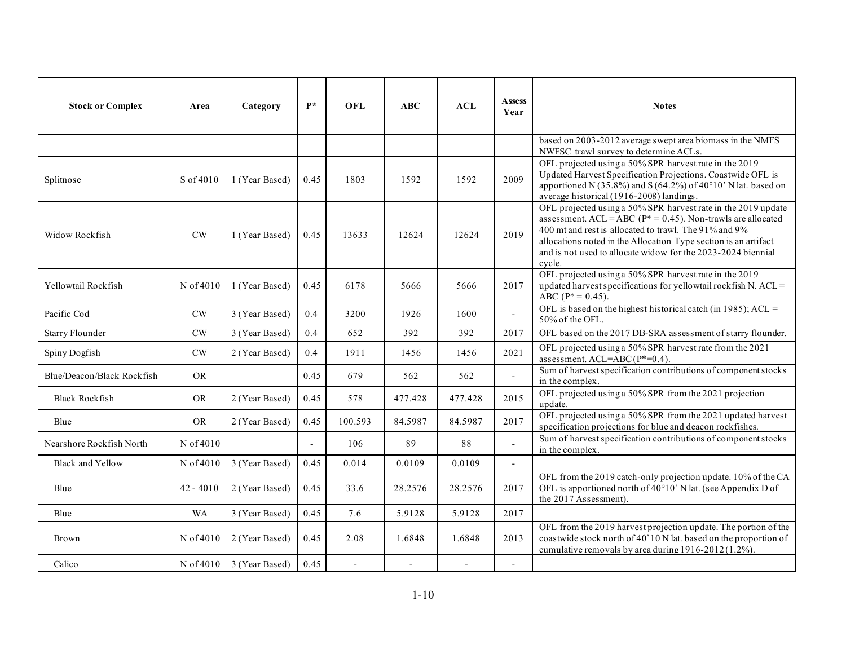| <b>Stock or Complex</b>    | Area          | Category       | $P*$           | OFL     | ABC     | ACL     | <b>Assess</b><br>Year    | <b>Notes</b>                                                                                                                                                                                                                                                                                                                           |
|----------------------------|---------------|----------------|----------------|---------|---------|---------|--------------------------|----------------------------------------------------------------------------------------------------------------------------------------------------------------------------------------------------------------------------------------------------------------------------------------------------------------------------------------|
|                            |               |                |                |         |         |         |                          | based on 2003-2012 average swept area biomass in the NMFS<br>NWFSC trawl survey to determine ACLs.                                                                                                                                                                                                                                     |
| Splitnose                  | S of 4010     | 1 (Year Based) | 0.45           | 1803    | 1592    | 1592    | 2009                     | OFL projected using a 50% SPR harvest rate in the 2019<br>Updated Harvest Specification Projections. Coastwide OFL is<br>apportioned N (35.8%) and S (64.2%) of 40°10' N lat. based on<br>average historical (1916-2008) landings.                                                                                                     |
| Widow Rockfish             | CW            | 1 (Year Based) | 0.45           | 13633   | 12624   | 12624   | 2019                     | OFL projected using a 50% SPR harvest rate in the 2019 update<br>assessment. ACL = ABC ( $P^*$ = 0.45). Non-trawls are allocated<br>400 mt and rest is allocated to trawl. The 91% and 9%<br>allocations noted in the Allocation Type section is an artifact<br>and is not used to allocate widow for the 2023-2024 biennial<br>cvcle. |
| Yellowtail Rockfish        | N of 4010     | 1 (Year Based) | 0.45           | 6178    | 5666    | 5666    | 2017                     | OFL projected using a 50% SPR harvest rate in the 2019<br>updated harvest specifications for yellowtail rockfish N. ACL =<br>ABC ( $P^* = 0.45$ ).                                                                                                                                                                                     |
| Pacific Cod                | CW            | 3 (Year Based) | 0.4            | 3200    | 1926    | 1600    | $\overline{a}$           | OFL is based on the highest historical catch (in 1985); ACL =<br>50% of the OFL.                                                                                                                                                                                                                                                       |
| <b>Starry Flounder</b>     | CW            | 3 (Year Based) | 0.4            | 652     | 392     | 392     | 2017                     | OFL based on the 2017 DB-SRA assessment of starry flounder.                                                                                                                                                                                                                                                                            |
| Spiny Dogfish              | $\mathrm{CW}$ | 2 (Year Based) | 0.4            | 1911    | 1456    | 1456    | 2021                     | OFL projected using a 50% SPR harvest rate from the 2021<br>assessment. ACL=ABC (P*=0.4).                                                                                                                                                                                                                                              |
| Blue/Deacon/Black Rockfish | <b>OR</b>     |                | 0.45           | 679     | 562     | 562     | $\mathcal{L}$            | Sum of harvest specification contributions of component stocks<br>in the complex.                                                                                                                                                                                                                                                      |
| <b>Black Rockfish</b>      | <b>OR</b>     | 2 (Year Based) | 0.45           | 578     | 477.428 | 477.428 | 2015                     | OFL projected using a 50% SPR from the 2021 projection<br>update.                                                                                                                                                                                                                                                                      |
| Blue                       | <b>OR</b>     | 2 (Year Based) | 0.45           | 100.593 | 84.5987 | 84.5987 | 2017                     | OFL projected using a 50% SPR from the 2021 updated harvest<br>specification projections for blue and deacon rockfishes.                                                                                                                                                                                                               |
| Nearshore Rockfish North   | N of 4010     |                | $\overline{a}$ | 106     | 89      | 88      |                          | Sum of harvest specification contributions of component stocks<br>in the complex.                                                                                                                                                                                                                                                      |
| <b>Black and Yellow</b>    | N of 4010     | 3 (Year Based) | 0.45           | 0.014   | 0.0109  | 0.0109  | $\sim$                   |                                                                                                                                                                                                                                                                                                                                        |
| Blue                       | $42 - 4010$   | 2 (Year Based) | 0.45           | 33.6    | 28.2576 | 28.2576 | 2017                     | OFL from the 2019 catch-only projection update. 10% of the CA<br>OFL is apportioned north of 40°10' N lat. (see Appendix D of<br>the 2017 Assessment).                                                                                                                                                                                 |
| Blue                       | <b>WA</b>     | 3 (Year Based) | 0.45           | 7.6     | 5.9128  | 5.9128  | 2017                     |                                                                                                                                                                                                                                                                                                                                        |
| Brown                      | N of 4010     | 2 (Year Based) | 0.45           | 2.08    | 1.6848  | 1.6848  | 2013                     | OFL from the 2019 harvest projection update. The portion of the<br>coastwide stock north of 40'10 N lat. based on the proportion of<br>cumulative removals by area during 1916-2012 (1.2%).                                                                                                                                            |
| Calico                     | N of 4010     | 3 (Year Based) | 0.45           | $\sim$  |         |         | $\overline{\phantom{a}}$ |                                                                                                                                                                                                                                                                                                                                        |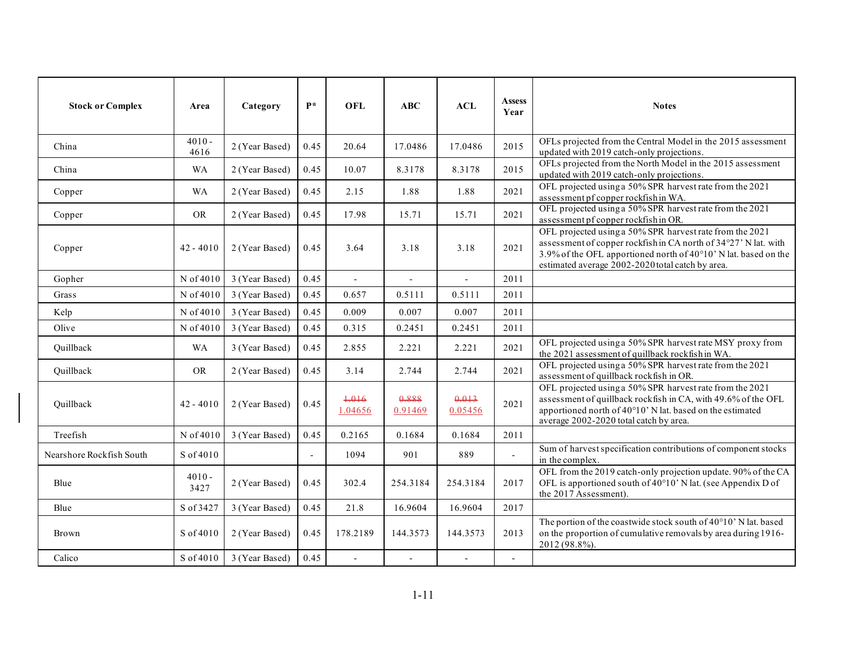| <b>Stock or Complex</b>  | Area             | Category       | $\mathbf{p} *$ | <b>OFL</b>       | <b>ABC</b>               | ACL              | <b>Assess</b><br>Year | <b>Notes</b>                                                                                                                                                                                                                                       |
|--------------------------|------------------|----------------|----------------|------------------|--------------------------|------------------|-----------------------|----------------------------------------------------------------------------------------------------------------------------------------------------------------------------------------------------------------------------------------------------|
| China                    | $4010 -$<br>4616 | 2 (Year Based) | 0.45           | 20.64            | 17.0486                  | 17.0486          | 2015                  | OFLs projected from the Central Model in the 2015 assessment<br>updated with 2019 catch-only projections.                                                                                                                                          |
| China                    | <b>WA</b>        | 2 (Year Based) | 0.45           | 10.07            | 8.3178                   | 8.3178           | 2015                  | OFLs projected from the North Model in the 2015 assessment<br>updated with 2019 catch-only projections.                                                                                                                                            |
| Copper                   | <b>WA</b>        | 2 (Year Based) | 0.45           | 2.15             | 1.88                     | 1.88             | 2021                  | OFL projected using a 50% SPR harvest rate from the 2021<br>assessment pf copper rockfish in WA.                                                                                                                                                   |
| Copper                   | <b>OR</b>        | 2 (Year Based) | 0.45           | 17.98            | 15.71                    | 15.71            | 2021                  | OFL projected using a 50% SPR harvest rate from the 2021<br>assessment pf copper rockfish in OR.                                                                                                                                                   |
| Copper                   | $42 - 4010$      | 2 (Year Based) | 0.45           | 3.64             | 3.18                     | 3.18             | 2021                  | OFL projected using a 50% SPR harvest rate from the 2021<br>assessment of copper rockfish in CA north of 34°27' N lat. with<br>3.9% of the OFL apportioned north of 40°10' N lat. based on the<br>estimated average 2002-2020 total catch by area. |
| Gopher                   | N of 4010        | 3 (Year Based) | 0.45           |                  |                          | $\overline{a}$   | 2011                  |                                                                                                                                                                                                                                                    |
| Grass                    | N of 4010        | 3 (Year Based) | 0.45           | 0.657            | 0.5111                   | 0.5111           | 2011                  |                                                                                                                                                                                                                                                    |
| Kelp                     | N of 4010        | 3 (Year Based) | 0.45           | 0.009            | 0.007                    | 0.007            | 2011                  |                                                                                                                                                                                                                                                    |
| Olive                    | N of 4010        | 3 (Year Based) | 0.45           | 0.315            | 0.2451                   | 0.2451           | 2011                  |                                                                                                                                                                                                                                                    |
| Quillback                | <b>WA</b>        | 3 (Year Based) | 0.45           | 2.855            | 2.221                    | 2.221            | 2021                  | OFL projected using a 50% SPR harvest rate MSY proxy from<br>the 2021 assessment of quillback rockfish in WA.                                                                                                                                      |
| Quillback                | <b>OR</b>        | 2 (Year Based) | 0.45           | 3.14             | 2.744                    | 2.744            | 2021                  | OFL projected using a 50% SPR harvest rate from the 2021<br>assessment of quillback rockfish in OR.                                                                                                                                                |
| Quillback                | $42 - 4010$      | 2 (Year Based) | 0.45           | +.016<br>1.04656 | 0.888<br>0.91469         | 0.013<br>0.05456 | 2021                  | OFL projected using a 50% SPR harvest rate from the 2021<br>assessment of quillback rockfish in CA, with 49.6% of the OFL<br>apportioned north of 40°10' N lat. based on the estimated<br>average 2002-2020 total catch by area.                   |
| Treefish                 | N of 4010        | 3 (Year Based) | 0.45           | 0.2165           | 0.1684                   | 0.1684           | 2011                  |                                                                                                                                                                                                                                                    |
| Nearshore Rockfish South | S of 4010        |                | $\mathbf{r}$   | 1094             | 901                      | 889              | $\blacksquare$        | Sum of harvest specification contributions of component stocks<br>in the complex.                                                                                                                                                                  |
| Blue                     | $4010 -$<br>3427 | 2 (Year Based) | 0.45           | 302.4            | 254.3184                 | 254.3184         | 2017                  | OFL from the 2019 catch-only projection update. 90% of the CA<br>OFL is apportioned south of 40°10' N lat. (see Appendix D of<br>the 2017 Assessment).                                                                                             |
| Blue                     | S of 3427        | 3 (Year Based) | 0.45           | 21.8             | 16.9604                  | 16.9604          | 2017                  |                                                                                                                                                                                                                                                    |
| Brown                    | S of 4010        | 2 (Year Based) | 0.45           | 178.2189         | 144.3573                 | 144.3573         | 2013                  | The portion of the coastwide stock south of 40°10' N lat. based<br>on the proportion of cumulative removals by area during 1916-<br>2012 (98.8%).                                                                                                  |
| Calico                   | S of 4010        | 3 (Year Based) | 0.45           | $\overline{a}$   | $\overline{\phantom{a}}$ | $\blacksquare$   | $\blacksquare$        |                                                                                                                                                                                                                                                    |

 $\mathbf l$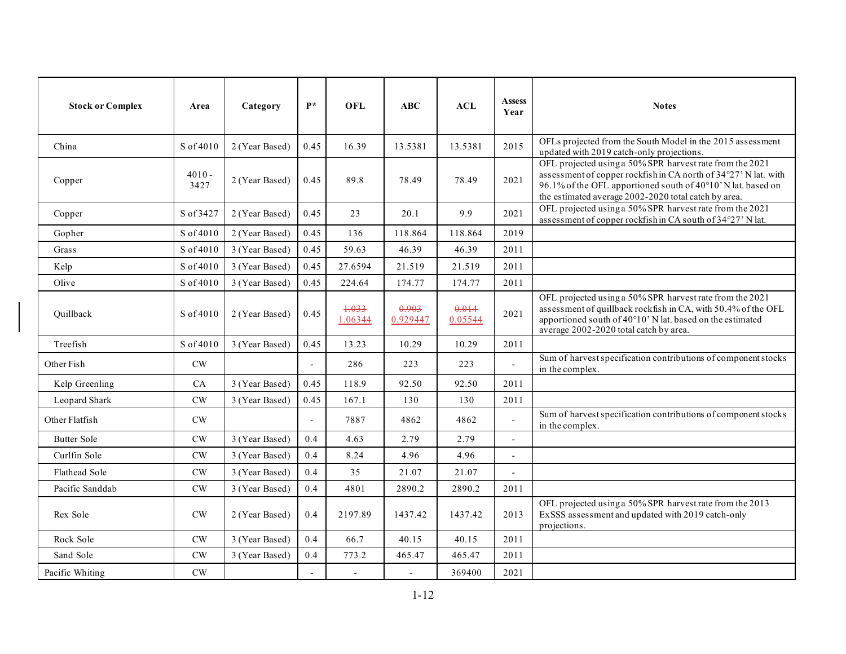| <b>Stock or Complex</b> | Area             | Category       | $P*$                     | <b>OFL</b>       | ABC               | ACL              | <b>Assess</b><br>Year    | <b>Notes</b>                                                                                                                                                                                                                                        |
|-------------------------|------------------|----------------|--------------------------|------------------|-------------------|------------------|--------------------------|-----------------------------------------------------------------------------------------------------------------------------------------------------------------------------------------------------------------------------------------------------|
| China                   | S of 4010        | 2 (Year Based) | 0.45                     | 16.39            | 13.5381           | 13.5381          | 2015                     | OFLs projected from the South Model in the 2015 assessment<br>updated with 2019 catch-only projections.                                                                                                                                             |
| Copper                  | $4010 -$<br>3427 | 2 (Year Based) | 0.45                     | 89.8             | 78.49             | 78.49            | 2021                     | OFL projected using a 50% SPR harvest rate from the 2021<br>assessment of copper rockfish in CA north of 34°27' N lat. with<br>96.1% of the OFL apportioned south of 40°10' N lat. based on<br>the estimated average 2002-2020 total catch by area. |
| Copper                  | S of 3427        | 2 (Year Based) | 0.45                     | 23               | 20.1              | 9.9              | 2021                     | OFL projected using a 50% SPR harvest rate from the 2021<br>assessment of copper rockfish in CA south of 34°27' N lat.                                                                                                                              |
| Gopher                  | S of 4010        | 2 (Year Based) | 0.45                     | 136              | 118.864           | 118.864          | 2019                     |                                                                                                                                                                                                                                                     |
| Grass                   | S of 4010        | 3 (Year Based) | 0.45                     | 59.63            | 46.39             | 46.39            | 2011                     |                                                                                                                                                                                                                                                     |
| Kelp                    | S of 4010        | 3 (Year Based) | 0.45                     | 27.6594          | 21.519            | 21.519           | 2011                     |                                                                                                                                                                                                                                                     |
| Olive                   | S of 4010        | 3 (Year Based) | 0.45                     | 224.64           | 174.77            | 174.77           | 2011                     |                                                                                                                                                                                                                                                     |
| Ouillback               | S of 4010        | 2 (Year Based) | 0.45                     | 1.033<br>1.06344 | 0.903<br>0.929447 | 0.014<br>0.05544 | 2021                     | OFL projected using a 50% SPR harvest rate from the 2021<br>assessment of quillback rockfish in CA, with 50.4% of the OFL<br>apportioned south of 40°10' N lat. based on the estimated<br>average 2002-2020 total catch by area.                    |
| Treefish                | S of 4010        | 3 (Year Based) | 0.45                     | 13.23            | 10.29             | 10.29            | 2011                     |                                                                                                                                                                                                                                                     |
| Other Fish              | $\mathrm{CW}$    |                | $\overline{a}$           | 286              | 223               | 223              |                          | Sum of harvest specification contributions of component stocks<br>in the complex.                                                                                                                                                                   |
| Kelp Greenling          | CA               | 3 (Year Based) | 0.45                     | 118.9            | 92.50             | 92.50            | 2011                     |                                                                                                                                                                                                                                                     |
| Leopard Shark           | CW               | 3 (Year Based) | 0.45                     | 167.1            | 130               | 130              | 2011                     |                                                                                                                                                                                                                                                     |
| Other Flatfish          | CW               |                | $\overline{\phantom{a}}$ | 7887             | 4862              | 4862             | $\overline{a}$           | Sum of harvest specification contributions of component stocks<br>in the complex.                                                                                                                                                                   |
| <b>Butter Sole</b>      | CW               | 3 (Year Based) | 0.4                      | 4.63             | 2.79              | 2.79             | $\overline{\phantom{a}}$ |                                                                                                                                                                                                                                                     |
| Curlfin Sole            | $\mathrm{CW}$    | 3 (Year Based) | 0.4                      | 8.24             | 4.96              | 4.96             | $\overline{\phantom{a}}$ |                                                                                                                                                                                                                                                     |
| Flathead Sole           | CW               | 3 (Year Based) | 0.4                      | 35               | 21.07             | 21.07            | $\overline{a}$           |                                                                                                                                                                                                                                                     |
| Pacific Sanddab         | $\mathrm{CW}$    | 3 (Year Based) | 0.4                      | 4801             | 2890.2            | 2890.2           | 2011                     |                                                                                                                                                                                                                                                     |
| Rex Sole                | CW               | 2 (Year Based) | 0.4                      | 2197.89          | 1437.42           | 1437.42          | 2013                     | OFL projected using a 50% SPR harvest rate from the 2013<br>ExSSS assessment and updated with 2019 catch-only<br>projections.                                                                                                                       |
| Rock Sole               | $\mathrm{CW}$    | 3 (Year Based) | 0.4                      | 66.7             | 40.15             | 40.15            | 2011                     |                                                                                                                                                                                                                                                     |
| Sand Sole               | CW               | 3 (Year Based) | 0.4                      | 773.2            | 465.47            | 465.47           | 2011                     |                                                                                                                                                                                                                                                     |
| Pacific Whiting         | CW               |                |                          | $\overline{a}$   |                   | 369400           | 2021                     |                                                                                                                                                                                                                                                     |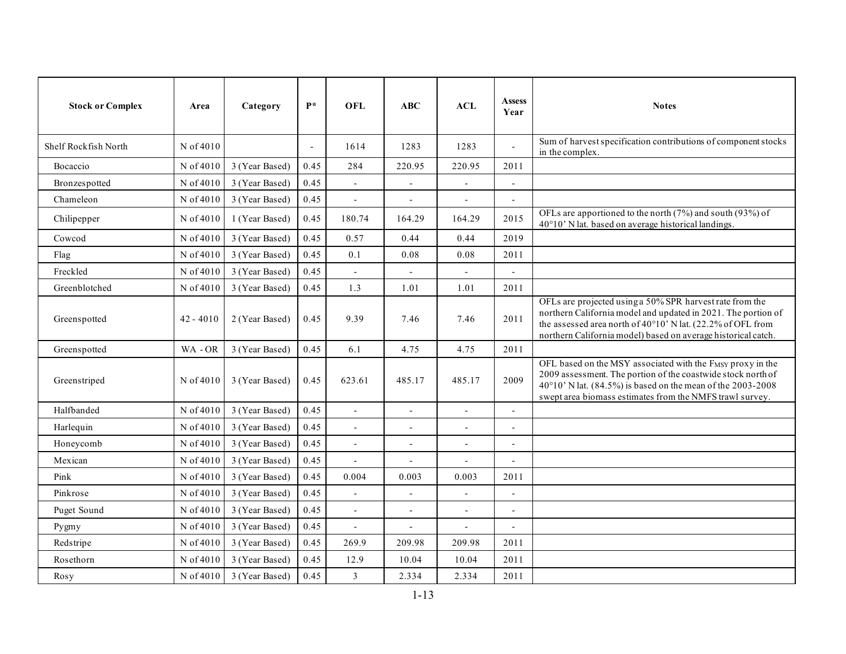| <b>Stock or Complex</b> | Area        | Category       | $P*$                     | <b>OFL</b>               | ABC                      | ACL                      | <b>Assess</b><br>Year    | <b>Notes</b>                                                                                                                                                                                                                                              |
|-------------------------|-------------|----------------|--------------------------|--------------------------|--------------------------|--------------------------|--------------------------|-----------------------------------------------------------------------------------------------------------------------------------------------------------------------------------------------------------------------------------------------------------|
| Shelf Rockfish North    | N of 4010   |                | $\overline{\phantom{a}}$ | 1614                     | 1283                     | 1283                     | $\blacksquare$           | Sum of harvest specification contributions of component stocks<br>in the complex.                                                                                                                                                                         |
| Bocaccio                | N of 4010   | 3 (Year Based) | 0.45                     | 284                      | 220.95                   | 220.95                   | 2011                     |                                                                                                                                                                                                                                                           |
| Bronzespotted           | N of 4010   | 3 (Year Based) | 0.45                     | $\overline{\phantom{a}}$ | $\overline{\phantom{a}}$ | $\overline{\phantom{a}}$ | $\overline{\phantom{a}}$ |                                                                                                                                                                                                                                                           |
| Chameleon               | N of 4010   | 3 (Year Based) | 0.45                     |                          | $\overline{\phantom{a}}$ | $\overline{\phantom{a}}$ | $\overline{\phantom{a}}$ |                                                                                                                                                                                                                                                           |
| Chilipepper             | N of 4010   | 1 (Year Based) | 0.45                     | 180.74                   | 164.29                   | 164.29                   | 2015                     | OFLs are apportioned to the north $(7%)$ and south $(93%)$ of<br>40°10' N lat. based on average historical landings.                                                                                                                                      |
| Cowcod                  | N of 4010   | 3 (Year Based) | 0.45                     | 0.57                     | 0.44                     | 0.44                     | 2019                     |                                                                                                                                                                                                                                                           |
| Flag                    | N of 4010   | 3 (Year Based) | 0.45                     | 0.1                      | $0.08\,$                 | 0.08                     | 2011                     |                                                                                                                                                                                                                                                           |
| Freckled                | N of 4010   | 3 (Year Based) | 0.45                     | $\overline{a}$           |                          | $\overline{a}$           | $\overline{a}$           |                                                                                                                                                                                                                                                           |
| Greenblotched           | N of 4010   | 3 (Year Based) | 0.45                     | 1.3                      | 1.01                     | 1.01                     | 2011                     |                                                                                                                                                                                                                                                           |
| Greenspotted            | $42 - 4010$ | 2 (Year Based) | 0.45                     | 9.39                     | 7.46                     | 7.46                     | 2011                     | OFLs are projected using a 50% SPR harvest rate from the<br>northern California model and updated in 2021. The portion of<br>the assessed area north of 40°10' N lat. (22.2% of OFL from<br>northern California model) based on average historical catch. |
| Greenspotted            | WA-OR       | 3 (Year Based) | 0.45                     | 6.1                      | 4.75                     | 4.75                     | 2011                     |                                                                                                                                                                                                                                                           |
| Greenstriped            | N of 4010   | 3 (Year Based) | 0.45                     | 623.61                   | 485.17                   | 485.17                   | 2009                     | OFL based on the MSY associated with the FMSY proxy in the<br>2009 assessment. The portion of the coastwide stock north of<br>40°10' N lat. (84.5%) is based on the mean of the 2003-2008<br>swept area biomass estimates from the NMFS trawl survey.     |
| Halfbanded              | N of 4010   | 3 (Year Based) | 0.45                     | $\overline{a}$           | $\overline{\phantom{a}}$ | $\blacksquare$           | $\blacksquare$           |                                                                                                                                                                                                                                                           |
| Harlequin               | N of 4010   | 3 (Year Based) | 0.45                     |                          | $\blacksquare$           | $\blacksquare$           | $\overline{a}$           |                                                                                                                                                                                                                                                           |
| Honeycomb               | N of 4010   | 3 (Year Based) | 0.45                     | $\blacksquare$           | $\overline{\phantom{a}}$ | $\overline{\phantom{a}}$ | $\overline{\phantom{a}}$ |                                                                                                                                                                                                                                                           |
| Mexican                 | N of 4010   | 3 (Year Based) | 0.45                     |                          | $\blacksquare$           | $\overline{\phantom{a}}$ | $\overline{\phantom{a}}$ |                                                                                                                                                                                                                                                           |
| Pink                    | N of 4010   | 3 (Year Based) | 0.45                     | 0.004                    | 0.003                    | 0.003                    | 2011                     |                                                                                                                                                                                                                                                           |
| Pinkrose                | N of 4010   | 3 (Year Based) | 0.45                     | $\overline{a}$           |                          | $\overline{a}$           | $\overline{a}$           |                                                                                                                                                                                                                                                           |
| Puget Sound             | N of 4010   | 3 (Year Based) | 0.45                     | $\overline{a}$           |                          |                          | $\overline{a}$           |                                                                                                                                                                                                                                                           |
| Pygmy                   | N of 4010   | 3 (Year Based) | 0.45                     | $\overline{a}$           | $\overline{\phantom{a}}$ | $\blacksquare$           | $\sim$                   |                                                                                                                                                                                                                                                           |
| Redstripe               | N of 4010   | 3 (Year Based) | 0.45                     | 269.9                    | 209.98                   | 209.98                   | 2011                     |                                                                                                                                                                                                                                                           |
| Rosethorn               | N of 4010   | 3 (Year Based) | 0.45                     | 12.9                     | 10.04                    | 10.04                    | 2011                     |                                                                                                                                                                                                                                                           |
| Rosy                    | N of 4010   | 3 (Year Based) | 0.45                     | $\overline{3}$           | 2.334                    | 2.334                    | 2011                     |                                                                                                                                                                                                                                                           |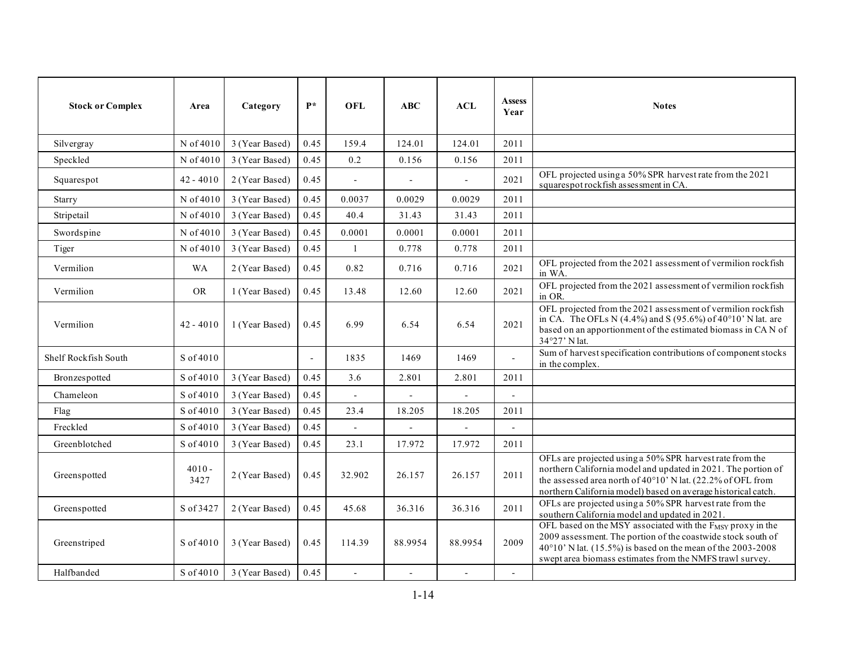| <b>Stock or Complex</b> | Area             | Category       | $\mathbf{p} *$ | <b>OFL</b>     | ABC     | ACL                      | <b>Assess</b><br>Year    | <b>Notes</b>                                                                                                                                                                                                                                                         |
|-------------------------|------------------|----------------|----------------|----------------|---------|--------------------------|--------------------------|----------------------------------------------------------------------------------------------------------------------------------------------------------------------------------------------------------------------------------------------------------------------|
| Silvergray              | N of 4010        | 3 (Year Based) | 0.45           | 159.4          | 124.01  | 124.01                   | 2011                     |                                                                                                                                                                                                                                                                      |
| Speckled                | N of 4010        | 3 (Year Based) | 0.45           | 0.2            | 0.156   | 0.156                    | 2011                     |                                                                                                                                                                                                                                                                      |
| Squarespot              | $42 - 4010$      | 2 (Year Based) | 0.45           | $\overline{a}$ |         | $\sim$                   | 2021                     | OFL projected using a 50% SPR harvest rate from the 2021<br>squarespot rockfish assessment in CA.                                                                                                                                                                    |
| Starry                  | N of 4010        | 3 (Year Based) | 0.45           | 0.0037         | 0.0029  | 0.0029                   | 2011                     |                                                                                                                                                                                                                                                                      |
| Stripetail              | N of 4010        | 3 (Year Based) | 0.45           | 40.4           | 31.43   | 31.43                    | 2011                     |                                                                                                                                                                                                                                                                      |
| Swordspine              | N of 4010        | 3 (Year Based) | 0.45           | 0.0001         | 0.0001  | 0.0001                   | 2011                     |                                                                                                                                                                                                                                                                      |
| Tiger                   | N of 4010        | 3 (Year Based) | 0.45           | $\mathbf{1}$   | 0.778   | 0.778                    | 2011                     |                                                                                                                                                                                                                                                                      |
| Vermilion               | <b>WA</b>        | 2 (Year Based) | 0.45           | 0.82           | 0.716   | 0.716                    | 2021                     | OFL projected from the 2021 assessment of vermilion rockfish<br>in WA.                                                                                                                                                                                               |
| Vermilion               | <b>OR</b>        | 1 (Year Based) | 0.45           | 13.48          | 12.60   | 12.60                    | 2021                     | OFL projected from the 2021 assessment of vermilion rockfish<br>in OR.                                                                                                                                                                                               |
| Vermilion               | $42 - 4010$      | 1 (Year Based) | 0.45           | 6.99           | 6.54    | 6.54                     | 2021                     | OFL projected from the 2021 assessment of vermilion rockfish<br>in CA. The OFLs N $(4.4\%)$ and S $(95.6\%)$ of $40^{\circ}10'$ N lat. are<br>based on an apportionment of the estimated biomass in CAN of<br>34°27' N lat.                                          |
| Shelf Rockfish South    | S of 4010        |                |                | 1835           | 1469    | 1469                     | $\overline{a}$           | Sum of harvest specification contributions of component stocks<br>in the complex.                                                                                                                                                                                    |
| Bronzespotted           | S of 4010        | 3 (Year Based) | 0.45           | 3.6            | 2.801   | 2.801                    | 2011                     |                                                                                                                                                                                                                                                                      |
| Chameleon               | S of 4010        | 3 (Year Based) | 0.45           | $\overline{a}$ |         |                          | $\overline{a}$           |                                                                                                                                                                                                                                                                      |
| Flag                    | S of 4010        | 3 (Year Based) | 0.45           | 23.4           | 18.205  | 18.205                   | 2011                     |                                                                                                                                                                                                                                                                      |
| Freckled                | S of 4010        | 3 (Year Based) | 0.45           |                |         |                          | $\overline{\phantom{a}}$ |                                                                                                                                                                                                                                                                      |
| Greenblotched           | S of 4010        | 3 (Year Based) | 0.45           | 23.1           | 17.972  | 17.972                   | 2011                     |                                                                                                                                                                                                                                                                      |
| Greenspotted            | $4010 -$<br>3427 | 2 (Year Based) | 0.45           | 32.902         | 26.157  | 26.157                   | 2011                     | OFLs are projected using a 50% SPR harvest rate from the<br>northern California model and updated in 2021. The portion of<br>the assessed area north of $40^{\circ}10'$ . N lat. (22.2% of OFL from<br>northern California model) based on average historical catch. |
| Greenspotted            | S of 3427        | 2 (Year Based) | 0.45           | 45.68          | 36.316  | 36.316                   | 2011                     | OFLs are projected using a 50% SPR harvest rate from the<br>southern California model and updated in 2021.                                                                                                                                                           |
| Greenstriped            | S of 4010        | 3 (Year Based) | 0.45           | 114.39         | 88.9954 | 88.9954                  | 2009                     | OFL based on the MSY associated with the FMSY proxy in the<br>2009 assessment. The portion of the coastwide stock south of<br>40°10' N lat. (15.5%) is based on the mean of the 2003-2008<br>swept area biomass estimates from the NMFS trawl survey.                |
| Halfbanded              | S of 4010        | 3 (Year Based) | 0.45           | $\mathbf{r}$   |         | $\overline{\phantom{a}}$ | $\blacksquare$           |                                                                                                                                                                                                                                                                      |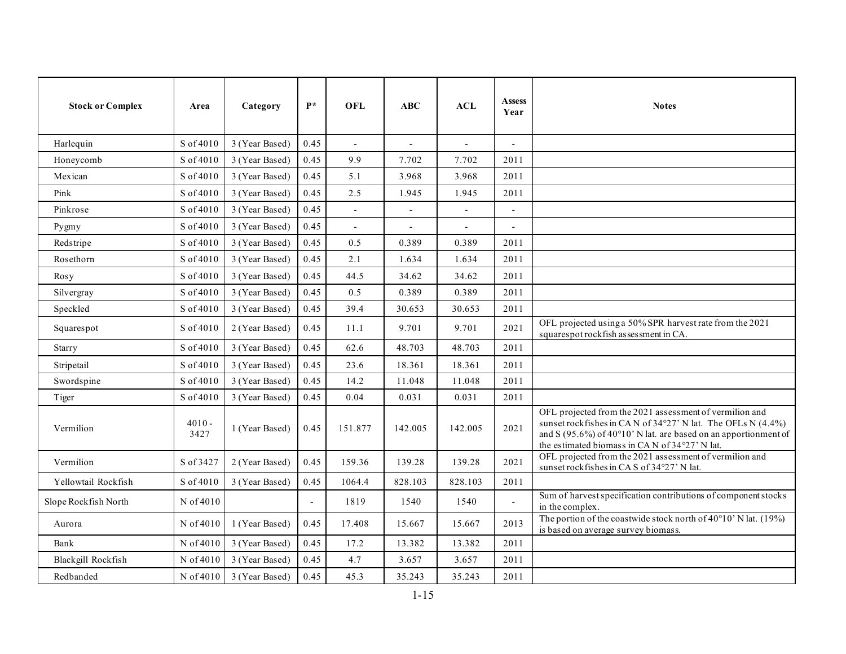| <b>Stock or Complex</b> | Area             | Category       | $P*$           | <b>OFL</b>   | ABC     | ACL            | <b>Assess</b><br>Year    | <b>Notes</b>                                                                                                                                                                                                                                          |
|-------------------------|------------------|----------------|----------------|--------------|---------|----------------|--------------------------|-------------------------------------------------------------------------------------------------------------------------------------------------------------------------------------------------------------------------------------------------------|
| Harlequin               | S of 4010        | 3 (Year Based) | 0.45           |              |         | $\overline{a}$ |                          |                                                                                                                                                                                                                                                       |
| Honeycomb               | S of 4010        | 3 (Year Based) | 0.45           | 9.9          | 7.702   | 7.702          | 2011                     |                                                                                                                                                                                                                                                       |
| Mexican                 | S of 4010        | 3 (Year Based) | 0.45           | 5.1          | 3.968   | 3.968          | 2011                     |                                                                                                                                                                                                                                                       |
| Pink                    | S of 4010        | 3 (Year Based) | 0.45           | 2.5          | 1.945   | 1.945          | 2011                     |                                                                                                                                                                                                                                                       |
| Pinkrose                | S of 4010        | 3 (Year Based) | 0.45           | $\mathbf{r}$ |         |                |                          |                                                                                                                                                                                                                                                       |
| Pygmy                   | S of 4010        | 3 (Year Based) | 0.45           |              |         |                | $\overline{\phantom{a}}$ |                                                                                                                                                                                                                                                       |
| Redstripe               | S of 4010        | 3 (Year Based) | 0.45           | 0.5          | 0.389   | 0.389          | 2011                     |                                                                                                                                                                                                                                                       |
| Rosethorn               | S of 4010        | 3 (Year Based) | 0.45           | 2.1          | 1.634   | 1.634          | 2011                     |                                                                                                                                                                                                                                                       |
| Rosy                    | S of 4010        | 3 (Year Based) | 0.45           | 44.5         | 34.62   | 34.62          | 2011                     |                                                                                                                                                                                                                                                       |
| Silvergray              | S of 4010        | 3 (Year Based) | 0.45           | 0.5          | 0.389   | 0.389          | 2011                     |                                                                                                                                                                                                                                                       |
| Speckled                | S of 4010        | 3 (Year Based) | 0.45           | 39.4         | 30.653  | 30.653         | 2011                     |                                                                                                                                                                                                                                                       |
| Squarespot              | S of 4010        | 2 (Year Based) | 0.45           | 11.1         | 9.701   | 9.701          | 2021                     | OFL projected using a 50% SPR harvest rate from the 2021<br>squarespot rockfish assessment in CA.                                                                                                                                                     |
| Starry                  | S of 4010        | 3 (Year Based) | 0.45           | 62.6         | 48.703  | 48.703         | 2011                     |                                                                                                                                                                                                                                                       |
| Stripetail              | S of 4010        | 3 (Year Based) | 0.45           | 23.6         | 18.361  | 18.361         | 2011                     |                                                                                                                                                                                                                                                       |
| Swordspine              | S of 4010        | 3 (Year Based) | 0.45           | 14.2         | 11.048  | 11.048         | 2011                     |                                                                                                                                                                                                                                                       |
| Tiger                   | S of 4010        | 3 (Year Based) | 0.45           | 0.04         | 0.031   | 0.031          | 2011                     |                                                                                                                                                                                                                                                       |
| Vermilion               | $4010 -$<br>3427 | 1 (Year Based) | 0.45           | 151.877      | 142.005 | 142.005        | 2021                     | OFL projected from the 2021 assessment of vermilion and<br>sunset rockfishes in CAN of 34°27' N lat. The OFLs N (4.4%)<br>and S (95.6%) of 40 $^{\circ}$ 10' N lat. are based on an apportionment of<br>the estimated biomass in CAN of 34°27' N lat. |
| Vermilion               | S of 3427        | 2 (Year Based) | 0.45           | 159.36       | 139.28  | 139.28         | 2021                     | OFL projected from the 2021 assessment of vermilion and<br>sunset rockfishes in CAS of 34°27' N lat.                                                                                                                                                  |
| Yellowtail Rockfish     | S of 4010        | 3 (Year Based) | 0.45           | 1064.4       | 828.103 | 828.103        | 2011                     |                                                                                                                                                                                                                                                       |
| Slope Rockfish North    | N of 4010        |                | $\blacksquare$ | 1819         | 1540    | 1540           |                          | Sum of harvest specification contributions of component stocks<br>in the complex.                                                                                                                                                                     |
| Aurora                  | N of 4010        | 1 (Year Based) | 0.45           | 17.408       | 15.667  | 15.667         | 2013                     | The portion of the coastwide stock north of $40^{\circ}10'$ N lat. (19%)<br>is based on average survey biomass.                                                                                                                                       |
| Bank                    | N of 4010        | 3 (Year Based) | 0.45           | 17.2         | 13.382  | 13.382         | 2011                     |                                                                                                                                                                                                                                                       |
| Blackgill Rockfish      | N of 4010        | 3 (Year Based) | 0.45           | 4.7          | 3.657   | 3.657          | 2011                     |                                                                                                                                                                                                                                                       |
| Redbanded               | N of 4010        | 3 (Year Based) | 0.45           | 45.3         | 35.243  | 35.243         | 2011                     |                                                                                                                                                                                                                                                       |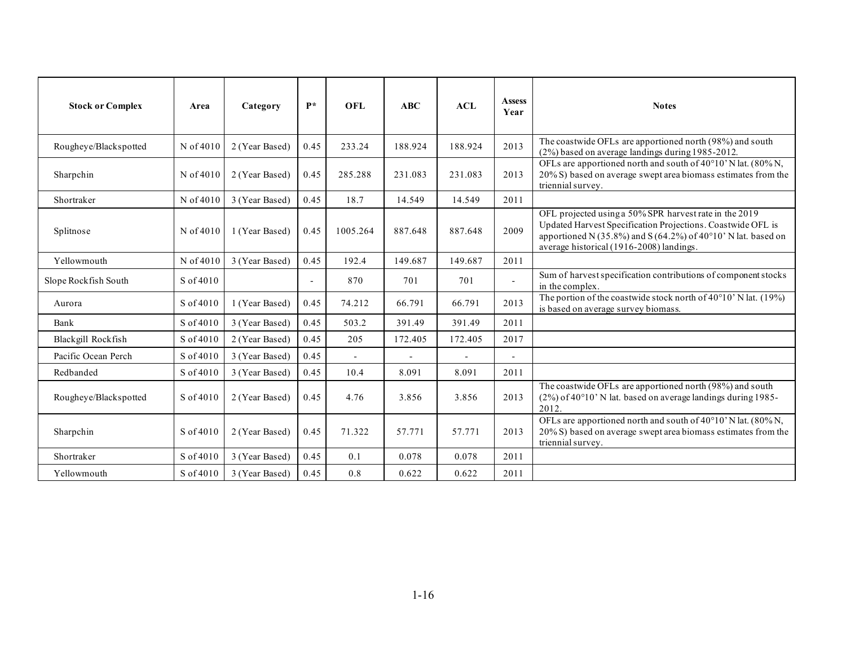| <b>Stock or Complex</b> | Area      | Category       | $\mathbf{P}^*$ | OFL          | ABC     | ACL            | <b>Assess</b><br>Year | <b>Notes</b>                                                                                                                                                                                                                       |
|-------------------------|-----------|----------------|----------------|--------------|---------|----------------|-----------------------|------------------------------------------------------------------------------------------------------------------------------------------------------------------------------------------------------------------------------------|
| Rougheye/Blackspotted   | N of 4010 | 2 (Year Based) | 0.45           | 233.24       | 188.924 | 188.924        | 2013                  | The coastwide OFLs are apportioned north (98%) and south<br>(2%) based on average landings during 1985-2012.                                                                                                                       |
| Sharpchin               | N of 4010 | 2 (Year Based) | 0.45           | 285.288      | 231.083 | 231.083        | 2013                  | OFLs are apportioned north and south of 40°10'N lat. (80% N,<br>20% S) based on average swept area biomass estimates from the<br>triennial survey.                                                                                 |
| Shortraker              | N of 4010 | 3 (Year Based) | 0.45           | 18.7         | 14.549  | 14.549         | 2011                  |                                                                                                                                                                                                                                    |
| Splitnose               | N of 4010 | 1 (Year Based) | 0.45           | 1005.264     | 887.648 | 887.648        | 2009                  | OFL projected using a 50% SPR harvest rate in the 2019<br>Updated Harvest Specification Projections. Coastwide OFL is<br>apportioned N (35.8%) and S (64.2%) of 40°10' N lat. based on<br>average historical (1916-2008) landings. |
| Yellowmouth             | N of 4010 | 3 (Year Based) | 0.45           | 192.4        | 149.687 | 149.687        | 2011                  |                                                                                                                                                                                                                                    |
| Slope Rockfish South    | S of 4010 |                | $\overline{a}$ | 870          | 701     | 701            | $\overline{a}$        | Sum of harvest specification contributions of component stocks<br>in the complex.                                                                                                                                                  |
| Aurora                  | S of 4010 | 1 (Year Based) | 0.45           | 74.212       | 66.791  | 66.791         | 2013                  | The portion of the coastwide stock north of 40°10' N lat. (19%)<br>is based on average survey biomass.                                                                                                                             |
| Bank                    | S of 4010 | 3 (Year Based) | 0.45           | 503.2        | 391.49  | 391.49         | 2011                  |                                                                                                                                                                                                                                    |
| Blackgill Rockfish      | S of 4010 | 2 (Year Based) | 0.45           | 205          | 172.405 | 172.405        | 2017                  |                                                                                                                                                                                                                                    |
| Pacific Ocean Perch     | S of 4010 | 3 (Year Based) | 0.45           | $\mathbf{r}$ |         | $\overline{a}$ | $\overline{a}$        |                                                                                                                                                                                                                                    |
| Redbanded               | S of 4010 | 3 (Year Based) | 0.45           | 10.4         | 8.091   | 8.091          | 2011                  |                                                                                                                                                                                                                                    |
| Rougheye/Blackspotted   | S of 4010 | 2 (Year Based) | 0.45           | 4.76         | 3.856   | 3.856          | 2013                  | The coastwide OFLs are apportioned north (98%) and south<br>(2%) of 40°10' N lat. based on average landings during 1985-<br>2012.                                                                                                  |
| Sharpchin               | S of 4010 | 2 (Year Based) | 0.45           | 71.322       | 57.771  | 57.771         | 2013                  | OFLs are apportioned north and south of 40°10'N lat. (80% N,<br>20% S) based on average swept area biomass estimates from the<br>triennial survey.                                                                                 |
| Shortraker              | S of 4010 | 3 (Year Based) | 0.45           | 0.1          | 0.078   | 0.078          | 2011                  |                                                                                                                                                                                                                                    |
| Yellowmouth             | S of 4010 | 3 (Year Based) | 0.45           | $0.8\,$      | 0.622   | 0.622          | 2011                  |                                                                                                                                                                                                                                    |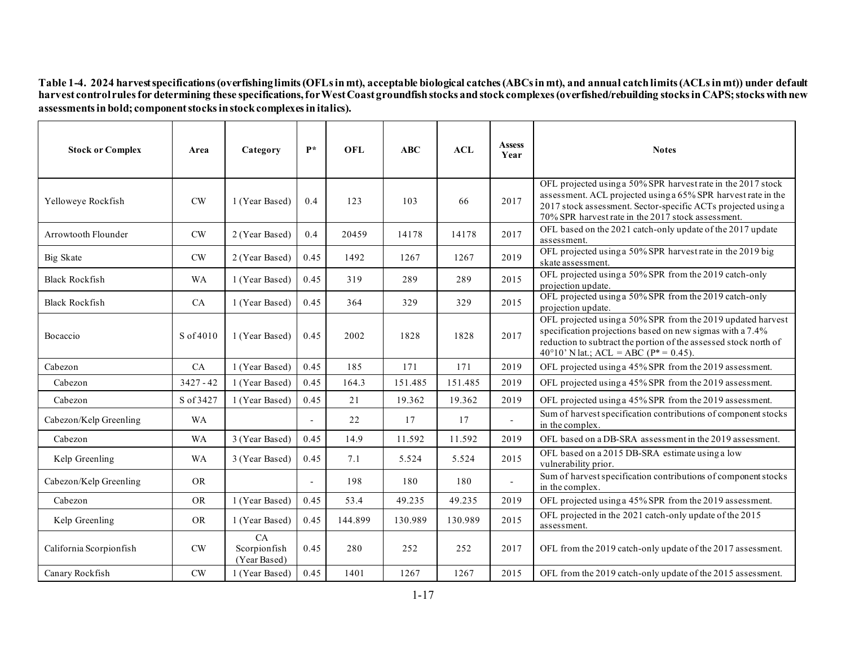**Table 1-4. 2024 harvest specifications (overfishing limits (OFLs in mt), acceptable biological catches (ABCs in mt), and annual catch limits (ACLs in mt)) under default harvest control rules for determining these specifications, for West Coast groundfish stocks and stockcomplexes (overfished/rebuilding stocks in CAPS; stocks with new assessments in bold; component stocks in stock complexes in italics).**

<span id="page-16-0"></span>

| <b>Stock or Complex</b> | Area        | Category                           | $P*$ | <b>OFL</b> | ABC     | ACL     | <b>Assess</b><br>Year | <b>Notes</b>                                                                                                                                                                                                                                         |
|-------------------------|-------------|------------------------------------|------|------------|---------|---------|-----------------------|------------------------------------------------------------------------------------------------------------------------------------------------------------------------------------------------------------------------------------------------------|
| Yelloweye Rockfish      | CW          | 1 (Year Based)                     | 0.4  | 123        | 103     | 66      | 2017                  | OFL projected using a 50% SPR harvest rate in the 2017 stock<br>assessment. ACL projected using a 65% SPR harvest rate in the<br>2017 stock assessment. Sector-specific ACTs projected using a<br>70% SPR harvest rate in the 2017 stock assessment. |
| Arrowtooth Flounder     | <b>CW</b>   | 2 (Year Based)                     | 0.4  | 20459      | 14178   | 14178   | 2017                  | OFL based on the 2021 catch-only update of the 2017 update<br>assessment.                                                                                                                                                                            |
| Big Skate               | <b>CW</b>   | 2 (Year Based)                     | 0.45 | 1492       | 1267    | 1267    | 2019                  | OFL projected using a 50% SPR harvest rate in the 2019 big<br>skate assessment.                                                                                                                                                                      |
| <b>Black Rockfish</b>   | <b>WA</b>   | 1 (Year Based)                     | 0.45 | 319        | 289     | 289     | 2015                  | OFL projected using a 50% SPR from the 2019 catch-only<br>projection update.                                                                                                                                                                         |
| <b>Black Rockfish</b>   | CA          | 1 (Year Based)                     | 0.45 | 364        | 329     | 329     | 2015                  | OFL projected using a 50% SPR from the 2019 catch-only<br>projection update.                                                                                                                                                                         |
| Bocaccio                | S of 4010   | 1 (Year Based)                     | 0.45 | 2002       | 1828    | 1828    | 2017                  | OFL projected using a 50% SPR from the 2019 updated harvest<br>specification projections based on new sigmas with a 7.4%<br>reduction to subtract the portion of the assessed stock north of<br>40°10' N lat.; ACL = ABC ( $P^*$ = 0.45).            |
| Cabezon                 | CA          | 1 (Year Based)                     | 0.45 | 185        | 171     | 171     | 2019                  | OFL projected using a 45% SPR from the 2019 assessment.                                                                                                                                                                                              |
| Cabezon                 | $3427 - 42$ | 1 (Year Based)                     | 0.45 | 164.3      | 151.485 | 151.485 | 2019                  | OFL projected using a 45% SPR from the 2019 assessment.                                                                                                                                                                                              |
| Cabezon                 | S of 3427   | 1 (Year Based)                     | 0.45 | 21         | 19.362  | 19.362  | 2019                  | OFL projected using a 45% SPR from the 2019 assessment.                                                                                                                                                                                              |
| Cabezon/Kelp Greenling  | WA          |                                    |      | 22         | 17      | 17      | $\overline{a}$        | Sum of harvest specification contributions of component stocks<br>in the complex.                                                                                                                                                                    |
| Cabezon                 | <b>WA</b>   | 3 (Year Based)                     | 0.45 | 14.9       | 11.592  | 11.592  | 2019                  | OFL based on a DB-SRA assessment in the 2019 assessment.                                                                                                                                                                                             |
| Kelp Greenling          | WA          | 3 (Year Based)                     | 0.45 | 7.1        | 5.524   | 5.524   | 2015                  | OFL based on a 2015 DB-SRA estimate using a low<br>vulnerability prior.                                                                                                                                                                              |
| Cabezon/Kelp Greenling  | <b>OR</b>   |                                    |      | 198        | 180     | 180     | $\overline{a}$        | Sum of harvest specification contributions of component stocks<br>in the complex.                                                                                                                                                                    |
| Cabezon                 | <b>OR</b>   | 1 (Year Based)                     | 0.45 | 53.4       | 49.235  | 49.235  | 2019                  | OFL projected using a 45% SPR from the 2019 assessment.                                                                                                                                                                                              |
| Kelp Greenling          | <b>OR</b>   | 1 (Year Based)                     | 0.45 | 144.899    | 130.989 | 130.989 | 2015                  | OFL projected in the 2021 catch-only update of the 2015<br>assessment.                                                                                                                                                                               |
| California Scorpionfish | CW          | CA<br>Scorpionfish<br>(Year Based) | 0.45 | 280        | 252     | 252     | 2017                  | OFL from the 2019 catch-only update of the 2017 assessment.                                                                                                                                                                                          |
| Canary Rockfish         | CW          | 1 (Year Based)                     | 0.45 | 1401       | 1267    | 1267    | 2015                  | OFL from the 2019 catch-only update of the 2015 assessment.                                                                                                                                                                                          |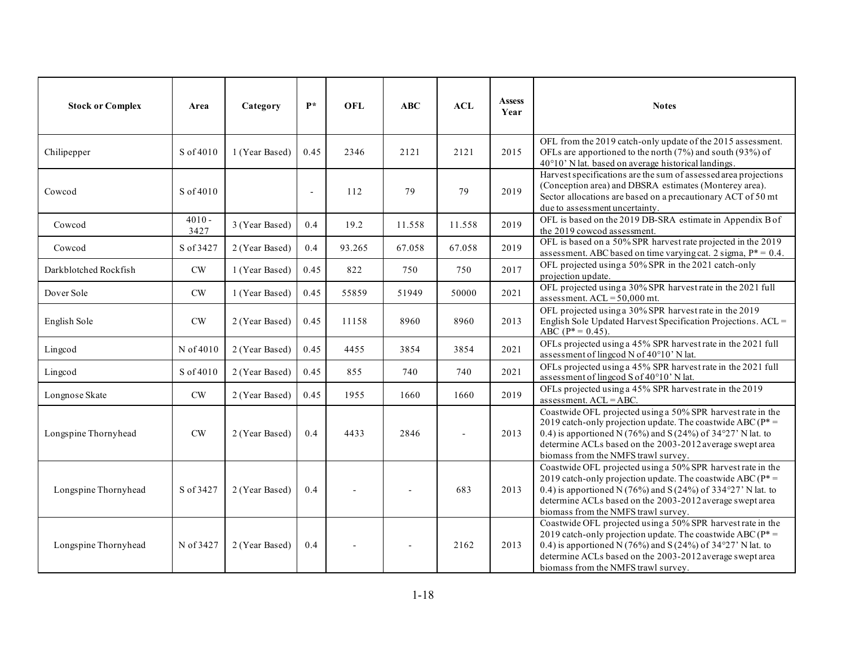| <b>Stock or Complex</b> | Area             | Category       | $P*$   | <b>OFL</b> | <b>ABC</b> | ACL    | <b>Assess</b><br>Year | <b>Notes</b>                                                                                                                                                                                                                                                                                             |
|-------------------------|------------------|----------------|--------|------------|------------|--------|-----------------------|----------------------------------------------------------------------------------------------------------------------------------------------------------------------------------------------------------------------------------------------------------------------------------------------------------|
| Chilipepper             | S of 4010        | 1 (Year Based) | 0.45   | 2346       | 2121       | 2121   | 2015                  | OFL from the 2019 catch-only update of the 2015 assessment.<br>OFLs are apportioned to the north (7%) and south (93%) of<br>40°10' N lat. based on average historical landings.                                                                                                                          |
| Cowcod                  | S of 4010        |                | $\sim$ | 112        | 79         | 79     | 2019                  | Harvest specifications are the sum of assessed area projections<br>(Conception area) and DBSRA estimates (Monterey area).<br>Sector allocations are based on a precautionary ACT of 50 mt<br>due to assessment uncertainty.                                                                              |
| Cowcod                  | $4010 -$<br>3427 | 3 (Year Based) | 0.4    | 19.2       | 11.558     | 11.558 | 2019                  | OFL is based on the 2019 DB-SRA estimate in Appendix B of<br>the 2019 cowcod assessment.                                                                                                                                                                                                                 |
| Cowcod                  | S of 3427        | 2 (Year Based) | 0.4    | 93.265     | 67.058     | 67.058 | 2019                  | OFL is based on a 50% SPR harvest rate projected in the 2019<br>assessment. ABC based on time varying cat. 2 sigma, $P^* = 0.4$ .                                                                                                                                                                        |
| Darkblotched Rockfish   | $\mathrm{CW}$    | 1 (Year Based) | 0.45   | 822        | 750        | 750    | 2017                  | OFL projected using a 50% SPR in the 2021 catch-only<br>projection update.                                                                                                                                                                                                                               |
| Dover Sole              | $\mathrm{CW}$    | 1 (Year Based) | 0.45   | 55859      | 51949      | 50000  | 2021                  | OFL projected using a 30% SPR harvest rate in the 2021 full<br>assessment. $ACL = 50,000$ mt.                                                                                                                                                                                                            |
| English Sole            | CW               | 2 (Year Based) | 0.45   | 11158      | 8960       | 8960   | 2013                  | OFL projected using a 30% SPR harvest rate in the 2019<br>English Sole Updated Harvest Specification Projections. ACL =<br>$ABC (P^* = 0.45).$                                                                                                                                                           |
| Lingcod                 | N of 4010        | 2 (Year Based) | 0.45   | 4455       | 3854       | 3854   | 2021                  | OFLs projected using a 45% SPR harvest rate in the 2021 full<br>assessment of lingcod N of 40°10' N lat.                                                                                                                                                                                                 |
| Lingcod                 | S of 4010        | 2 (Year Based) | 0.45   | 855        | 740        | 740    | 2021                  | OFLs projected using a 45% SPR harvest rate in the 2021 full<br>assessment of lingcod S of 40°10' N lat.                                                                                                                                                                                                 |
| Longnose Skate          | $\mathrm{CW}$    | 2 (Year Based) | 0.45   | 1955       | 1660       | 1660   | 2019                  | OFLs projected using a 45% SPR harvest rate in the 2019<br>assessment. ACL = ABC.                                                                                                                                                                                                                        |
| Longspine Thornyhead    | <b>CW</b>        | 2 (Year Based) | 0.4    | 4433       | 2846       |        | 2013                  | Coastwide OFL projected using a 50% SPR harvest rate in the<br>2019 catch-only projection update. The coastwide ABC ( $P^*$ =<br>0.4) is apportioned N (76%) and S (24%) of 34°27' N lat. to<br>determine ACLs based on the 2003-2012 average swept area<br>biomass from the NMFS trawl survey.          |
| Longspine Thornyhead    | S of 3427        | 2 (Year Based) | 0.4    |            |            | 683    | 2013                  | Coastwide OFL projected using a 50% SPR harvest rate in the<br>2019 catch-only projection update. The coastwide ABC ( $P^*$ =<br>0.4) is apportioned N (76%) and S (24%) of 334°27' N lat. to<br>determine ACLs based on the 2003-2012 average swept area<br>biomass from the NMFS trawl survey.         |
| Longspine Thornyhead    | N of 3427        | 2 (Year Based) | 0.4    |            |            | 2162   | 2013                  | Coastwide OFL projected using a 50% SPR harvest rate in the<br>2019 catch-only projection update. The coastwide ABC ( $P^*$ =<br>0.4) is apportioned N (76%) and S (24%) of $34^{\circ}27'$ N lat. to<br>determine ACLs based on the 2003-2012 average swept area<br>biomass from the NMFS trawl survey. |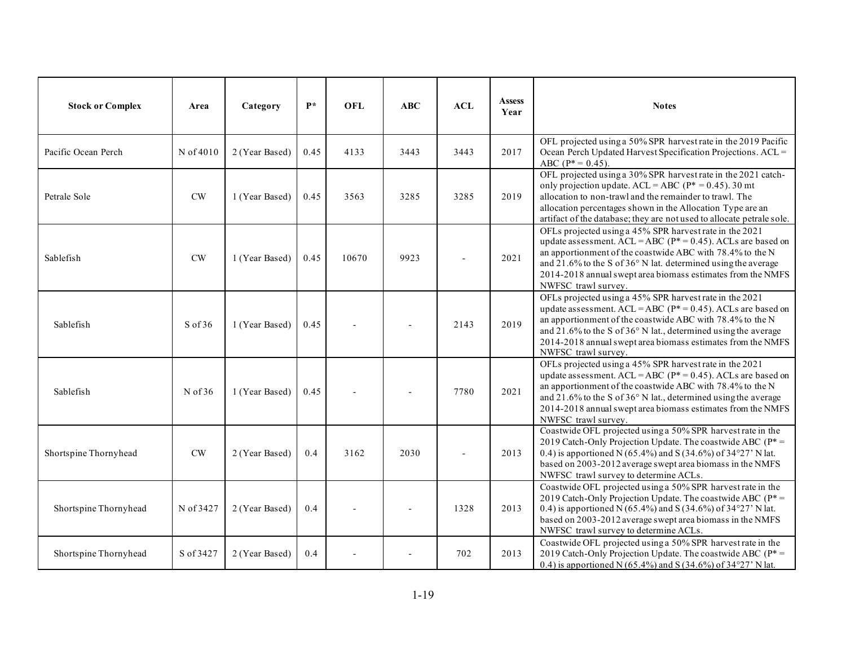| <b>Stock or Complex</b> | Area      | Category       | $\mathbf{P}^*$ | <b>OFL</b> | ABC  | <b>ACL</b> | <b>Assess</b><br>Year | <b>Notes</b>                                                                                                                                                                                                                                                                                                                                             |
|-------------------------|-----------|----------------|----------------|------------|------|------------|-----------------------|----------------------------------------------------------------------------------------------------------------------------------------------------------------------------------------------------------------------------------------------------------------------------------------------------------------------------------------------------------|
| Pacific Ocean Perch     | N of 4010 | 2 (Year Based) | 0.45           | 4133       | 3443 | 3443       | 2017                  | OFL projected using a 50% SPR harvest rate in the 2019 Pacific<br>Ocean Perch Updated Harvest Specification Projections. ACL =<br>ABC ( $P^* = 0.45$ ).                                                                                                                                                                                                  |
| Petrale Sole            | CW        | 1 (Year Based) | 0.45           | 3563       | 3285 | 3285       | 2019                  | OFL projected using a 30% SPR harvest rate in the 2021 catch-<br>only projection update. ACL = ABC ( $P^* = 0.45$ ). 30 mt<br>allocation to non-trawl and the remainder to trawl. The<br>allocation percentages shown in the Allocation Type are an<br>artifact of the database; they are not used to allocate petrale sole.                             |
| Sablefish               | <b>CW</b> | 1 (Year Based) | 0.45           | 10670      | 9923 |            | 2021                  | OFLs projected using a 45% SPR harvest rate in the 2021<br>update assessment. $ACL = ABC (P^* = 0.45)$ . ACLs are based on<br>an apportionment of the coastwide ABC with 78.4% to the N<br>and 21.6% to the S of $36^{\circ}$ N lat. determined using the average<br>2014-2018 annual swept area biomass estimates from the NMFS<br>NWFSC trawl survey.  |
| Sablefish               | $S$ of 36 | 1 (Year Based) | 0.45           |            |      | 2143       | 2019                  | OFLs projected using a 45% SPR harvest rate in the 2021<br>update assessment. $ACL = ABC (P^* = 0.45)$ . ACLs are based on<br>an apportionment of the coastwide ABC with 78.4% to the N<br>and 21.6% to the S of $36^{\circ}$ N lat., determined using the average<br>2014-2018 annual swept area biomass estimates from the NMFS<br>NWFSC trawl survey. |
| Sablefish               | N of $36$ | 1 (Year Based) | 0.45           |            |      | 7780       | 2021                  | OFLs projected using a 45% SPR harvest rate in the 2021<br>update assessment. ACL = ABC ( $P^*$ = 0.45). ACLs are based on<br>an apportionment of the coastwide ABC with 78.4% to the N<br>and 21.6% to the S of $36^{\circ}$ N lat., determined using the average<br>2014-2018 annual swept area biomass estimates from the NMFS<br>NWFSC trawl survey. |
| Shortspine Thornyhead   | <b>CW</b> | 2 (Year Based) | 0.4            | 3162       | 2030 |            | 2013                  | Coastwide OFL projected using a 50% SPR harvest rate in the<br>2019 Catch-Only Projection Update. The coastwide ABC ( $P^*$ =<br>0.4) is apportioned N (65.4%) and S (34.6%) of 34°27' N lat.<br>based on 2003-2012 average swept area biomass in the NMFS<br>NWFSC trawl survey to determine ACLs.                                                      |
| Shortspine Thornyhead   | N of 3427 | 2 (Year Based) | 0.4            |            |      | 1328       | 2013                  | Coastwide OFL projected using a 50% SPR harvest rate in the<br>2019 Catch-Only Projection Update. The coastwide ABC ( $P^*$ =<br>0.4) is apportioned N (65.4%) and S (34.6%) of 34°27' N lat.<br>based on 2003-2012 average swept area biomass in the NMFS<br>NWFSC trawl survey to determine ACLs.                                                      |
| Shortspine Thornyhead   | S of 3427 | 2 (Year Based) | 0.4            |            |      | 702        | 2013                  | Coastwide OFL projected using a 50% SPR harvest rate in the<br>2019 Catch-Only Projection Update. The coastwide ABC ( $P^*$ =<br>0.4) is apportioned N (65.4%) and S (34.6%) of $34^{\circ}27'$ N lat.                                                                                                                                                   |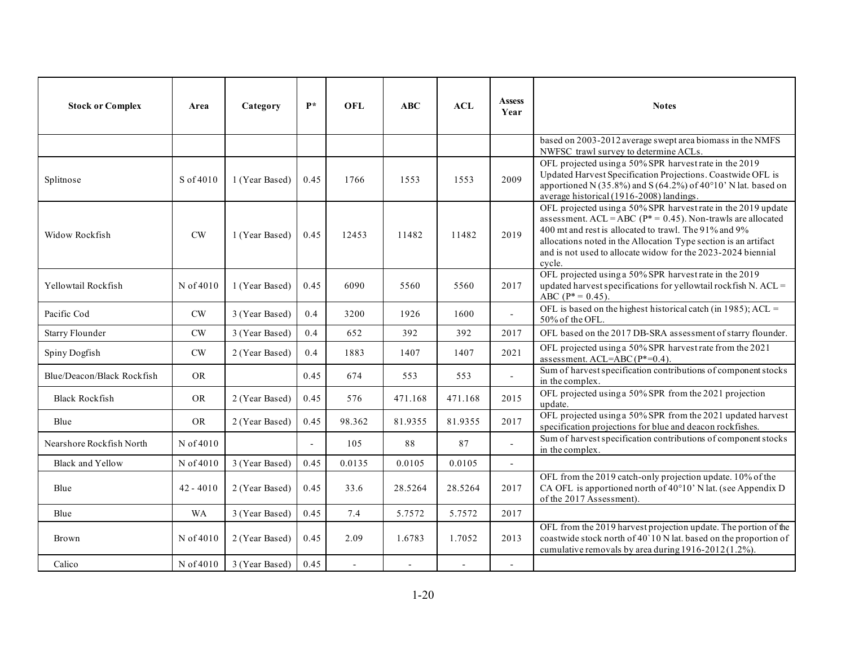| <b>Stock or Complex</b>    | Area          | Category       | $\mathbf{p} *$ | <b>OFL</b>     | ABC     | ACL     | <b>Assess</b><br>Year    | <b>Notes</b>                                                                                                                                                                                                                                                                                                                           |
|----------------------------|---------------|----------------|----------------|----------------|---------|---------|--------------------------|----------------------------------------------------------------------------------------------------------------------------------------------------------------------------------------------------------------------------------------------------------------------------------------------------------------------------------------|
|                            |               |                |                |                |         |         |                          | based on 2003-2012 average swept area biomass in the NMFS<br>NWFSC trawl survey to determine ACLs.                                                                                                                                                                                                                                     |
| Splitnose                  | S of 4010     | 1 (Year Based) | 0.45           | 1766           | 1553    | 1553    | 2009                     | OFL projected using a 50% SPR harvest rate in the 2019<br>Updated Harvest Specification Projections. Coastwide OFL is<br>apportioned N (35.8%) and S (64.2%) of 40°10' N lat. based on<br>average historical (1916-2008) landings.                                                                                                     |
| Widow Rockfish             | CW            | 1 (Year Based) | 0.45           | 12453          | 11482   | 11482   | 2019                     | OFL projected using a 50% SPR harvest rate in the 2019 update<br>assessment. ACL = ABC ( $P^*$ = 0.45). Non-trawls are allocated<br>400 mt and rest is allocated to trawl. The 91% and 9%<br>allocations noted in the Allocation Type section is an artifact<br>and is not used to allocate widow for the 2023-2024 biennial<br>cycle. |
| Yellowtail Rockfish        | N of 4010     | 1 (Year Based) | 0.45           | 6090           | 5560    | 5560    | 2017                     | OFL projected using a 50% SPR harvest rate in the 2019<br>updated harvest specifications for yellowtail rockfish N. ACL =<br>ABC ( $P^* = 0.45$ ).                                                                                                                                                                                     |
| Pacific Cod                | $\mathrm{CW}$ | 3 (Year Based) | 0.4            | 3200           | 1926    | 1600    |                          | OFL is based on the highest historical catch (in 1985); ACL =<br>50% of the OFL.                                                                                                                                                                                                                                                       |
| <b>Starry Flounder</b>     | CW            | 3 (Year Based) | 0.4            | 652            | 392     | 392     | 2017                     | OFL based on the 2017 DB-SRA assessment of starry flounder.                                                                                                                                                                                                                                                                            |
| Spiny Dogfish              | $\mathrm{CW}$ | 2 (Year Based) | 0.4            | 1883           | 1407    | 1407    | 2021                     | OFL projected using a 50% SPR harvest rate from the 2021<br>assessment. ACL=ABC(P*=0.4).                                                                                                                                                                                                                                               |
| Blue/Deacon/Black Rockfish | <b>OR</b>     |                | 0.45           | 674            | 553     | 553     | $\mathbf{r}$             | Sum of harvest specification contributions of component stocks<br>in the complex.                                                                                                                                                                                                                                                      |
| <b>Black Rockfish</b>      | <b>OR</b>     | 2 (Year Based) | 0.45           | 576            | 471.168 | 471.168 | 2015                     | OFL projected using a 50% SPR from the 2021 projection<br>update.                                                                                                                                                                                                                                                                      |
| Blue                       | <b>OR</b>     | 2 (Year Based) | 0.45           | 98.362         | 81.9355 | 81.9355 | 2017                     | OFL projected using a 50% SPR from the 2021 updated harvest<br>specification projections for blue and deacon rockfishes.                                                                                                                                                                                                               |
| Nearshore Rockfish North   | N of 4010     |                | $\mathcal{L}$  | 105            | 88      | 87      | $\overline{a}$           | Sum of harvest specification contributions of component stocks<br>in the complex.                                                                                                                                                                                                                                                      |
| <b>Black and Yellow</b>    | N of 4010     | 3 (Year Based) | 0.45           | 0.0135         | 0.0105  | 0.0105  | $\overline{\phantom{a}}$ |                                                                                                                                                                                                                                                                                                                                        |
| Blue                       | $42 - 4010$   | 2 (Year Based) | 0.45           | 33.6           | 28.5264 | 28.5264 | 2017                     | OFL from the 2019 catch-only projection update. 10% of the<br>CA OFL is apportioned north of 40°10' N lat. (see Appendix D<br>of the 2017 Assessment).                                                                                                                                                                                 |
| Blue                       | <b>WA</b>     | 3 (Year Based) | 0.45           | 7.4            | 5.7572  | 5.7572  | 2017                     |                                                                                                                                                                                                                                                                                                                                        |
| Brown                      | N of 4010     | 2 (Year Based) | 0.45           | 2.09           | 1.6783  | 1.7052  | 2013                     | OFL from the 2019 harvest projection update. The portion of the<br>coastwide stock north of 40'10 N lat. based on the proportion of<br>cumulative removals by area during 1916-2012(1.2%).                                                                                                                                             |
| Calico                     | N of 4010     | 3 (Year Based) | 0.45           | $\overline{a}$ |         |         | $\overline{a}$           |                                                                                                                                                                                                                                                                                                                                        |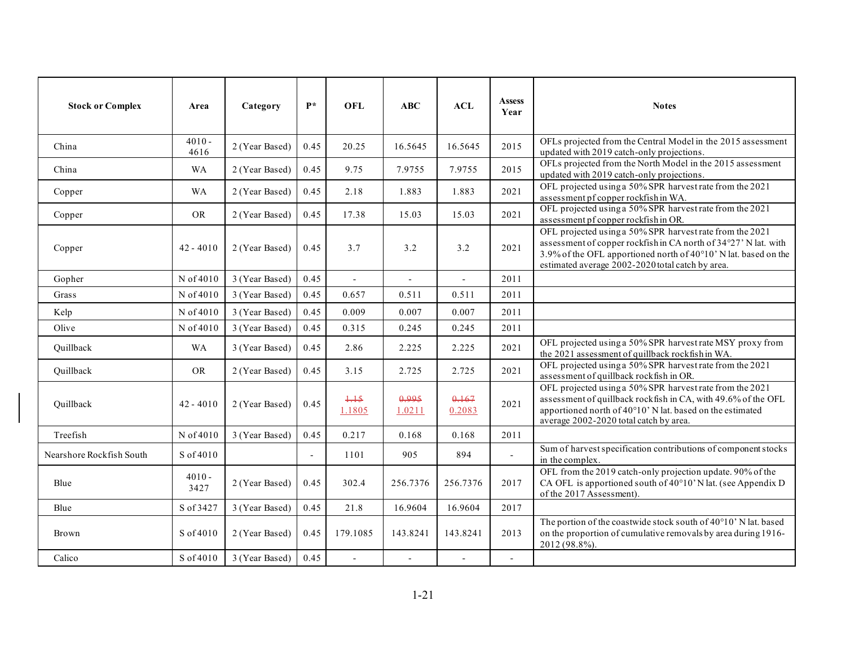| <b>Stock or Complex</b>  | Area             | Category       | $\mathbf{P}^*$ | <b>OFL</b>      | <b>ABC</b>      | ACL             | <b>Assess</b><br>Year    | <b>Notes</b>                                                                                                                                                                                                                                       |
|--------------------------|------------------|----------------|----------------|-----------------|-----------------|-----------------|--------------------------|----------------------------------------------------------------------------------------------------------------------------------------------------------------------------------------------------------------------------------------------------|
| China                    | $4010 -$<br>4616 | 2 (Year Based) | 0.45           | 20.25           | 16.5645         | 16.5645         | 2015                     | OFLs projected from the Central Model in the 2015 assessment<br>updated with 2019 catch-only projections.                                                                                                                                          |
| China                    | <b>WA</b>        | 2 (Year Based) | 0.45           | 9.75            | 7.9755          | 7.9755          | 2015                     | OFLs projected from the North Model in the 2015 assessment<br>updated with 2019 catch-only projections.                                                                                                                                            |
| Copper                   | <b>WA</b>        | 2 (Year Based) | 0.45           | 2.18            | 1.883           | 1.883           | 2021                     | OFL projected using a 50% SPR harvest rate from the 2021<br>assessment pf copper rockfish in WA.                                                                                                                                                   |
| Copper                   | <b>OR</b>        | 2 (Year Based) | 0.45           | 17.38           | 15.03           | 15.03           | 2021                     | OFL projected using a 50% SPR harvest rate from the 2021<br>assessment pf copper rockfish in OR.                                                                                                                                                   |
| Copper                   | $42 - 4010$      | 2 (Year Based) | 0.45           | 3.7             | 3.2             | 3.2             | 2021                     | OFL projected using a 50% SPR harvest rate from the 2021<br>assessment of copper rockfish in CA north of 34°27' N lat. with<br>3.9% of the OFL apportioned north of 40°10' N lat. based on the<br>estimated average 2002-2020 total catch by area. |
| Gopher                   | N of 4010        | 3 (Year Based) | 0.45           |                 |                 | $\overline{a}$  | 2011                     |                                                                                                                                                                                                                                                    |
| Grass                    | N of 4010        | 3 (Year Based) | 0.45           | 0.657           | 0.511           | 0.511           | 2011                     |                                                                                                                                                                                                                                                    |
| Kelp                     | N of 4010        | 3 (Year Based) | 0.45           | 0.009           | 0.007           | 0.007           | 2011                     |                                                                                                                                                                                                                                                    |
| Olive                    | N of 4010        | 3 (Year Based) | 0.45           | 0.315           | 0.245           | 0.245           | 2011                     |                                                                                                                                                                                                                                                    |
| Quillback                | <b>WA</b>        | 3 (Year Based) | 0.45           | 2.86            | 2.225           | 2.225           | 2021                     | OFL projected using a 50% SPR harvest rate MSY proxy from<br>the 2021 assessment of quillback rockfish in WA.                                                                                                                                      |
| Quillback                | <b>OR</b>        | 2 (Year Based) | 0.45           | 3.15            | 2.725           | 2.725           | 2021                     | OFL projected using a 50% SPR harvest rate from the 2021<br>assessment of quillback rockfish in OR.                                                                                                                                                |
| Ouillback                | $42 - 4010$      | 2 (Year Based) | 0.45           | $+15$<br>1.1805 | جووبو<br>1.0211 | 0.167<br>0.2083 | 2021                     | OFL projected using a 50% SPR harvest rate from the 2021<br>assessment of quillback rockfish in CA, with 49.6% of the OFL<br>apportioned north of 40°10' N lat. based on the estimated<br>average 2002-2020 total catch by area.                   |
| Treefish                 | N of 4010        | 3 (Year Based) | 0.45           | 0.217           | 0.168           | 0.168           | 2011                     |                                                                                                                                                                                                                                                    |
| Nearshore Rockfish South | S of 4010        |                | $\overline{a}$ | 1101            | 905             | 894             | $\overline{a}$           | Sum of harvest specification contributions of component stocks<br>in the complex.                                                                                                                                                                  |
| Blue                     | $4010 -$<br>3427 | 2 (Year Based) | 0.45           | 302.4           | 256.7376        | 256.7376        | 2017                     | OFL from the 2019 catch-only projection update. 90% of the<br>CA OFL is apportioned south of 40°10'N lat. (see Appendix D<br>of the 2017 Assessment).                                                                                              |
| Blue                     | S of 3427        | 3 (Year Based) | 0.45           | 21.8            | 16.9604         | 16.9604         | 2017                     |                                                                                                                                                                                                                                                    |
| Brown                    | S of 4010        | 2 (Year Based) | 0.45           | 179.1085        | 143.8241        | 143.8241        | 2013                     | The portion of the coastwide stock south of 40°10' N lat. based<br>on the proportion of cumulative removals by area during 1916-<br>2012 (98.8%).                                                                                                  |
| Calico                   | S of 4010        | 3 (Year Based) | 0.45           | $\overline{a}$  | $\overline{a}$  | $\blacksquare$  | $\overline{\phantom{a}}$ |                                                                                                                                                                                                                                                    |

ı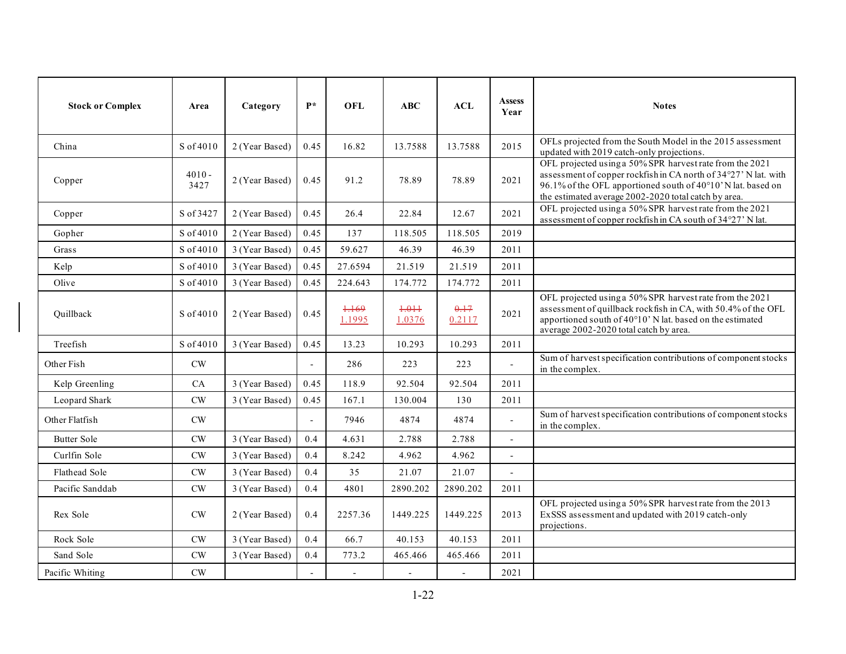| <b>Stock or Complex</b> | Area             | Category       | $P*$                     | <b>OFL</b>       | ABC                 | <b>ACL</b>     | <b>Assess</b><br>Year    | <b>Notes</b>                                                                                                                                                                                                                                        |
|-------------------------|------------------|----------------|--------------------------|------------------|---------------------|----------------|--------------------------|-----------------------------------------------------------------------------------------------------------------------------------------------------------------------------------------------------------------------------------------------------|
| China                   | S of 4010        | 2 (Year Based) | 0.45                     | 16.82            | 13.7588             | 13.7588        | 2015                     | OFLs projected from the South Model in the 2015 assessment<br>updated with 2019 catch-only projections.                                                                                                                                             |
| Copper                  | $4010 -$<br>3427 | 2 (Year Based) | 0.45                     | 91.2             | 78.89               | 78.89          | 2021                     | OFL projected using a 50% SPR harvest rate from the 2021<br>assessment of copper rockfish in CA north of 34°27' N lat. with<br>96.1% of the OFL apportioned south of 40°10' N lat. based on<br>the estimated average 2002-2020 total catch by area. |
| Copper                  | S of 3427        | 2 (Year Based) | 0.45                     | 26.4             | 22.84               | 12.67          | 2021                     | OFL projected using a 50% SPR harvest rate from the 2021<br>assessment of copper rockfish in CA south of 34°27' N lat.                                                                                                                              |
| Gopher                  | S of 4010        | 2 (Year Based) | 0.45                     | 137              | 118.505             | 118.505        | 2019                     |                                                                                                                                                                                                                                                     |
| Grass                   | S of 4010        | 3 (Year Based) | 0.45                     | 59.627           | 46.39               | 46.39          | 2011                     |                                                                                                                                                                                                                                                     |
| Kelp                    | S of 4010        | 3 (Year Based) | 0.45                     | 27.6594          | 21.519              | 21.519         | 2011                     |                                                                                                                                                                                                                                                     |
| Olive                   | S of 4010        | 3 (Year Based) | 0.45                     | 224.643          | 174.772             | 174.772        | 2011                     |                                                                                                                                                                                                                                                     |
| Quillback               | S of 4010        | 2 (Year Based) | 0.45                     | $+169$<br>1.1995 | $+0.01 +$<br>1.0376 | 0.17<br>0.2117 | 2021                     | OFL projected using a 50% SPR harvest rate from the 2021<br>assessment of quillback rockfish in CA, with 50.4% of the OFL<br>apportioned south of 40°10' N lat. based on the estimated<br>average 2002-2020 total catch by area.                    |
| Treefish                | S of 4010        | 3 (Year Based) | 0.45                     | 13.23            | 10.293              | 10.293         | 2011                     |                                                                                                                                                                                                                                                     |
| Other Fish              | CW               |                | $\sim$                   | 286              | 223                 | 223            |                          | Sum of harvest specification contributions of component stocks<br>in the complex.                                                                                                                                                                   |
| Kelp Greenling          | CA               | 3 (Year Based) | 0.45                     | 118.9            | 92.504              | 92.504         | 2011                     |                                                                                                                                                                                                                                                     |
| Leopard Shark           | CW               | 3 (Year Based) | 0.45                     | 167.1            | 130.004             | 130            | 2011                     |                                                                                                                                                                                                                                                     |
| Other Flatfish          | $\mathrm{CW}$    |                | $\overline{\phantom{a}}$ | 7946             | 4874                | 4874           | $\overline{a}$           | Sum of harvest specification contributions of component stocks<br>in the complex.                                                                                                                                                                   |
| <b>Butter Sole</b>      | CW               | 3 (Year Based) | 0.4                      | 4.631            | 2.788               | 2.788          | $\overline{a}$           |                                                                                                                                                                                                                                                     |
| Curlfin Sole            | CW               | 3 (Year Based) | 0.4                      | 8.242            | 4.962               | 4.962          | $\overline{\phantom{a}}$ |                                                                                                                                                                                                                                                     |
| Flathead Sole           | CW               | 3 (Year Based) | 0.4                      | 35               | 21.07               | 21.07          | $\overline{a}$           |                                                                                                                                                                                                                                                     |
| Pacific Sanddab         | CW               | 3 (Year Based) | 0.4                      | 4801             | 2890.202            | 2890.202       | 2011                     |                                                                                                                                                                                                                                                     |
| Rex Sole                | CW               | 2 (Year Based) | 0.4                      | 2257.36          | 1449.225            | 1449.225       | 2013                     | OFL projected using a 50% SPR harvest rate from the 2013<br>ExSSS assessment and updated with 2019 catch-only<br>projections.                                                                                                                       |
| Rock Sole               | $\mathrm{CW}$    | 3 (Year Based) | 0.4                      | 66.7             | 40.153              | 40.153         | 2011                     |                                                                                                                                                                                                                                                     |
| Sand Sole               | CW               | 3 (Year Based) | 0.4                      | 773.2            | 465.466             | 465.466        | 2011                     |                                                                                                                                                                                                                                                     |
| Pacific Whiting         | CW               |                |                          |                  |                     |                | 2021                     |                                                                                                                                                                                                                                                     |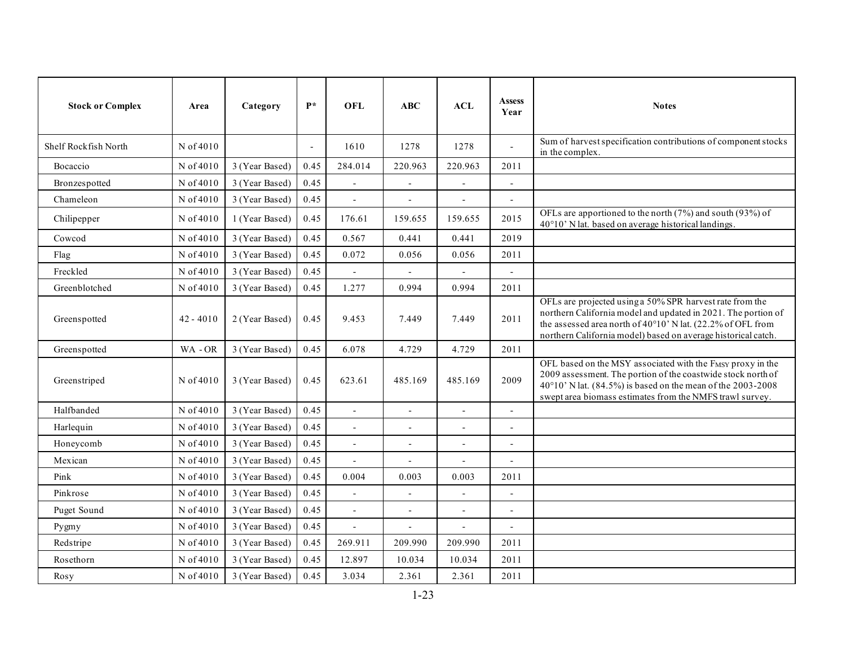| <b>Stock or Complex</b> | Area        | Category       | $\mathbf{P}^*$ | <b>OFL</b>               | ABC                      | <b>ACL</b>               | <b>Assess</b><br>Year    | <b>Notes</b>                                                                                                                                                                                                                                              |
|-------------------------|-------------|----------------|----------------|--------------------------|--------------------------|--------------------------|--------------------------|-----------------------------------------------------------------------------------------------------------------------------------------------------------------------------------------------------------------------------------------------------------|
| Shelf Rockfish North    | N of 4010   |                | $\sim$         | 1610                     | 1278                     | 1278                     | $\blacksquare$           | Sum of harvest specification contributions of component stocks<br>in the complex.                                                                                                                                                                         |
| Bocaccio                | N of 4010   | 3 (Year Based) | 0.45           | 284.014                  | 220.963                  | 220.963                  | 2011                     |                                                                                                                                                                                                                                                           |
| Bronzespotted           | N of 4010   | 3 (Year Based) | 0.45           | $\overline{a}$           | $\overline{\phantom{a}}$ | $\overline{\phantom{a}}$ | $\blacksquare$           |                                                                                                                                                                                                                                                           |
| Chameleon               | N of 4010   | 3 (Year Based) | 0.45           | $\blacksquare$           | $\overline{\phantom{a}}$ | $\overline{\phantom{a}}$ | $\blacksquare$           |                                                                                                                                                                                                                                                           |
| Chilipepper             | N of 4010   | 1 (Year Based) | 0.45           | 176.61                   | 159.655                  | 159.655                  | 2015                     | OFLs are apportioned to the north $(7%)$ and south $(93%)$ of<br>40°10' N lat. based on average historical landings.                                                                                                                                      |
| Cowcod                  | N of 4010   | 3 (Year Based) | 0.45           | 0.567                    | 0.441                    | 0.441                    | 2019                     |                                                                                                                                                                                                                                                           |
| Flag                    | N of 4010   | 3 (Year Based) | 0.45           | 0.072                    | 0.056                    | 0.056                    | 2011                     |                                                                                                                                                                                                                                                           |
| Freckled                | N of 4010   | 3 (Year Based) | 0.45           | $\overline{a}$           |                          | $\overline{a}$           |                          |                                                                                                                                                                                                                                                           |
| Greenblotched           | N of 4010   | 3 (Year Based) | 0.45           | 1.277                    | 0.994                    | 0.994                    | 2011                     |                                                                                                                                                                                                                                                           |
| Greenspotted            | $42 - 4010$ | 2 (Year Based) | 0.45           | 9.453                    | 7.449                    | 7.449                    | 2011                     | OFLs are projected using a 50% SPR harvest rate from the<br>northern California model and updated in 2021. The portion of<br>the assessed area north of 40°10' N lat. (22.2% of OFL from<br>northern California model) based on average historical catch. |
| Greenspotted            | WA-OR       | 3 (Year Based) | 0.45           | 6.078                    | 4.729                    | 4.729                    | 2011                     |                                                                                                                                                                                                                                                           |
| Greenstriped            | N of 4010   | 3 (Year Based) | 0.45           | 623.61                   | 485.169                  | 485.169                  | 2009                     | OFL based on the MSY associated with the FMSY proxy in the<br>2009 assessment. The portion of the coastwide stock north of<br>40°10' N lat. (84.5%) is based on the mean of the 2003-2008<br>swept area biomass estimates from the NMFS trawl survey.     |
| Halfbanded              | N of 4010   | 3 (Year Based) | 0.45           | $\overline{a}$           | $\overline{\phantom{a}}$ | $\blacksquare$           | $\blacksquare$           |                                                                                                                                                                                                                                                           |
| Harlequin               | N of 4010   | 3 (Year Based) | 0.45           | $\overline{a}$           | $\overline{a}$           | $\overline{a}$           | $\overline{\phantom{a}}$ |                                                                                                                                                                                                                                                           |
| Honeycomb               | N of 4010   | 3 (Year Based) | 0.45           | $\overline{\phantom{a}}$ | $\overline{\phantom{a}}$ | $\overline{\phantom{a}}$ | $\blacksquare$           |                                                                                                                                                                                                                                                           |
| Mexican                 | N of 4010   | 3 (Year Based) | 0.45           | $\overline{a}$           | $\overline{\phantom{a}}$ | $\overline{\phantom{a}}$ | $\overline{\phantom{a}}$ |                                                                                                                                                                                                                                                           |
| Pink                    | N of 4010   | 3 (Year Based) | 0.45           | 0.004                    | 0.003                    | 0.003                    | 2011                     |                                                                                                                                                                                                                                                           |
| Pinkrose                | N of 4010   | 3 (Year Based) | 0.45           | $\overline{a}$           | $\overline{a}$           | $\overline{\phantom{a}}$ | $\overline{a}$           |                                                                                                                                                                                                                                                           |
| Puget Sound             | N of 4010   | 3 (Year Based) | 0.45           | $\overline{a}$           | $\overline{a}$           |                          |                          |                                                                                                                                                                                                                                                           |
| Pygmy                   | N of 4010   | 3 (Year Based) | 0.45           | $\overline{a}$           | $\overline{\phantom{a}}$ | $\overline{a}$           | $\overline{\phantom{a}}$ |                                                                                                                                                                                                                                                           |
| Redstripe               | N of 4010   | 3 (Year Based) | 0.45           | 269.911                  | 209.990                  | 209.990                  | 2011                     |                                                                                                                                                                                                                                                           |
| Rosethorn               | N of 4010   | 3 (Year Based) | 0.45           | 12.897                   | 10.034                   | 10.034                   | 2011                     |                                                                                                                                                                                                                                                           |
| Rosy                    | N of 4010   | 3 (Year Based) | 0.45           | 3.034                    | 2.361                    | 2.361                    | 2011                     |                                                                                                                                                                                                                                                           |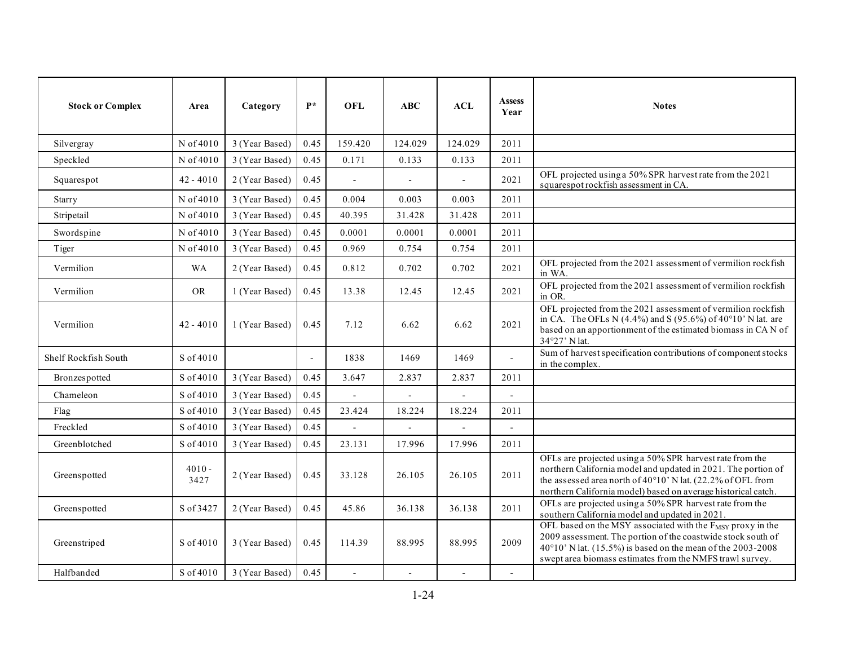| <b>Stock or Complex</b> | Area             | Category       | $\mathbf{P}^*$ | <b>OFL</b>     | ABC            | ACL                      | <b>Assess</b><br>Year | <b>Notes</b>                                                                                                                                                                                                                                              |
|-------------------------|------------------|----------------|----------------|----------------|----------------|--------------------------|-----------------------|-----------------------------------------------------------------------------------------------------------------------------------------------------------------------------------------------------------------------------------------------------------|
| Silvergray              | N of 4010        | 3 (Year Based) | 0.45           | 159.420        | 124.029        | 124.029                  | 2011                  |                                                                                                                                                                                                                                                           |
| Speckled                | N of 4010        | 3 (Year Based) | 0.45           | 0.171          | 0.133          | 0.133                    | 2011                  |                                                                                                                                                                                                                                                           |
| Squarespot              | $42 - 4010$      | 2 (Year Based) | 0.45           | $\overline{a}$ | $\overline{a}$ | $\sim$                   | 2021                  | OFL projected using a 50% SPR harvest rate from the 2021<br>squarespot rockfish assessment in CA.                                                                                                                                                         |
| Starry                  | N of 4010        | 3 (Year Based) | 0.45           | 0.004          | 0.003          | 0.003                    | 2011                  |                                                                                                                                                                                                                                                           |
| Stripetail              | N of 4010        | 3 (Year Based) | 0.45           | 40.395         | 31.428         | 31.428                   | 2011                  |                                                                                                                                                                                                                                                           |
| Swordspine              | N of 4010        | 3 (Year Based) | 0.45           | 0.0001         | 0.0001         | 0.0001                   | 2011                  |                                                                                                                                                                                                                                                           |
| Tiger                   | N of 4010        | 3 (Year Based) | 0.45           | 0.969          | 0.754          | 0.754                    | 2011                  |                                                                                                                                                                                                                                                           |
| Vermilion               | <b>WA</b>        | 2 (Year Based) | 0.45           | 0.812          | 0.702          | 0.702                    | 2021                  | OFL projected from the 2021 assessment of vermilion rockfish<br>in WA.                                                                                                                                                                                    |
| Vermilion               | <b>OR</b>        | 1 (Year Based) | 0.45           | 13.38          | 12.45          | 12.45                    | 2021                  | OFL projected from the 2021 assessment of vermilion rockfish<br>in OR.                                                                                                                                                                                    |
| Vermilion               | $42 - 4010$      | 1 (Year Based) | 0.45           | 7.12           | 6.62           | 6.62                     | 2021                  | OFL projected from the 2021 assessment of vermilion rockfish<br>in CA. The OFLs N (4.4%) and S (95.6%) of 40°10' N lat. are<br>based on an apportionment of the estimated biomass in CAN of<br>34°27' N lat.                                              |
| Shelf Rockfish South    | S of 4010        |                |                | 1838           | 1469           | 1469                     |                       | Sum of harvest specification contributions of component stocks<br>in the complex.                                                                                                                                                                         |
| Bronzespotted           | S of 4010        | 3 (Year Based) | 0.45           | 3.647          | 2.837          | 2.837                    | 2011                  |                                                                                                                                                                                                                                                           |
| Chameleon               | S of 4010        | 3 (Year Based) | 0.45           |                |                |                          | $\overline{a}$        |                                                                                                                                                                                                                                                           |
| Flag                    | S of 4010        | 3 (Year Based) | 0.45           | 23.424         | 18.224         | 18.224                   | 2011                  |                                                                                                                                                                                                                                                           |
| Freckled                | S of 4010        | 3 (Year Based) | 0.45           |                |                | $\overline{\phantom{a}}$ |                       |                                                                                                                                                                                                                                                           |
| Greenblotched           | S of 4010        | 3 (Year Based) | 0.45           | 23.131         | 17.996         | 17.996                   | 2011                  |                                                                                                                                                                                                                                                           |
| Greenspotted            | $4010 -$<br>3427 | 2 (Year Based) | 0.45           | 33.128         | 26.105         | 26.105                   | 2011                  | OFLs are projected using a 50% SPR harvest rate from the<br>northern California model and updated in 2021. The portion of<br>the assessed area north of 40°10' N lat. (22.2% of OFL from<br>northern California model) based on average historical catch. |
| Greenspotted            | S of 3427        | 2 (Year Based) | 0.45           | 45.86          | 36.138         | 36.138                   | 2011                  | OFLs are projected using a 50% SPR harvest rate from the<br>southern California model and updated in 2021.                                                                                                                                                |
| Greenstriped            | S of 4010        | 3 (Year Based) | 0.45           | 114.39         | 88.995         | 88.995                   | 2009                  | OFL based on the MSY associated with the FMSY proxy in the<br>2009 assessment. The portion of the coastwide stock south of<br>40°10' N lat. (15.5%) is based on the mean of the 2003-2008<br>swept area biomass estimates from the NMFS trawl survey.     |
| Halfbanded              | S of 4010        | 3 (Year Based) | 0.45           | $\overline{a}$ | $\overline{a}$ | $\blacksquare$           | $\blacksquare$        |                                                                                                                                                                                                                                                           |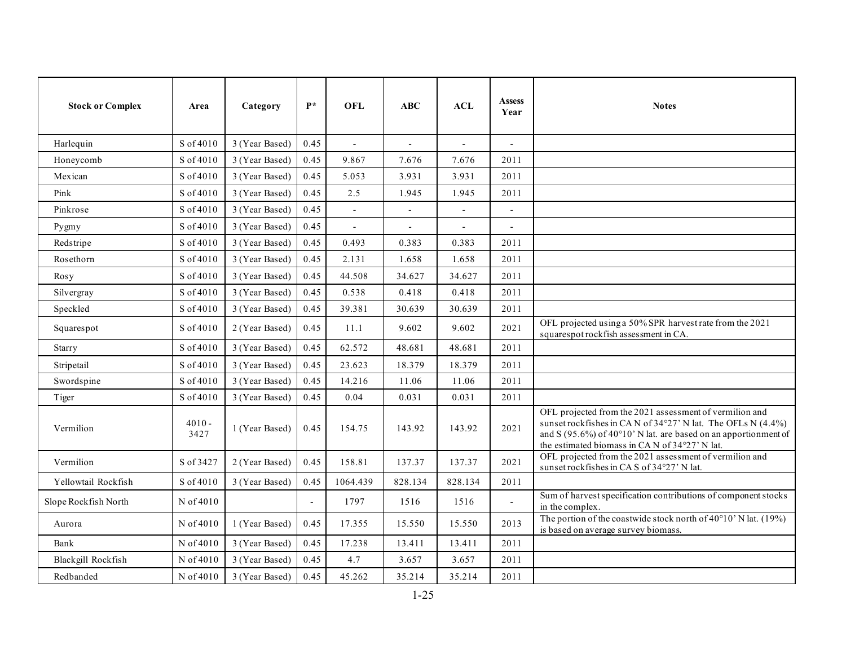| <b>Stock or Complex</b> | Area             | Category       | $P^*$ | <b>OFL</b>               | ABC                      | ACL                      | <b>Assess</b><br>Year    | <b>Notes</b>                                                                                                                                                                                                                               |
|-------------------------|------------------|----------------|-------|--------------------------|--------------------------|--------------------------|--------------------------|--------------------------------------------------------------------------------------------------------------------------------------------------------------------------------------------------------------------------------------------|
| Harlequin               | S of 4010        | 3 (Year Based) | 0.45  | $\overline{a}$           | $\overline{a}$           | $\overline{a}$           | $\overline{a}$           |                                                                                                                                                                                                                                            |
| Honeycomb               | S of 4010        | 3 (Year Based) | 0.45  | 9.867                    | 7.676                    | 7.676                    | 2011                     |                                                                                                                                                                                                                                            |
| Mexican                 | S of 4010        | 3 (Year Based) | 0.45  | 5.053                    | 3.931                    | 3.931                    | 2011                     |                                                                                                                                                                                                                                            |
| Pink                    | S of 4010        | 3 (Year Based) | 0.45  | 2.5                      | 1.945                    | 1.945                    | 2011                     |                                                                                                                                                                                                                                            |
| Pinkrose                | S of 4010        | 3 (Year Based) | 0.45  | $\overline{a}$           |                          |                          |                          |                                                                                                                                                                                                                                            |
| Pygmy                   | S of 4010        | 3 (Year Based) | 0.45  | $\overline{\phantom{a}}$ | $\overline{\phantom{a}}$ | $\overline{\phantom{a}}$ | $\overline{\phantom{a}}$ |                                                                                                                                                                                                                                            |
| Redstripe               | S of 4010        | 3 (Year Based) | 0.45  | 0.493                    | 0.383                    | 0.383                    | 2011                     |                                                                                                                                                                                                                                            |
| Rosethorn               | S of 4010        | 3 (Year Based) | 0.45  | 2.131                    | 1.658                    | 1.658                    | 2011                     |                                                                                                                                                                                                                                            |
| Rosy                    | S of 4010        | 3 (Year Based) | 0.45  | 44.508                   | 34.627                   | 34.627                   | 2011                     |                                                                                                                                                                                                                                            |
| Silvergray              | S of 4010        | 3 (Year Based) | 0.45  | 0.538                    | 0.418                    | 0.418                    | 2011                     |                                                                                                                                                                                                                                            |
| Speckled                | S of 4010        | 3 (Year Based) | 0.45  | 39.381                   | 30.639                   | 30.639                   | 2011                     |                                                                                                                                                                                                                                            |
| Squarespot              | S of 4010        | 2 (Year Based) | 0.45  | 11.1                     | 9.602                    | 9.602                    | 2021                     | OFL projected using a 50% SPR harvest rate from the 2021<br>squarespot rockfish assessment in CA.                                                                                                                                          |
| Starry                  | S of 4010        | 3 (Year Based) | 0.45  | 62.572                   | 48.681                   | 48.681                   | 2011                     |                                                                                                                                                                                                                                            |
| Stripetail              | S of 4010        | 3 (Year Based) | 0.45  | 23.623                   | 18.379                   | 18.379                   | 2011                     |                                                                                                                                                                                                                                            |
| Swordspine              | S of 4010        | 3 (Year Based) | 0.45  | 14.216                   | 11.06                    | 11.06                    | 2011                     |                                                                                                                                                                                                                                            |
| Tiger                   | S of 4010        | 3 (Year Based) | 0.45  | 0.04                     | 0.031                    | 0.031                    | 2011                     |                                                                                                                                                                                                                                            |
| Vermilion               | $4010 -$<br>3427 | 1 (Year Based) | 0.45  | 154.75                   | 143.92                   | 143.92                   | 2021                     | OFL projected from the 2021 assessment of vermilion and<br>sunset rockfishes in CAN of 34°27' N lat. The OFLs N (4.4%)<br>and S (95.6%) of 40°10' N lat. are based on an apportionment of<br>the estimated biomass in CAN of 34°27' N lat. |
| Vermilion               | S of 3427        | 2 (Year Based) | 0.45  | 158.81                   | 137.37                   | 137.37                   | 2021                     | OFL projected from the 2021 assessment of vermilion and<br>sunset rockfishes in CAS of 34°27' N lat.                                                                                                                                       |
| Yellowtail Rockfish     | S of 4010        | 3 (Year Based) | 0.45  | 1064.439                 | 828.134                  | 828.134                  | 2011                     |                                                                                                                                                                                                                                            |
| Slope Rockfish North    | N of 4010        |                |       | 1797                     | 1516                     | 1516                     | $\overline{\phantom{a}}$ | Sum of harvest specification contributions of component stocks<br>in the complex.                                                                                                                                                          |
| Aurora                  | N of 4010        | 1 (Year Based) | 0.45  | 17.355                   | 15.550                   | 15.550                   | 2013                     | The portion of the coastwide stock north of $40^{\circ}10'$ N lat. (19%)<br>is based on average survey biomass.                                                                                                                            |
| Bank                    | N of 4010        | 3 (Year Based) | 0.45  | 17.238                   | 13.411                   | 13.411                   | 2011                     |                                                                                                                                                                                                                                            |
| Blackgill Rockfish      | N of 4010        | 3 (Year Based) | 0.45  | 4.7                      | 3.657                    | 3.657                    | 2011                     |                                                                                                                                                                                                                                            |
| Redbanded               | N of 4010        | 3 (Year Based) | 0.45  | 45.262                   | 35.214                   | 35.214                   | 2011                     |                                                                                                                                                                                                                                            |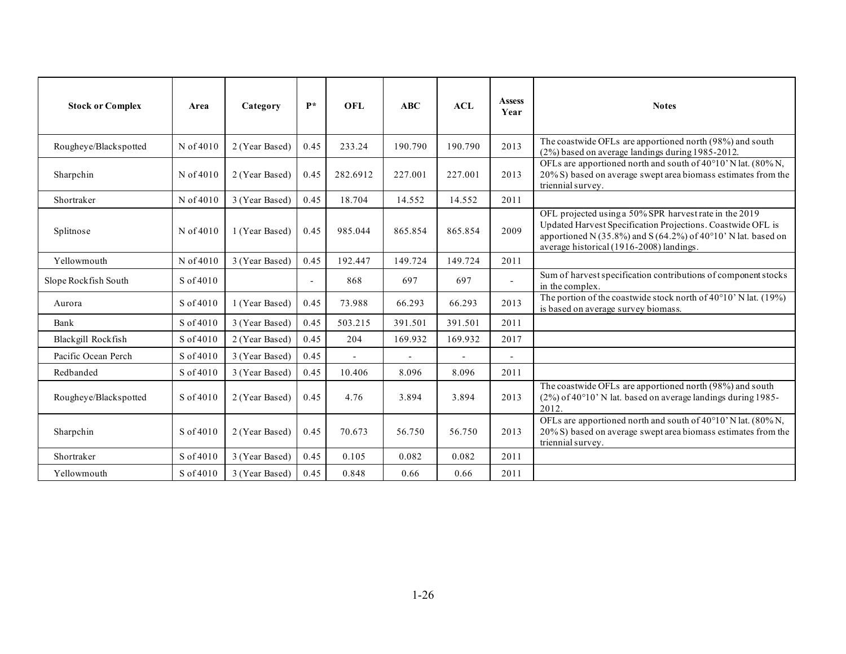| <b>Stock or Complex</b> | Area      | Category       | $\mathbf{P}^*$           | <b>OFL</b>     | ABC     | ACL            | <b>Assess</b><br>Year    | <b>Notes</b>                                                                                                                                                                                                                       |
|-------------------------|-----------|----------------|--------------------------|----------------|---------|----------------|--------------------------|------------------------------------------------------------------------------------------------------------------------------------------------------------------------------------------------------------------------------------|
| Rougheye/Blackspotted   | N of 4010 | 2 (Year Based) | 0.45                     | 233.24         | 190.790 | 190.790        | 2013                     | The coastwide OFLs are apportioned north (98%) and south<br>(2%) based on average landings during 1985-2012.                                                                                                                       |
| Sharpchin               | N of 4010 | 2 (Year Based) | 0.45                     | 282.6912       | 227.001 | 227.001        | 2013                     | OFLs are apportioned north and south of 40°10' N lat. (80% N,<br>20% S) based on average swept area biomass estimates from the<br>triennial survey.                                                                                |
| Shortraker              | N of 4010 | 3 (Year Based) | 0.45                     | 18.704         | 14.552  | 14.552         | 2011                     |                                                                                                                                                                                                                                    |
| Splitnose               | N of 4010 | 1 (Year Based) | 0.45                     | 985.044        | 865.854 | 865.854        | 2009                     | OFL projected using a 50% SPR harvest rate in the 2019<br>Updated Harvest Specification Projections. Coastwide OFL is<br>apportioned N (35.8%) and S (64.2%) of 40°10' N lat. based on<br>average historical (1916-2008) landings. |
| Yellowmouth             | N of 4010 | 3 (Year Based) | 0.45                     | 192.447        | 149.724 | 149.724        | 2011                     |                                                                                                                                                                                                                                    |
| Slope Rockfish South    | S of 4010 |                | $\overline{\phantom{a}}$ | 868            | 697     | 697            | $\overline{\phantom{a}}$ | Sum of harvest specification contributions of component stocks<br>in the complex.                                                                                                                                                  |
| Aurora                  | S of 4010 | 1 (Year Based) | 0.45                     | 73.988         | 66.293  | 66.293         | 2013                     | The portion of the coastwide stock north of 40°10' N lat. (19%)<br>is based on average survey biomass.                                                                                                                             |
| Bank                    | S of 4010 | 3 (Year Based) | 0.45                     | 503.215        | 391.501 | 391.501        | 2011                     |                                                                                                                                                                                                                                    |
| Blackgill Rockfish      | S of 4010 | 2 (Year Based) | 0.45                     | 204            | 169.932 | 169.932        | 2017                     |                                                                                                                                                                                                                                    |
| Pacific Ocean Perch     | S of 4010 | 3 (Year Based) | 0.45                     | $\overline{a}$ |         | $\overline{a}$ | $\overline{a}$           |                                                                                                                                                                                                                                    |
| Redbanded               | S of 4010 | 3 (Year Based) | 0.45                     | 10.406         | 8.096   | 8.096          | 2011                     |                                                                                                                                                                                                                                    |
| Rougheye/Blackspotted   | S of 4010 | 2 (Year Based) | 0.45                     | 4.76           | 3.894   | 3.894          | 2013                     | The coastwide OFLs are apportioned north (98%) and south<br>(2%) of 40°10' N lat. based on average landings during 1985-<br>2012.                                                                                                  |
| Sharpchin               | S of 4010 | 2 (Year Based) | 0.45                     | 70.673         | 56.750  | 56.750         | 2013                     | OFLs are apportioned north and south of 40°10' N lat. (80% N,<br>20% S) based on average swept area biomass estimates from the<br>triennial survey.                                                                                |
| Shortraker              | S of 4010 | 3 (Year Based) | 0.45                     | 0.105          | 0.082   | 0.082          | 2011                     |                                                                                                                                                                                                                                    |
| Yellowmouth             | S of 4010 | 3 (Year Based) | 0.45                     | 0.848          | 0.66    | 0.66           | 2011                     |                                                                                                                                                                                                                                    |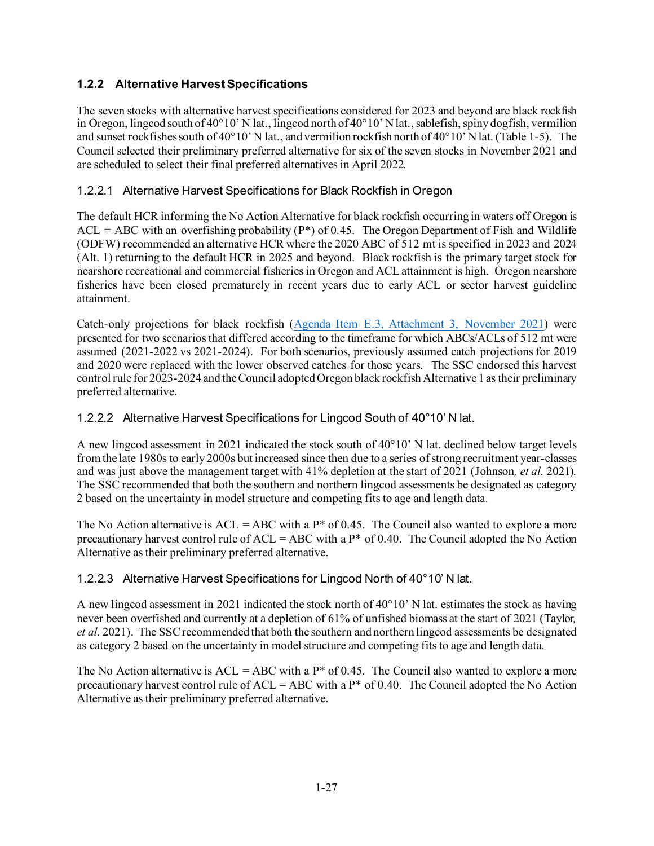# <span id="page-26-0"></span>**1.2.2 Alternative Harvest Specifications**

The seven stocks with alternative harvest specifications considered for 2023 and beyond are black rockfish in Oregon, lingcod south of 40°10' N lat., lingcod north of 40°10' N lat., sablefish, spiny dogfish, vermilion and sunset rockfishes south of 40°10' N lat., and vermilion rockfish north of 40°10' N lat. [\(Table 1-5\)](#page-29-0). The Council selected their preliminary preferred alternative for six of the seven stocks in November 2021 and are scheduled to select their final preferred alternatives in April 2022.

## 1.2.2.1 Alternative Harvest Specifications for Black Rockfish in Oregon

The default HCR informing the No Action Alternative for black rockfish occurring in waters off Oregon is  $ACL = ABC$  with an overfishing probability ( $P^*$ ) of 0.45. The Oregon Department of Fish and Wildlife (ODFW) recommended an alternative HCR where the 2020 ABC of 512 mt is specified in 2023 and 2024 (Alt. 1) returning to the default HCR in 2025 and beyond. Black rockfish is the primary target stock for nearshore recreational and commercial fisheries in Oregon and ACL attainment is high. Oregon nearshore fisheries have been closed prematurely in recent years due to early ACL or sector harvest guideline attainment.

Catch-only projections for black rockfish [\(Agenda Item E.3, Attachment 3, November 2021\)](https://www.pcouncil.org/documents/2021/10/attachment-3-catch-only-projections-for-black-rockfish-sebastes-melanops-off-oregon-in-2021.pdf/) were presented for two scenarios that differed according to the timeframe for which ABCs/ACLs of 512 mt were assumed (2021-2022 vs 2021-2024). For both scenarios, previously assumed catch projections for 2019 and 2020 were replaced with the lower observed catches for those years. The SSC endorsed this harvest control rule for 2023-2024 and the Council adopted Oregon black rockfish Alternative 1 as their preliminary preferred alternative.

### 1.2.2.2 Alternative Harvest Specifications for Lingcod South of 40°10' N lat.

A new lingcod assessment in 2021 indicated the stock south of 40°10' N lat. declined below target levels from the late 1980s to early 2000s but increased since then due to a series of strong recruitment year-classes and was just above the management target with 41% depletion at the start of 2021 (Johnson*, et al.* 2021). The SSC recommended that both the southern and northern lingcod assessments be designated as category 2 based on the uncertainty in model structure and competing fits to age and length data.

The No Action alternative is  $ACL = ABC$  with a  $P^*$  of 0.45. The Council also wanted to explore a more precautionary harvest control rule of  $ACL = ABC$  with a  $P^*$  of 0.40. The Council adopted the No Action Alternative as their preliminary preferred alternative.

## 1.2.2.3 Alternative Harvest Specifications for Lingcod North of 40°10' N lat.

A new lingcod assessment in 2021 indicated the stock north of  $40^{\circ}10'$  N lat. estimates the stock as having never been overfished and currently at a depletion of 61% of unfished biomass at the start of 2021 (Taylor*, et al.* 2021). The SSC recommended that both the southern and northern lingcod assessments be designated as category 2 based on the uncertainty in model structure and competing fits to age and length data.

The No Action alternative is  $ACL = ABC$  with a P\* of 0.45. The Council also wanted to explore a more precautionary harvest control rule of ACL = ABC with a  $P^*$  of 0.40. The Council adopted the No Action Alternative as their preliminary preferred alternative.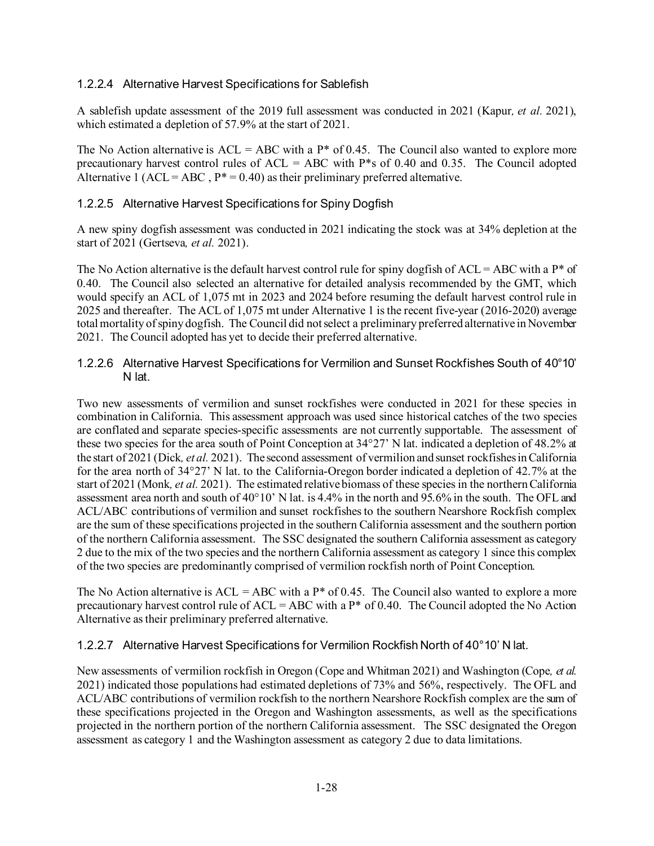### 1.2.2.4 Alternative Harvest Specifications for Sablefish

A sablefish update assessment of the 2019 full assessment was conducted in 2021 (Kapur*, et al.* 2021), which estimated a depletion of 57.9% at the start of 2021.

The No Action alternative is  $ACL = ABC$  with a  $P^*$  of 0.45. The Council also wanted to explore more precautionary harvest control rules of  $ACL = ABC$  with  $P$ <sup>\*</sup>s of 0.40 and 0.35. The Council adopted Alternative 1 (ACL = ABC,  $P^* = 0.40$ ) as their preliminary preferred alternative.

### 1.2.2.5 Alternative Harvest Specifications for Spiny Dogfish

A new spiny dogfish assessment was conducted in 2021 indicating the stock was at 34% depletion at the start of 2021 (Gertseva*, et al.* 2021).

The No Action alternative is the default harvest control rule for spiny dogfish of  $ACL = ABC$  with a  $P^*$  of 0.40. The Council also selected an alternative for detailed analysis recommended by the GMT, which would specify an ACL of 1,075 mt in 2023 and 2024 before resuming the default harvest control rule in 2025 and thereafter. The ACL of 1,075 mt under Alternative 1 is the recent five-year (2016-2020) average total mortality of spiny dogfish. The Council did not select a preliminary preferred alternative in November 2021. The Council adopted has yet to decide their preferred alternative.

### 1.2.2.6 Alternative Harvest Specifications for Vermilion and Sunset Rockfishes South of 40°10' N lat.

Two new assessments of vermilion and sunset rockfishes were conducted in 2021 for these species in combination in California. This assessment approach was used since historical catches of the two species are conflated and separate species-specific assessments are not currently supportable. The assessment of these two species for the area south of Point Conception at 34°27' N lat. indicated a depletion of 48.2% at the start of 2021 (Dick*, et al.* 2021). The second assessment of vermilion and sunset rockfishes in California for the area north of 34°27' N lat. to the California-Oregon border indicated a depletion of 42.7% at the start of 2021 (Monk*, et al.* 2021). The estimated relative biomass of these species in the northern California assessment area north and south of 40°10' N lat. is 4.4% in the north and 95.6% in the south. The OFL and ACL/ABC contributions of vermilion and sunset rockfishes to the southern Nearshore Rockfish complex are the sum of these specifications projected in the southern California assessment and the southern portion of the northern California assessment. The SSC designated the southern California assessment as category 2 due to the mix of the two species and the northern California assessment as category 1 since this complex of the two species are predominantly comprised of vermilion rockfish north of Point Conception.

The No Action alternative is  $ACL = ABC$  with a  $P^*$  of 0.45. The Council also wanted to explore a more precautionary harvest control rule of  $ACL = ABC$  with a  $P^*$  of 0.40. The Council adopted the No Action Alternative as their preliminary preferred alternative.

### 1.2.2.7 Alternative Harvest Specifications for Vermilion Rockfish North of 40°10' N lat.

New assessments of vermilion rockfish in Oregon (Cope and Whitman 2021) and Washington (Cope*, et al.* 2021) indicated those populations had estimated depletions of 73% and 56%, respectively. The OFL and ACL/ABC contributions of vermilion rockfish to the northern Nearshore Rockfish complex are the sum of these specifications projected in the Oregon and Washington assessments, as well as the specifications projected in the northern portion of the northern California assessment. The SSC designated the Oregon assessment as category 1 and the Washington assessment as category 2 due to data limitations.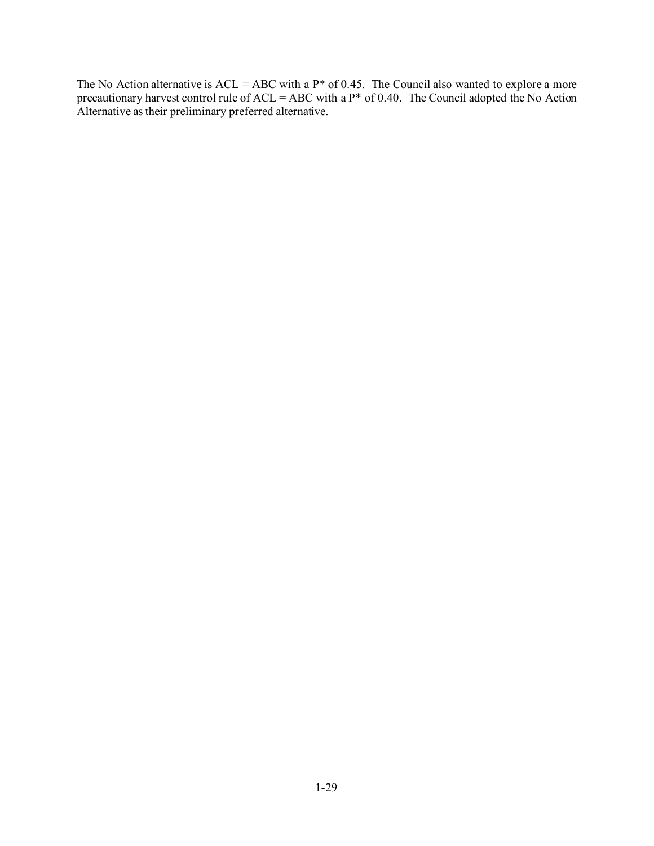The No Action alternative is  $ACL = ABC$  with a  $P^*$  of 0.45. The Council also wanted to explore a more precautionary harvest control rule of  $ACL = ABC$  with a  $P^*$  of 0.40. The Council adopted the No Action Alternative as their preliminary preferred alternative.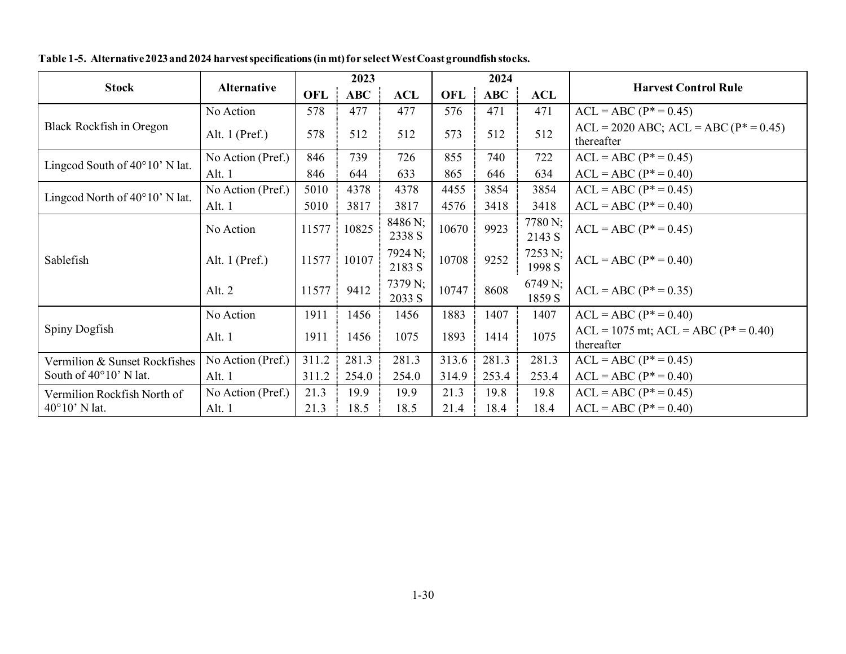<span id="page-29-0"></span>

|                                         |                   |            | 2023       |                   |            | 2024       |                   | <b>Harvest Control Rule</b>                                  |  |
|-----------------------------------------|-------------------|------------|------------|-------------------|------------|------------|-------------------|--------------------------------------------------------------|--|
| <b>Stock</b>                            | Alternative       | <b>OFL</b> | <b>ABC</b> | <b>ACL</b>        | <b>OFL</b> | <b>ABC</b> | <b>ACL</b>        |                                                              |  |
|                                         | No Action         | 578        | 477        | 477               | 576        | 471        | 471               | $ACL = ABC (P* = 0.45)$                                      |  |
| Black Rockfish in Oregon                | Alt. $1$ (Pref.)  | 578        | 512        | 512               | 573        | 512        | 512               | $ACL = 2020$ ABC; $ACL = ABC$ ( $P^* = 0.45$ )<br>thereafter |  |
| Lingcod South of $40^{\circ}10'$ N lat. | No Action (Pref.) | 846        | 739        | 726               | 855        | 740        | 722               | $ACL = ABC (P* = 0.45)$                                      |  |
|                                         | Alt. 1            | 846        | 644        | 633               | 865        | 646        | 634               | $ACL = ABC (P^* = 0.40)$                                     |  |
| Lingcod North of $40^{\circ}10'$ N lat. | No Action (Pref.) | 5010       | 4378       | 4378              | 4455       | 3854       | 3854              | $ACL = ABC (P* = 0.45)$                                      |  |
|                                         | Alt. 1            | 5010       | 3817       | 3817              | 4576       | 3418       | 3418              | $ACL = ABC (P* = 0.40)$                                      |  |
|                                         | No Action         | 11577      | 10825      | 8486 N;<br>2338 S | 10670      | 9923       | 7780 N;<br>2143 S | $ACL = ABC (P* = 0.45)$                                      |  |
| Sablefish                               | Alt. $1$ (Pref.)  | 11577      | 10107      | 7924 N;<br>2183 S | 10708      | 9252       | 7253 N;<br>1998 S | $ACL = ABC (P* = 0.40)$                                      |  |
|                                         | Alt. 2            | 11577      | 9412       | 7379 N;<br>2033 S | 10747      | 8608       | 6749 N;<br>1859 S | $ACL = ABC (P^* = 0.35)$                                     |  |
|                                         | No Action         | 1911       | 1456       | 1456              | 1883       | 1407       | 1407              | $ACL = ABC (P* = 0.40)$                                      |  |
| Spiny Dogfish                           | Alt. 1            | 1911       | 1456       | 1075              | 1893       | 1414       | 1075              | $ACL = 1075$ mt; $ACL = ABC (P* = 0.40)$<br>thereafter       |  |
| Vermilion & Sunset Rockfishes           | No Action (Pref.) | 311.2      | 281.3      | 281.3             | 313.6      | 281.3      | 281.3             | $ACL = ABC (P* = 0.45)$                                      |  |
| South of 40°10' N lat.                  | Alt. 1            | 311.2      | 254.0      | 254.0             | 314.9      | 253.4      | 253.4             | $ACL = ABC (P* = 0.40)$                                      |  |
| Vermilion Rockfish North of             | No Action (Pref.) | 21.3       | 19.9       | 19.9              | 21.3       | 19.8       | 19.8              | $ACL = ABC (P^* = 0.45)$                                     |  |
| $40^{\circ}10'$ N lat.                  | Alt. 1            | 21.3       | 18.5       | 18.5              | 21.4       | 18.4       | 18.4              | $ACL = ABC (P^* = 0.40)$                                     |  |

**Table 1-5. Alternative 2023 and 2024 harvest specifications (in mt) for select West Coast groundfish stocks.**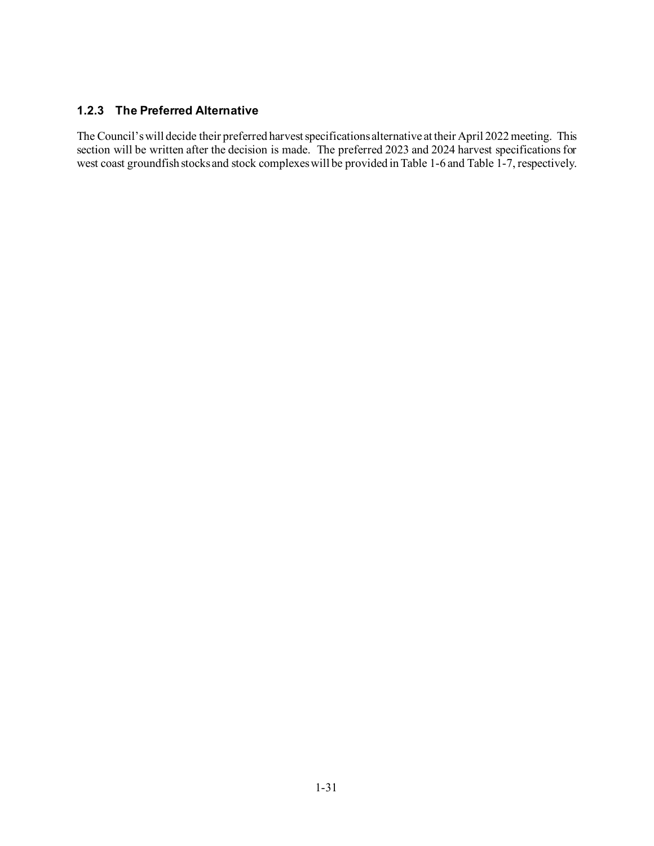### **1.2.3 The Preferred Alternative**

The Council's will decide their preferred harvest specifications alternative at their April 2022 meeting. This section will be written after the decision is made. The preferred 2023 and 2024 harvest specifications for west coast groundfish stocks and stock complexes will be provided i[n Table 1-6](#page-31-0) an[d Table 1-7,](#page-31-1) respectively.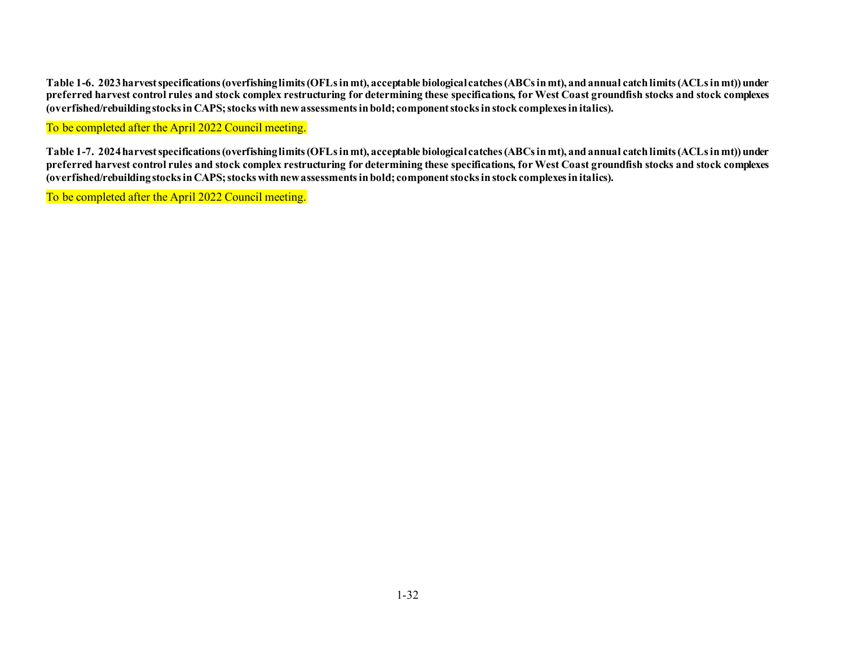**Table 1-6. 2023harvest specifications (overfishing limits (OFLs in mt), acceptable biological catches (ABCs in mt), and annual catch limits (ACLs in mt)) under preferred harvest control rules and stock complex restructuring for determining these specifications, for West Coast groundfish stocks and stock complexes (overfished/rebuilding stocks in CAPS; stocks with new assessments in bold; component stocks in stock complexes in italics).**

To be completed after the April 2022 Council meeting.

**Table 1-7. 2024harvest specifications (overfishing limits (OFLs in mt), acceptable biological catches (ABCs in mt), and annual catch limits (ACLs in mt)) under preferred harvest control rules and stock complex restructuring for determining these specifications, for West Coast groundfish stocks and stock complexes (overfished/rebuilding stocks in CAPS; stocks with new assessments in bold; component stocks in stock complexes in italics).**

<span id="page-31-1"></span><span id="page-31-0"></span>To be completed after the April 2022 Council meeting.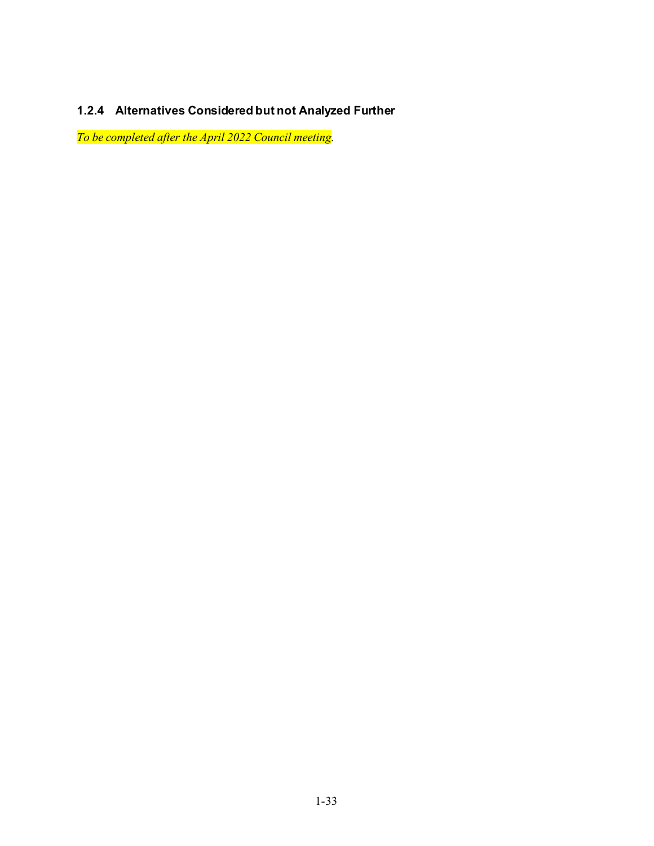# **1.2.4 Alternatives Considered but not Analyzed Further**

*To be completed after the April 2022 Council meeting.*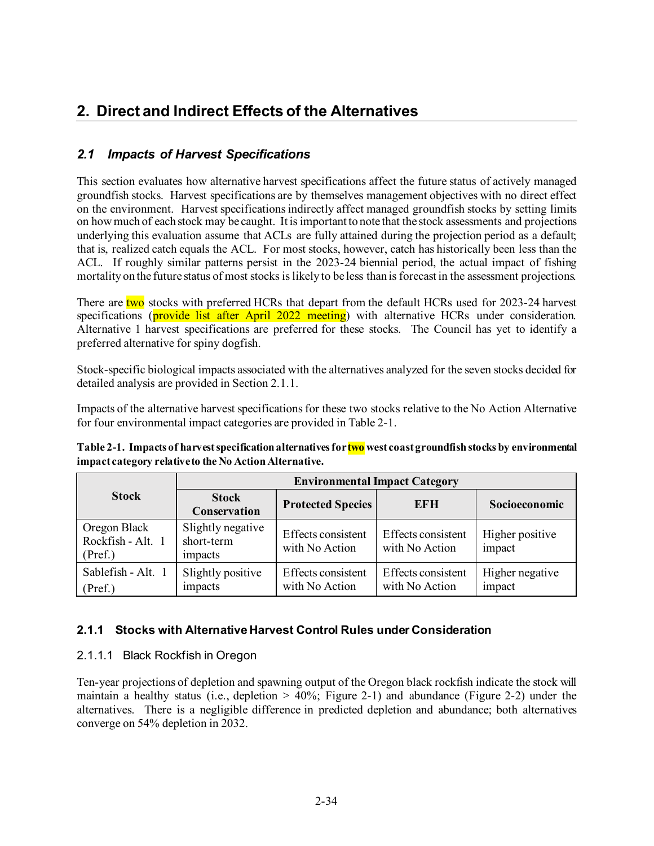# **2. Direct and Indirect Effects of the Alternatives**

# *2.1 Impacts of Harvest Specifications*

This section evaluates how alternative harvest specifications affect the future status of actively managed groundfish stocks. Harvest specifications are by themselves management objectives with no direct effect on the environment. Harvest specifications indirectly affect managed groundfish stocks by setting limits on how much of each stock may be caught. It is important to note that the stock assessments and projections underlying this evaluation assume that ACLs are fully attained during the projection period as a default; that is, realized catch equals the ACL. For most stocks, however, catch has historically been less than the ACL. If roughly similar patterns persist in the 2023-24 biennial period, the actual impact of fishing mortality on the future status of most stocks is likely to be less than is forecast in the assessment projections.

There are two stocks with preferred HCRs that depart from the default HCRs used for 2023-24 harvest specifications (**provide list after April 2022 meeting**) with alternative HCRs under consideration. Alternative 1 harvest specifications are preferred for these stocks. The Council has yet to identify a preferred alternative for spiny dogfish.

Stock-specific biological impacts associated with the alternatives analyzed for the seven stocks decided for detailed analysis are provided in Sectio[n 2.1.1.](#page-33-0)

Impacts of the alternative harvest specifications for these two stocks relative to the No Action Alternative for four environmental impact categories are provided i[n Table 2-1.](#page-33-1)

<span id="page-33-1"></span>**Table 2-1. Impacts of harvest specification alternatives for two west coast groundfish stocks by environmental impact category relative to the No Action Alternative.** 

|                                              | <b>Environmental Impact Category</b>       |                                      |                                      |                           |  |  |  |  |
|----------------------------------------------|--------------------------------------------|--------------------------------------|--------------------------------------|---------------------------|--|--|--|--|
| <b>Stock</b>                                 | <b>Stock</b><br>Conservation               | <b>Protected Species</b>             | EFH                                  | Socioeconomic             |  |  |  |  |
| Oregon Black<br>Rockfish - Alt. 1<br>(Pref.) | Slightly negative<br>short-term<br>impacts | Effects consistent<br>with No Action | Effects consistent<br>with No Action | Higher positive<br>impact |  |  |  |  |
| Sablefish - Alt. 1<br>(Pref.)                | Slightly positive<br>impacts               | Effects consistent<br>with No Action | Effects consistent<br>with No Action | Higher negative<br>impact |  |  |  |  |

## <span id="page-33-0"></span>**2.1.1 Stocks with Alternative Harvest Control Rules under Consideration**

## 2.1.1.1 Black Rockfish in Oregon

Ten-year projections of depletion and spawning output of the Oregon black rockfish indicate the stock will maintain a healthy status (i.e., depletion  $> 40\%$ ; [Figure 2-1\)](#page-35-0) and abundance [\(Figure 2-2\)](#page-36-0) under the alternatives. There is a negligible difference in predicted depletion and abundance; both alternatives converge on 54% depletion in 2032.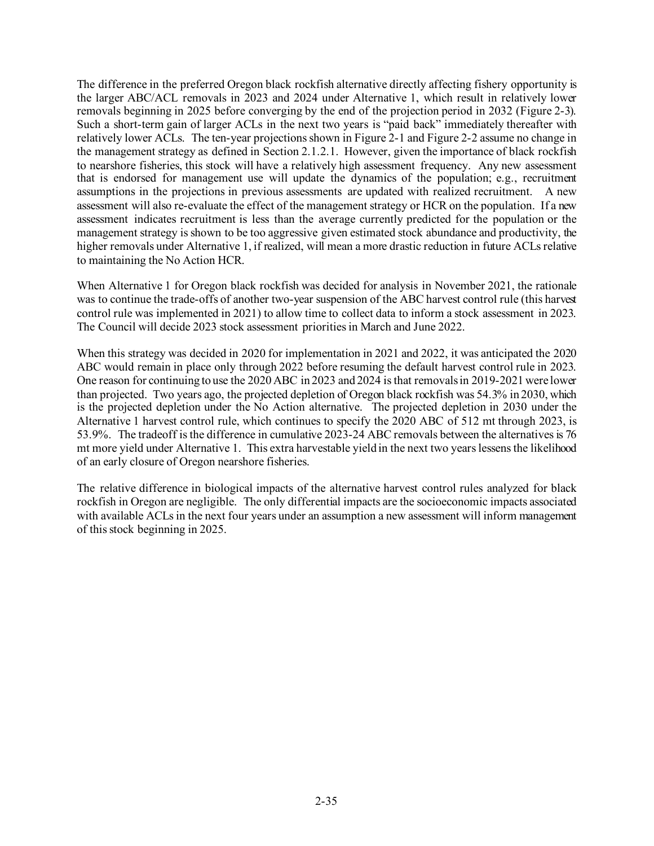The difference in the preferred Oregon black rockfish alternative directly affecting fishery opportunity is the larger ABC/ACL removals in 2023 and 2024 under Alternative 1, which result in relatively lower removals beginning in 2025 before converging by the end of the projection period in 2032 [\(Figure 2-3\)](#page-37-0). Such a short-term gain of larger ACLs in the next two years is "paid back" immediately thereafter with relatively lower ACLs. The ten-year projections shown in [Figure 2-1](#page-35-0) an[d Figure 2-2](#page-36-0) assume no change in the management strategy as defined in Section 2.1.2.1. However, given the importance of black rockfish to nearshore fisheries, this stock will have a relatively high assessment frequency. Any new assessment that is endorsed for management use will update the dynamics of the population; e.g., recruitment assumptions in the projections in previous assessments are updated with realized recruitment. A new assessment will also re-evaluate the effect of the management strategy or HCR on the population. If a new assessment indicates recruitment is less than the average currently predicted for the population or the management strategy is shown to be too aggressive given estimated stock abundance and productivity, the higher removals under Alternative 1, if realized, will mean a more drastic reduction in future ACLs relative to maintaining the No Action HCR.

When Alternative 1 for Oregon black rockfish was decided for analysis in November 2021, the rationale was to continue the trade-offs of another two-year suspension of the ABC harvest control rule (this harvest control rule was implemented in 2021) to allow time to collect data to inform a stock assessment in 2023. The Council will decide 2023 stock assessment priorities in March and June 2022.

When this strategy was decided in 2020 for implementation in 2021 and 2022, it was anticipated the 2020 ABC would remain in place only through 2022 before resuming the default harvest control rule in 2023. One reason for continuing to use the 2020 ABC in 2023 and 2024 is that removals in 2019-2021 were lower than projected. Two years ago, the projected depletion of Oregon black rockfish was 54.3% in 2030, which is the projected depletion under the No Action alternative. The projected depletion in 2030 under the Alternative 1 harvest control rule, which continues to specify the 2020 ABC of 512 mt through 2023, is 53.9%. The tradeoff is the difference in cumulative 2023-24 ABC removals between the alternatives is 76 mt more yield under Alternative 1. This extra harvestable yield in the next two years lessens the likelihood of an early closure of Oregon nearshore fisheries.

The relative difference in biological impacts of the alternative harvest control rules analyzed for black rockfish in Oregon are negligible. The only differential impacts are the socioeconomic impacts associated with available ACLs in the next four years under an assumption a new assessment will inform management of this stock beginning in 2025.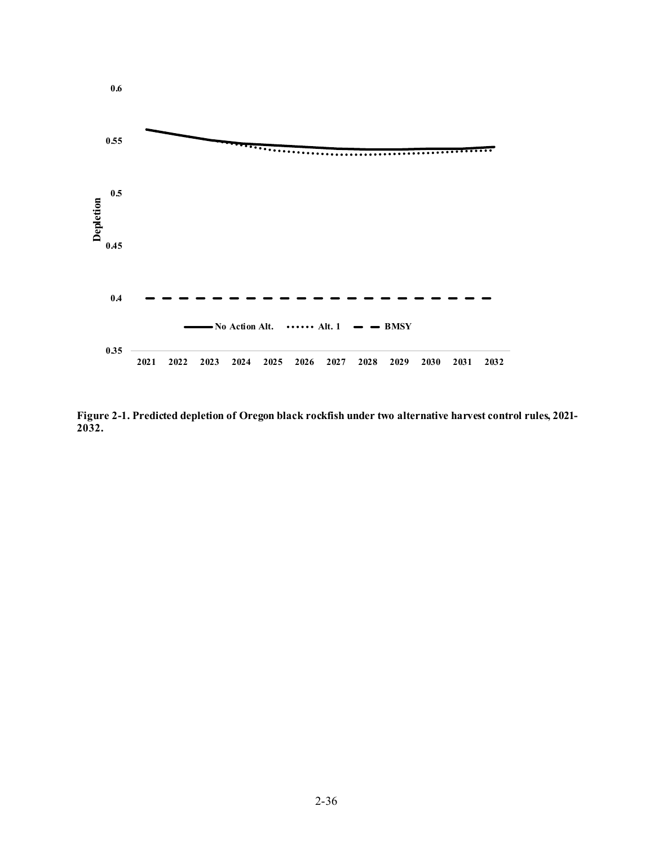

<span id="page-35-0"></span>**Figure 2-1. Predicted depletion of Oregon black rockfish under two alternative harvest control rules, 2021- 2032.**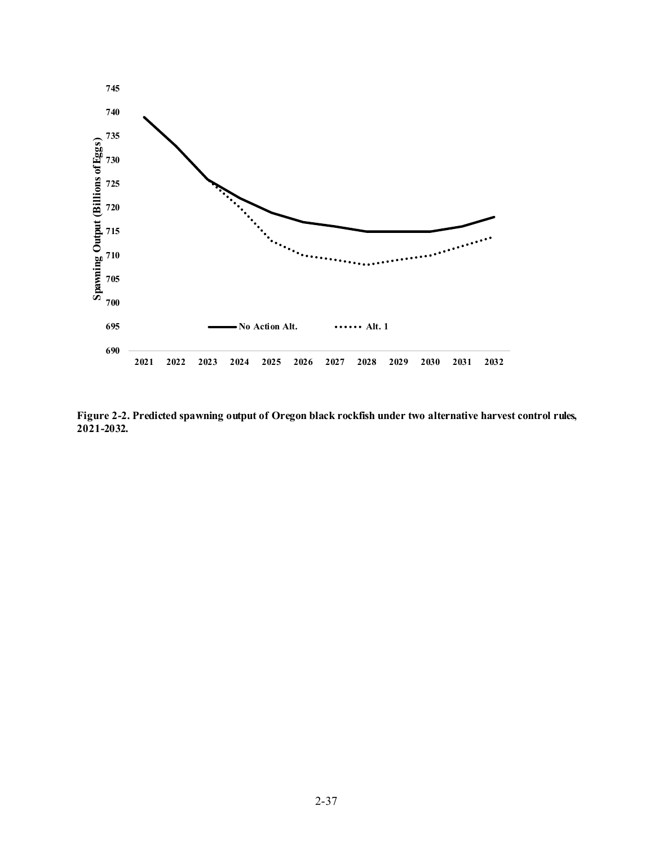

<span id="page-36-0"></span>**Figure 2-2. Predicted spawning output of Oregon black rockfish under two alternative harvest control rules, 2021-2032.**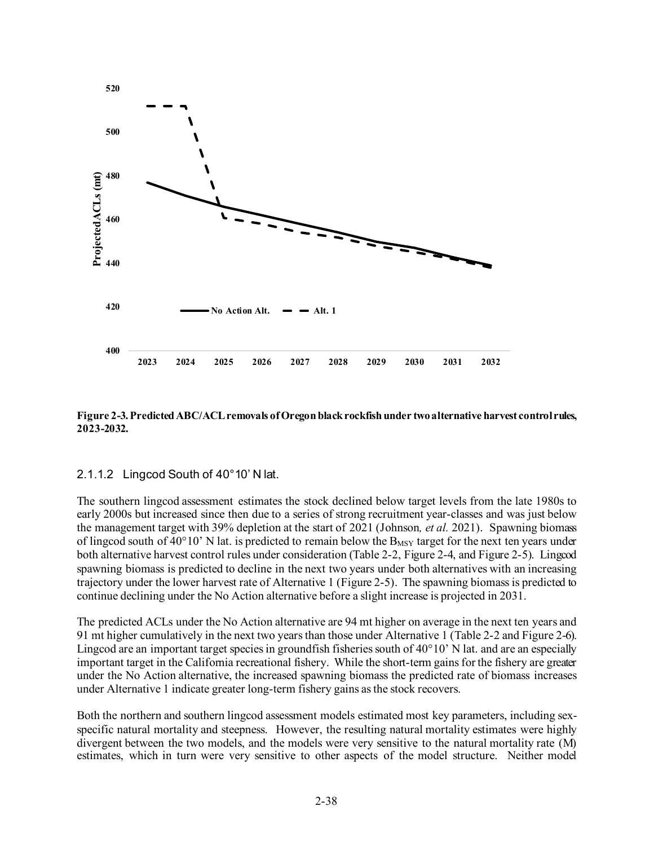

<span id="page-37-0"></span>**Figure 2-3. Predicted ABC/ACL removals of Oregon black rockfish under two alternative harvest control rules, 2023-2032.**

#### 2.1.1.2 Lingcod South of 40°10' N lat.

The southern lingcod assessment estimates the stock declined below target levels from the late 1980s to early 2000s but increased since then due to a series of strong recruitment year-classes and was just below the management target with 39% depletion at the start of 2021 (Johnson*, et al.* 2021). Spawning biomass of lingcod south of 40°10' N lat. is predicted to remain below the  $B_{MSY}$  target for the next ten years under both alternative harvest control rules under consideration [\(Table 2-2](#page-38-0)[, Figure 2-4](#page-40-0), an[d Figure 2-5](#page-40-1)). Lingcod spawning biomass is predicted to decline in the next two years under both alternatives with an increasing trajectory under the lower harvest rate of Alternative 1 [\(Figure 2-5](#page-40-1)). The spawning biomass is predicted to continue declining under the No Action alternative before a slight increase is projected in 2031.

The predicted ACLs under the No Action alternative are 94 mt higher on average in the next ten years and 91 mt higher cumulatively in the next two years than those under Alternative 1 [\(Table 2-2](#page-38-0) an[d Figure 2-6\)](#page-41-0). Lingcod are an important target species in ground fisheries south of  $40^{\circ}10'$  N lat. and are an especially important target in the California recreational fishery. While the short-term gains for the fishery are greater under the No Action alternative, the increased spawning biomass the predicted rate of biomass increases under Alternative 1 indicate greater long-term fishery gains as the stock recovers.

Both the northern and southern lingcod assessment models estimated most key parameters, including sexspecific natural mortality and steepness. However, the resulting natural mortality estimates were highly divergent between the two models, and the models were very sensitive to the natural mortality rate (M) estimates, which in turn were very sensitive to other aspects of the model structure. Neither model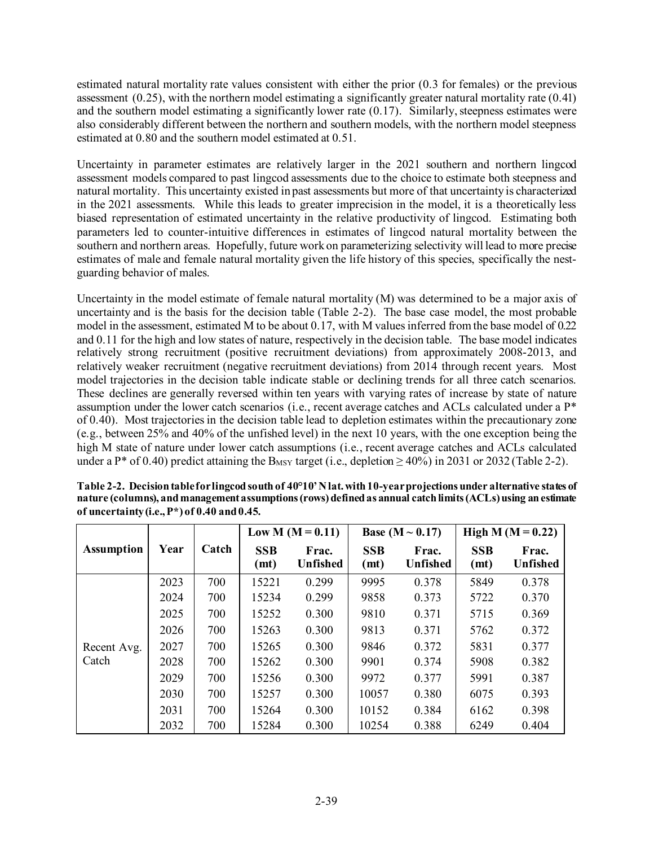estimated natural mortality rate values consistent with either the prior (0.3 for females) or the previous assessment (0.25), with the northern model estimating a significantly greater natural mortality rate (0.41) and the southern model estimating a significantly lower rate (0.17). Similarly, steepness estimates were also considerably different between the northern and southern models, with the northern model steepness estimated at 0.80 and the southern model estimated at 0.51.

Uncertainty in parameter estimates are relatively larger in the 2021 southern and northern lingcod assessment models compared to past lingcod assessments due to the choice to estimate both steepness and natural mortality. This uncertainty existed in past assessments but more of that uncertainty is characterized in the 2021 assessments. While this leads to greater imprecision in the model, it is a theoretically less biased representation of estimated uncertainty in the relative productivity of lingcod. Estimating both parameters led to counter-intuitive differences in estimates of lingcod natural mortality between the southern and northern areas. Hopefully, future work on parameterizing selectivity will lead to more precise estimates of male and female natural mortality given the life history of this species, specifically the nestguarding behavior of males.

Uncertainty in the model estimate of female natural mortality (M) was determined to be a major axis of uncertainty and is the basis for the decision table [\(Table 2-2\)](#page-38-0). The base case model, the most probable model in the assessment, estimated M to be about 0.17, with M values inferred from the base model of 0.22 and 0.11 for the high and low states of nature, respectively in the decision table. The base model indicates relatively strong recruitment (positive recruitment deviations) from approximately 2008-2013, and relatively weaker recruitment (negative recruitment deviations) from 2014 through recent years. Most model trajectories in the decision table indicate stable or declining trends for all three catch scenarios. These declines are generally reversed within ten years with varying rates of increase by state of nature assumption under the lower catch scenarios (i.e., recent average catches and ACLs calculated under a P\* of 0.40). Most trajectories in the decision table lead to depletion estimates within the precautionary zone (e.g., between 25% and 40% of the unfished level) in the next 10 years, with the one exception being the high M state of nature under lower catch assumptions (i.e., recent average catches and ACLs calculated under a P<sup>\*</sup> of 0.40) predict attaining the B<sub>MSY</sub> target (i.e., depletion  $> 40\%$ ) in 2031 or 2032 [\(Table 2-2\)](#page-38-0).

|                   |      |       | Low M $(M = 0.11)$ |                          |                    | <b>Base</b> (M $\sim$ 0.17) | High M $(M = 0.22)$ |                          |
|-------------------|------|-------|--------------------|--------------------------|--------------------|-----------------------------|---------------------|--------------------------|
| <b>Assumption</b> | Year | Catch | <b>SSB</b><br>(mt) | Frac.<br><b>Unfished</b> | <b>SSB</b><br>(mt) | Frac.<br><b>Unfished</b>    | <b>SSB</b><br>(mt)  | Frac.<br><b>Unfished</b> |
|                   | 2023 | 700   | 15221              | 0.299                    | 9995               | 0.378                       | 5849                | 0.378                    |
|                   | 2024 | 700   | 15234              | 0.299                    | 9858               | 0.373                       | 5722                | 0.370                    |
|                   | 2025 | 700   | 15252              | 0.300                    | 9810               | 0.371                       | 5715                | 0.369                    |
|                   | 2026 | 700   | 15263              | 0.300                    | 9813               | 0.371                       | 5762                | 0.372                    |
| Recent Avg.       | 2027 | 700   | 15265              | 0.300                    | 9846               | 0.372                       | 5831                | 0.377                    |
| Catch             | 2028 | 700   | 15262              | 0.300                    | 9901               | 0.374                       | 5908                | 0.382                    |
|                   | 2029 | 700   | 15256              | 0.300                    | 9972               | 0.377                       | 5991                | 0.387                    |
|                   | 2030 | 700   | 15257              | 0.300                    | 10057              | 0.380                       | 6075                | 0.393                    |
|                   | 2031 | 700   | 15264              | 0.300                    | 10152              | 0.384                       | 6162                | 0.398                    |
|                   | 2032 | 700   | 15284              | 0.300                    | 10254              | 0.388                       | 6249                | 0.404                    |

<span id="page-38-0"></span>**Table 2-2. Decision tablefor lingcod south of 40°10' N lat.with 10-year projections under alternative states of nature (columns), and management assumptions (rows)defined as annual catch limits (ACLs) using an estimate of uncertainty (i.e., P\*) of 0.40 and 0.45.**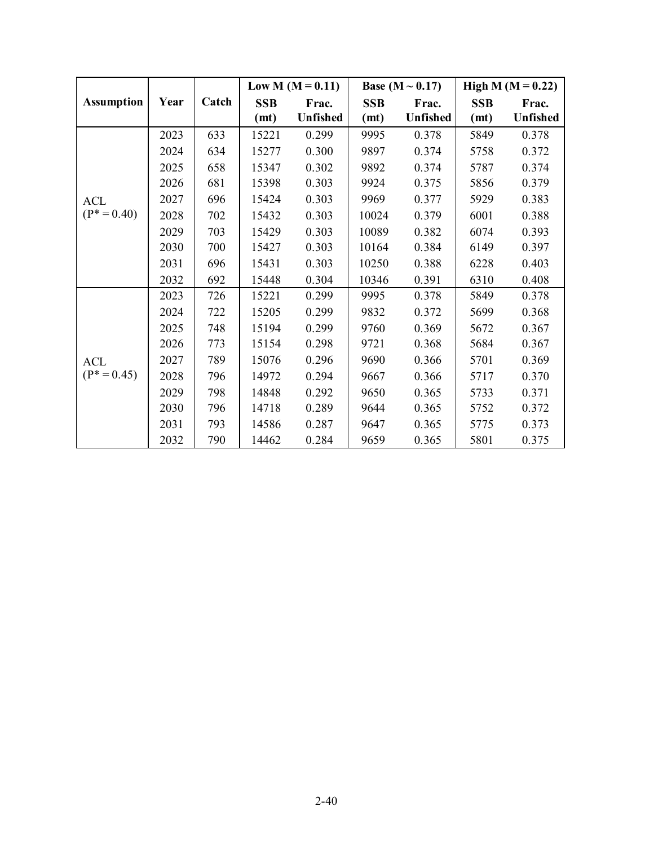|                   |      |       |            | Low M $(M = 0.11)$ |            | Base ( $M \sim 0.17$ ) |            | High M ( $M = 0.22$ ) |
|-------------------|------|-------|------------|--------------------|------------|------------------------|------------|-----------------------|
| <b>Assumption</b> | Year | Catch | <b>SSB</b> | Frac.              | <b>SSB</b> | Frac.                  | <b>SSB</b> | Frac.                 |
|                   |      |       | (mt)       | Unfished           | (mt)       | <b>Unfished</b>        | (mt)       | Unfished              |
|                   | 2023 | 633   | 15221      | 0.299              | 9995       | 0.378                  | 5849       | 0.378                 |
|                   | 2024 | 634   | 15277      | 0.300              | 9897       | 0.374                  | 5758       | 0.372                 |
|                   | 2025 | 658   | 15347      | 0.302              | 9892       | 0.374                  | 5787       | 0.374                 |
|                   | 2026 | 681   | 15398      | 0.303              | 9924       | 0.375                  | 5856       | 0.379                 |
| <b>ACL</b>        | 2027 | 696   | 15424      | 0.303              | 9969       | 0.377                  | 5929       | 0.383                 |
| $(P^* = 0.40)$    | 2028 | 702   | 15432      | 0.303              | 10024      | 0.379                  | 6001       | 0.388                 |
|                   | 2029 | 703   | 15429      | 0.303              | 10089      | 0.382                  | 6074       | 0.393                 |
|                   | 2030 | 700   | 15427      | 0.303              | 10164      | 0.384                  | 6149       | 0.397                 |
|                   | 2031 | 696   | 15431      | 0.303              | 10250      | 0.388                  | 6228       | 0.403                 |
|                   | 2032 | 692   | 15448      | 0.304              | 10346      | 0.391                  | 6310       | 0.408                 |
|                   | 2023 | 726   | 15221      | 0.299              | 9995       | 0.378                  | 5849       | 0.378                 |
|                   | 2024 | 722   | 15205      | 0.299              | 9832       | 0.372                  | 5699       | 0.368                 |
|                   | 2025 | 748   | 15194      | 0.299              | 9760       | 0.369                  | 5672       | 0.367                 |
|                   | 2026 | 773   | 15154      | 0.298              | 9721       | 0.368                  | 5684       | 0.367                 |
| <b>ACL</b>        | 2027 | 789   | 15076      | 0.296              | 9690       | 0.366                  | 5701       | 0.369                 |
| $(P^* = 0.45)$    | 2028 | 796   | 14972      | 0.294              | 9667       | 0.366                  | 5717       | 0.370                 |
|                   | 2029 | 798   | 14848      | 0.292              | 9650       | 0.365                  | 5733       | 0.371                 |
|                   | 2030 | 796   | 14718      | 0.289              | 9644       | 0.365                  | 5752       | 0.372                 |
|                   | 2031 | 793   | 14586      | 0.287              | 9647       | 0.365                  | 5775       | 0.373                 |
|                   | 2032 | 790   | 14462      | 0.284              | 9659       | 0.365                  | 5801       | 0.375                 |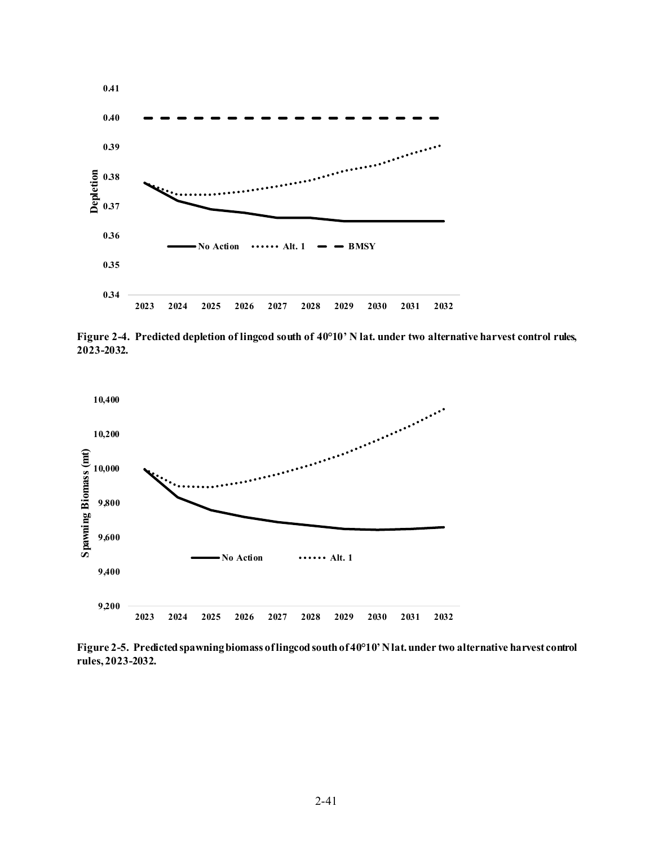

<span id="page-40-0"></span>**Figure 2-4. Predicted depletion of lingcod south of 40°10' N lat. under two alternative harvest control rules, 2023-2032.**



<span id="page-40-1"></span>**Figure 2-5. Predicted spawning biomass of lingcod south of 40°10' N lat. under two alternative harvest control rules, 2023-2032.**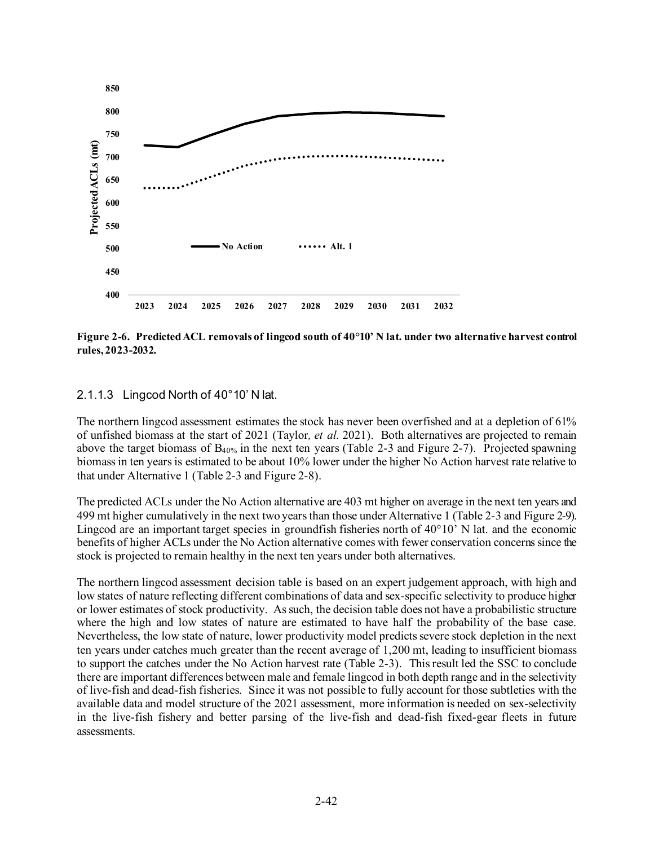

<span id="page-41-0"></span>**Figure 2-6. Predicted ACL removals of lingcod south of 40°10' N lat. under two alternative harvest control rules, 2023-2032.**

#### 2.1.1.3 Lingcod North of 40°10' N lat.

The northern lingcod assessment estimates the stock has never been overfished and at a depletion of 61% of unfished biomass at the start of 2021 (Taylor*, et al.* 2021). Both alternatives are projected to remain above the target biomass of  $B_{40\%}$  in the next ten years [\(Table 2-3](#page-42-0) and [Figure 2-7\)](#page-43-0). Projected spawning biomass in ten years is estimated to be about 10% lower under the higher No Action harvest rate relative to that under Alternative 1 [\(Table 2-3](#page-42-0) and [Figure 2-8\)](#page-43-1).

The predicted ACLs under the No Action alternative are 403 mt higher on average in the next ten years and 499 mt higher cumulatively in the next two years than those under Alternative 1 [\(Table 2-3](#page-42-0) an[d Figure 2-9\)](#page-44-0). Lingcod are an important target species in groundfish fisheries north of 40°10' N lat. and the economic benefits of higher ACLs under the No Action alternative comes with fewer conservation concerns since the stock is projected to remain healthy in the next ten years under both alternatives.

The northern lingcod assessment decision table is based on an expert judgement approach, with high and low states of nature reflecting different combinations of data and sex-specific selectivity to produce higher or lower estimates of stock productivity. As such, the decision table does not have a probabilistic structure where the high and low states of nature are estimated to have half the probability of the base case. Nevertheless, the low state of nature, lower productivity model predicts severe stock depletion in the next ten years under catches much greater than the recent average of 1,200 mt, leading to insufficient biomass to support the catches under the No Action harvest rate [\(Table 2-3\)](#page-42-0). This result led the SSC to conclude there are important differences between male and female lingcod in both depth range and in the selectivity of live-fish and dead-fish fisheries. Since it was not possible to fully account for those subtleties with the available data and model structure of the 2021 assessment, more information is needed on sex-selectivity in the live-fish fishery and better parsing of the live-fish and dead-fish fixed-gear fleets in future assessments.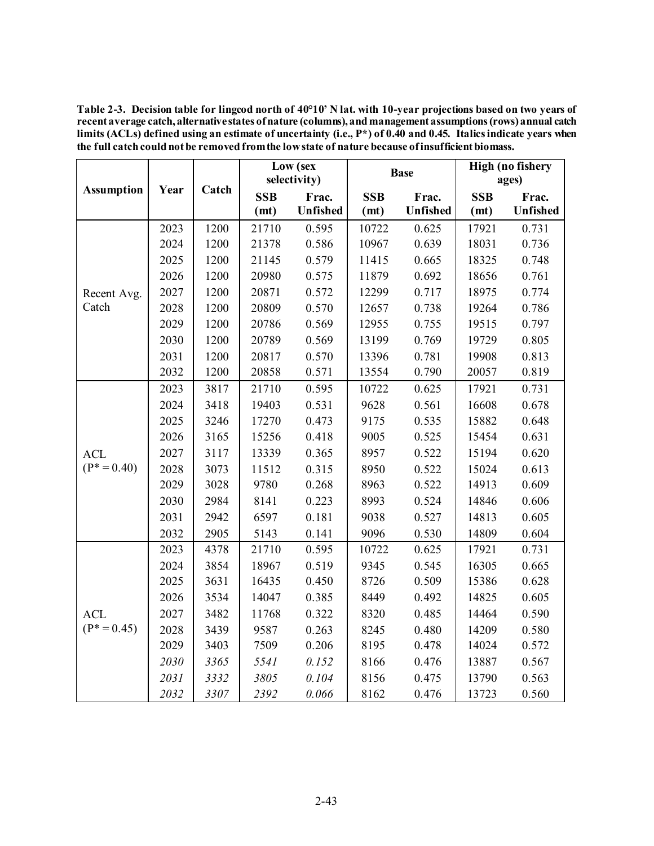<span id="page-42-0"></span>**Table 2-3. Decision table for lingcod north of 40°10' N lat. with 10-year projections based on two years of recent average catch, alternative states of nature (columns), and management assumptions (rows) annual catch limits (ACLs) defined using an estimate of uncertainty (i.e., P\*) of 0.40 and 0.45. Italics indicate years when the full catch could not be removed from the low state of nature because of insufficient biomass.** 

|                   |      |       | Low (sex   |              |            | <b>Base</b> | <b>High (no fishery</b> |          |
|-------------------|------|-------|------------|--------------|------------|-------------|-------------------------|----------|
| <b>Assumption</b> | Year | Catch |            | selectivity) |            |             |                         | ages)    |
|                   |      |       | <b>SSB</b> | Frac.        | <b>SSB</b> | Frac.       | <b>SSB</b>              | Frac.    |
|                   |      |       | (mt)       | Unfished     | (mt)       | Unfished    | (mt)                    | Unfished |
|                   | 2023 | 1200  | 21710      | 0.595        | 10722      | 0.625       | 17921                   | 0.731    |
|                   | 2024 | 1200  | 21378      | 0.586        | 10967      | 0.639       | 18031                   | 0.736    |
|                   | 2025 | 1200  | 21145      | 0.579        | 11415      | 0.665       | 18325                   | 0.748    |
|                   | 2026 | 1200  | 20980      | 0.575        | 11879      | 0.692       | 18656                   | 0.761    |
| Recent Avg.       | 2027 | 1200  | 20871      | 0.572        | 12299      | 0.717       | 18975                   | 0.774    |
| Catch             | 2028 | 1200  | 20809      | 0.570        | 12657      | 0.738       | 19264                   | 0.786    |
|                   | 2029 | 1200  | 20786      | 0.569        | 12955      | 0.755       | 19515                   | 0.797    |
|                   | 2030 | 1200  | 20789      | 0.569        | 13199      | 0.769       | 19729                   | 0.805    |
|                   | 2031 | 1200  | 20817      | 0.570        | 13396      | 0.781       | 19908                   | 0.813    |
|                   | 2032 | 1200  | 20858      | 0.571        | 13554      | 0.790       | 20057                   | 0.819    |
|                   | 2023 | 3817  | 21710      | 0.595        | 10722      | 0.625       | 17921                   | 0.731    |
|                   | 2024 | 3418  | 19403      | 0.531        | 9628       | 0.561       | 16608                   | 0.678    |
|                   | 2025 | 3246  | 17270      | 0.473        | 9175       | 0.535       | 15882                   | 0.648    |
|                   | 2026 | 3165  | 15256      | 0.418        | 9005       | 0.525       | 15454                   | 0.631    |
| <b>ACL</b>        | 2027 | 3117  | 13339      | 0.365        | 8957       | 0.522       | 15194                   | 0.620    |
| $(P^* = 0.40)$    | 2028 | 3073  | 11512      | 0.315        | 8950       | 0.522       | 15024                   | 0.613    |
|                   | 2029 | 3028  | 9780       | 0.268        | 8963       | 0.522       | 14913                   | 0.609    |
|                   | 2030 | 2984  | 8141       | 0.223        | 8993       | 0.524       | 14846                   | 0.606    |
|                   | 2031 | 2942  | 6597       | 0.181        | 9038       | 0.527       | 14813                   | 0.605    |
|                   | 2032 | 2905  | 5143       | 0.141        | 9096       | 0.530       | 14809                   | 0.604    |
|                   | 2023 | 4378  | 21710      | 0.595        | 10722      | 0.625       | 17921                   | 0.731    |
|                   | 2024 | 3854  | 18967      | 0.519        | 9345       | 0.545       | 16305                   | 0.665    |
|                   | 2025 | 3631  | 16435      | 0.450        | 8726       | 0.509       | 15386                   | 0.628    |
|                   | 2026 | 3534  | 14047      | 0.385        | 8449       | 0.492       | 14825                   | 0.605    |
| <b>ACL</b>        | 2027 | 3482  | 11768      | 0.322        | 8320       | 0.485       | 14464                   | 0.590    |
| $(P^* = 0.45)$    | 2028 | 3439  | 9587       | 0.263        | 8245       | 0.480       | 14209                   | 0.580    |
|                   | 2029 | 3403  | 7509       | 0.206        | 8195       | 0.478       | 14024                   | 0.572    |
|                   | 2030 | 3365  | 5541       | 0.152        | 8166       | 0.476       | 13887                   | 0.567    |
|                   | 2031 | 3332  | 3805       | 0.104        | 8156       | 0.475       | 13790                   | 0.563    |
|                   | 2032 | 3307  | 2392       | 0.066        | 8162       | 0.476       | 13723                   | 0.560    |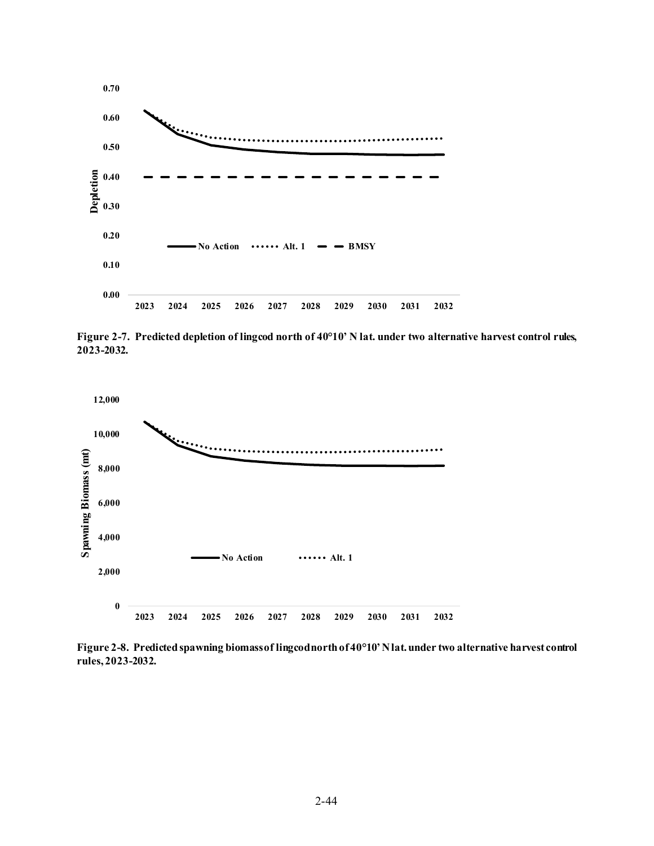

<span id="page-43-0"></span>**Figure 2-7. Predicted depletion of lingcod north of 40°10' N lat. under two alternative harvest control rules, 2023-2032.**



<span id="page-43-1"></span>**Figure 2-8. Predicted spawning biomassof lingcod north of 40°10' N lat. under two alternative harvest control rules, 2023-2032.**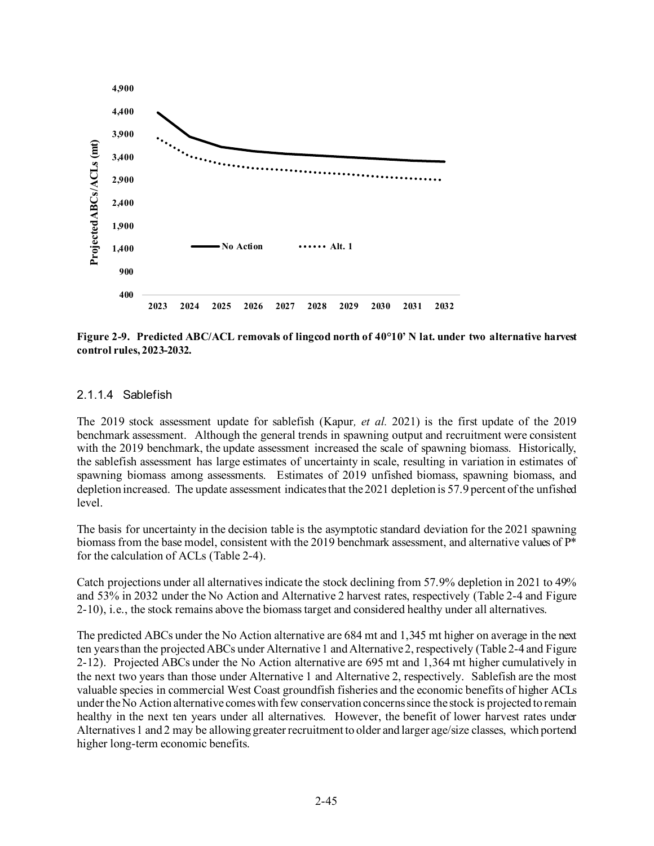

<span id="page-44-0"></span>**Figure 2-9. Predicted ABC/ACL removals of lingcod north of 40°10' N lat. under two alternative harvest control rules, 2023-2032.**

#### 2.1.1.4 Sablefish

The 2019 stock assessment update for sablefish (Kapur*, et al.* 2021) is the first update of the 2019 benchmark assessment. Although the general trends in spawning output and recruitment were consistent with the 2019 benchmark, the update assessment increased the scale of spawning biomass. Historically, the sablefish assessment has large estimates of uncertainty in scale, resulting in variation in estimates of spawning biomass among assessments. Estimates of 2019 unfished biomass, spawning biomass, and depletion increased. The update assessment indicates that the 2021 depletion is 57.9 percent of the unfished level.

The basis for uncertainty in the decision table is the asymptotic standard deviation for the 2021 spawning biomass from the base model, consistent with the 2019 benchmark assessment, and alternative values of P\* for the calculation of ACLs [\(Table 2-4\)](#page-44-1).

Catch projections under all alternatives indicate the stock declining from 57.9% depletion in 2021 to 49% and 53% in 2032 under the No Action and Alternative 2 harvest rates, respectively [\(Table 2-4](#page-44-1) and [Figure](#page-46-0)  [2-10\)](#page-46-0), i.e., the stock remains above the biomass target and considered healthy under all alternatives.

<span id="page-44-1"></span>The predicted ABCs under the No Action alternative are 684 mt and 1,345 mt higher on average in the next ten years than the projected ABCs under Alternative 1 and Alternative 2, respectively [\(Table 2-4](#page-44-1) and [Figure](#page-47-0)  [2-12\)](#page-47-0). Projected ABCs under the No Action alternative are 695 mt and 1,364 mt higher cumulatively in the next two years than those under Alternative 1 and Alternative 2, respectively. Sablefish are the most valuable species in commercial West Coast groundfish fisheries and the economic benefits of higher ACLs under the No Action alternative comes with few conservation concerns since the stock is projected to remain healthy in the next ten years under all alternatives. However, the benefit of lower harvest rates under Alternatives 1 and 2 may be allowing greater recruitment to older and larger age/size classes, which portend higher long-term economic benefits.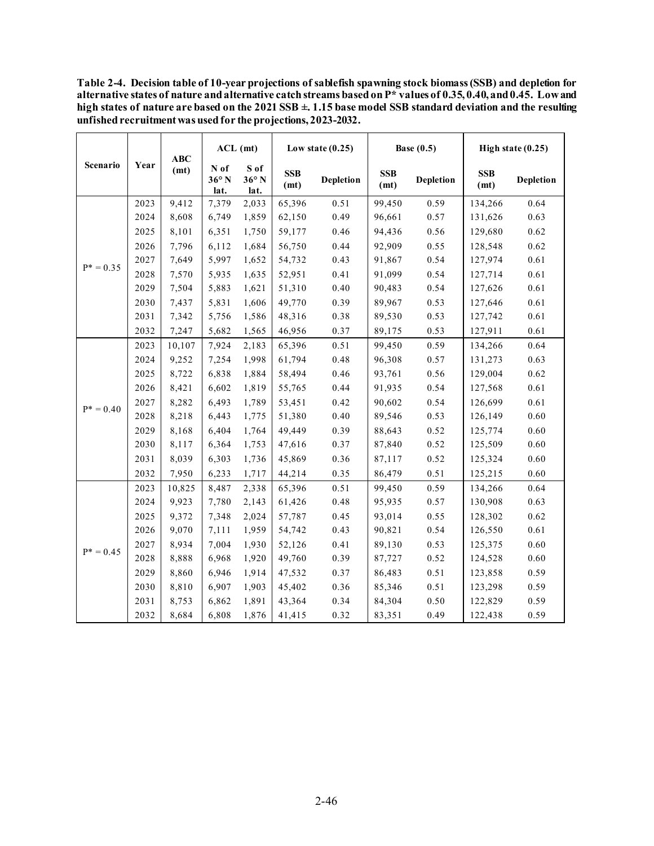**Table 2-4. Decision table of 10-year projections of sablefish spawning stock biomass (SSB) and depletion for alternative states of nature and alternative catch streams based on P\* values of 0.35, 0.40, and 0.45. Low and high states of nature are based on the 2021 SSB ±. 1.15 base model SSB standard deviation and the resulting unfished recruitment was usedfor the projections, 2023-2032.**

|              |      | ABC    | $ACL$ (mt)                     |                                | Low state $(0.25)$ |                  | Base $(0.5)$       |                  | High state $(0.25)$ |                  |
|--------------|------|--------|--------------------------------|--------------------------------|--------------------|------------------|--------------------|------------------|---------------------|------------------|
| Scenario     | Year | (mt)   | N of<br>$36^{\circ}$ N<br>lat. | S of<br>$36^{\circ}$ N<br>lat. | <b>SSB</b><br>(mt) | <b>Depletion</b> | <b>SSB</b><br>(mt) | <b>Depletion</b> | <b>SSB</b><br>(mt)  | <b>Depletion</b> |
|              | 2023 | 9,412  | 7,379                          | 2,033                          | 65,396             | 0.51             | 99,450             | 0.59             | 134,266             | 0.64             |
|              | 2024 | 8,608  | 6,749                          | 1,859                          | 62,150             | 0.49             | 96,661             | 0.57             | 131,626             | 0.63             |
|              | 2025 | 8,101  | 6,351                          | 1,750                          | 59,177             | 0.46             | 94,436             | 0.56             | 129,680             | 0.62             |
|              | 2026 | 7,796  | 6,112                          | 1,684                          | 56,750             | 0.44             | 92,909             | 0.55             | 128,548             | 0.62             |
|              | 2027 | 7,649  | 5,997                          | 1,652                          | 54,732             | 0.43             | 91,867             | 0.54             | 127,974             | 0.61             |
| $P^* = 0.35$ | 2028 | 7,570  | 5,935                          | 1,635                          | 52,951             | 0.41             | 91,099             | 0.54             | 127,714             | 0.61             |
|              | 2029 | 7,504  | 5,883                          | 1,621                          | 51,310             | 0.40             | 90,483             | 0.54             | 127,626             | 0.61             |
|              | 2030 | 7,437  | 5,831                          | 1,606                          | 49,770             | 0.39             | 89,967             | 0.53             | 127,646             | 0.61             |
|              | 2031 | 7,342  | 5,756                          | 1,586                          | 48,316             | 0.38             | 89,530             | 0.53             | 127,742             | 0.61             |
|              | 2032 | 7,247  | 5,682                          | 1,565                          | 46,956             | 0.37             | 89,175             | 0.53             | 127,911             | 0.61             |
|              | 2023 | 10,107 | 7,924                          | 2,183                          | 65,396             | 0.51             | 99,450             | 0.59             | 134,266             | 0.64             |
|              | 2024 | 9,252  | 7,254                          | 1,998                          | 61,794             | 0.48             | 96,308             | 0.57             | 131,273             | 0.63             |
|              | 2025 | 8,722  | 6,838                          | 1,884                          | 58,494             | 0.46             | 93,761             | 0.56             | 129,004             | 0.62             |
|              | 2026 | 8,421  | 6,602                          | 1,819                          | 55,765             | 0.44             | 91,935             | 0.54             | 127,568             | 0.61             |
| $P^* = 0.40$ | 2027 | 8,282  | 6,493                          | 1,789                          | 53,451             | 0.42             | 90,602             | 0.54             | 126,699             | 0.61             |
|              | 2028 | 8,218  | 6,443                          | 1,775                          | 51,380             | 0.40             | 89,546             | 0.53             | 126,149             | 0.60             |
|              | 2029 | 8,168  | 6,404                          | 1,764                          | 49,449             | 0.39             | 88,643             | 0.52             | 125,774             | 0.60             |
|              | 2030 | 8,117  | 6,364                          | 1,753                          | 47,616             | 0.37             | 87,840             | 0.52             | 125,509             | 0.60             |
|              | 2031 | 8,039  | 6,303                          | 1,736                          | 45,869             | 0.36             | 87,117             | 0.52             | 125,324             | 0.60             |
|              | 2032 | 7,950  | 6,233                          | 1,717                          | 44,214             | 0.35             | 86,479             | 0.51             | 125,215             | 0.60             |
|              | 2023 | 10,825 | 8,487                          | 2,338                          | 65,396             | 0.51             | 99,450             | 0.59             | 134,266             | 0.64             |
|              | 2024 | 9,923  | 7,780                          | 2,143                          | 61,426             | 0.48             | 95,935             | 0.57             | 130,908             | 0.63             |
|              | 2025 | 9,372  | 7,348                          | 2,024                          | 57,787             | 0.45             | 93,014             | 0.55             | 128,302             | 0.62             |
|              | 2026 | 9,070  | 7,111                          | 1,959                          | 54,742             | 0.43             | 90,821             | 0.54             | 126,550             | 0.61             |
|              | 2027 | 8,934  | 7,004                          | 1,930                          | 52,126             | 0.41             | 89,130             | 0.53             | 125,375             | 0.60             |
| $P^* = 0.45$ | 2028 | 8,888  | 6,968                          | 1,920                          | 49,760             | 0.39             | 87,727             | 0.52             | 124,528             | 0.60             |
|              | 2029 | 8,860  | 6,946                          | 1,914                          | 47,532             | 0.37             | 86,483             | 0.51             | 123,858             | 0.59             |
|              | 2030 | 8,810  | 6,907                          | 1,903                          | 45,402             | 0.36             | 85,346             | 0.51             | 123,298             | 0.59             |
|              | 2031 | 8,753  | 6,862                          | 1,891                          | 43,364             | 0.34             | 84,304             | $0.50\,$         | 122,829             | 0.59             |
|              | 2032 | 8,684  | 6,808                          | 1,876                          | 41,415             | 0.32             | 83,351             | 0.49             | 122,438             | 0.59             |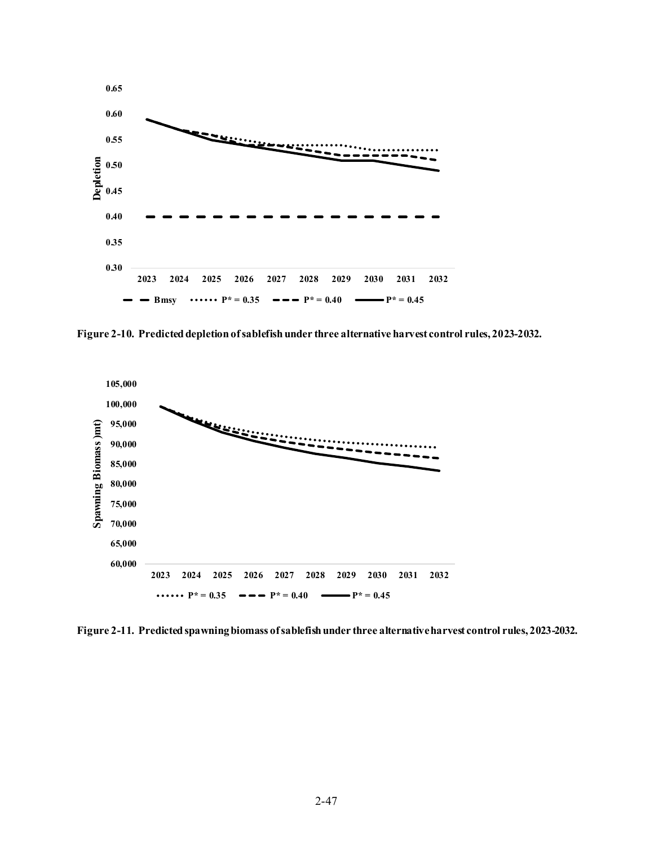

<span id="page-46-0"></span>**Figure 2-10. Predicted depletion of sablefish under three alternative harvest control rules, 2023-2032.**



**Figure 2-11. Predicted spawning biomass of sablefish under three alternative harvest control rules, 2023-2032.**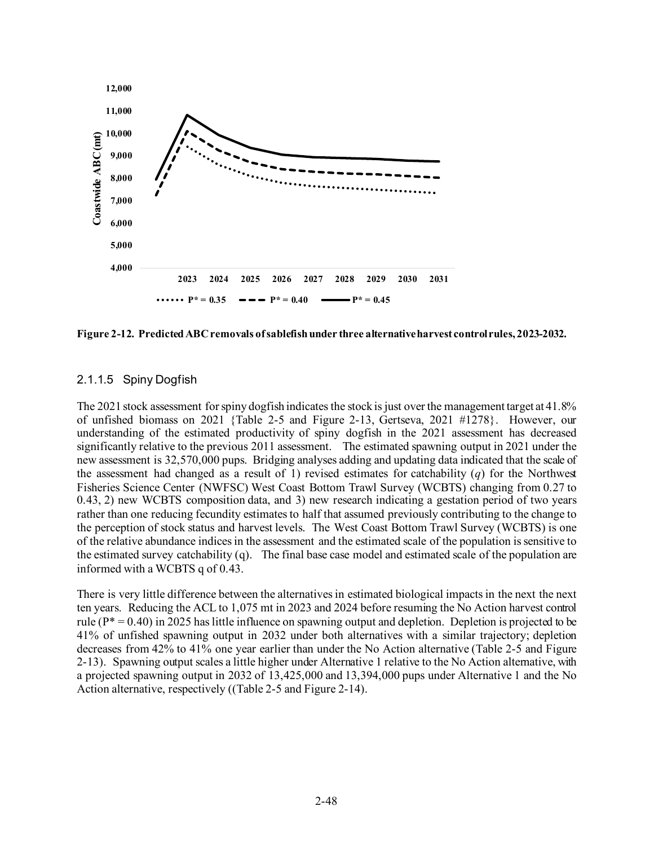

<span id="page-47-0"></span>**Figure 2-12. Predicted ABC removals of sablefishunder three alternative harvest control rules, 2023-2032.**

### 2.1.1.5 Spiny Dogfish

The 2021 stock assessment for spiny dogfish indicates the stock is just over the management target at 41.8% of unfished biomass on 2021 [{Table 2-5](#page-49-0) and [Figure 2-13,](#page-50-0) Gertseva, 2021 #1278}. However, our understanding of the estimated productivity of spiny dogfish in the 2021 assessment has decreased significantly relative to the previous 2011 assessment. The estimated spawning output in 2021 under the new assessment is 32,570,000 pups. Bridging analyses adding and updating data indicated that the scale of the assessment had changed as a result of 1) revised estimates for catchability ( $q$ ) for the Northwest Fisheries Science Center (NWFSC) West Coast Bottom Trawl Survey (WCBTS) changing from 0.27 to 0.43, 2) new WCBTS composition data, and 3) new research indicating a gestation period of two years rather than one reducing fecundity estimates to half that assumed previously contributing to the change to the perception of stock status and harvest levels. The West Coast Bottom Trawl Survey (WCBTS) is one of the relative abundance indices in the assessment and the estimated scale of the population is sensitive to the estimated survey catchability (q). The final base case model and estimated scale of the population are informed with a WCBTS q of 0.43.

There is very little difference between the alternatives in estimated biological impacts in the next the next ten years. Reducing the ACL to 1,075 mt in 2023 and 2024 before resuming the No Action harvest control rule ( $P^* = 0.40$ ) in 2025 has little influence on spawning output and depletion. Depletion is projected to be 41% of unfished spawning output in 2032 under both alternatives with a similar trajectory; depletion decreases from 42% to 41% one year earlier than under the No Action alternative [\(Table 2-5](#page-49-0) and [Figure](#page-50-0)  [2-13\)](#page-50-0). Spawning output scales a little higher under Alternative 1 relative to the No Action alternative, with a projected spawning output in 2032 of 13,425,000 and 13,394,000 pups under Alternative 1 and the No Action alternative, respectively ([\(Table 2-5](#page-49-0) an[d Figure 2-14\)](#page-50-1).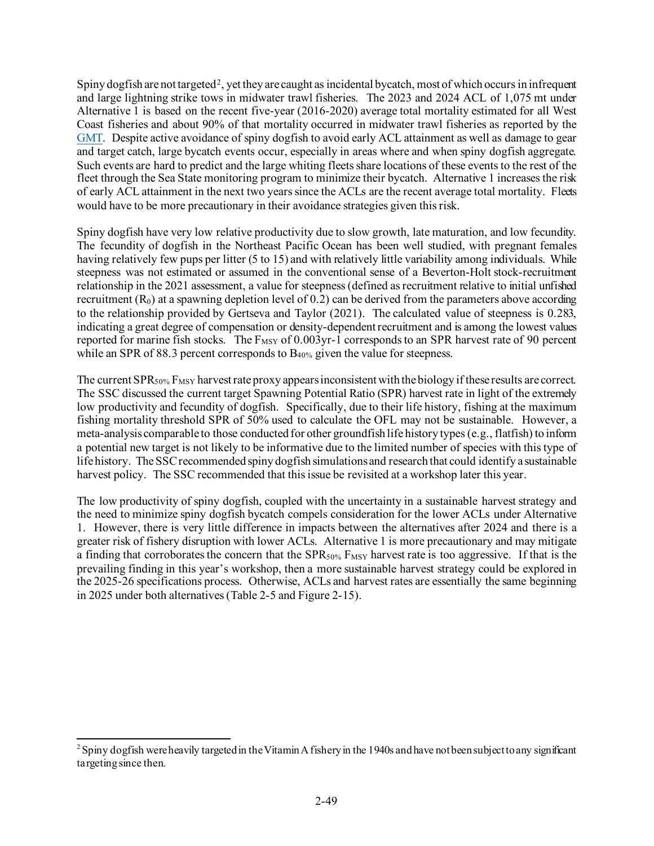Spiny dogfish are not targeted[2](#page-48-0), yet they are caught as incidental bycatch, most of which occurs in infrequent and large lightning strike tows in midwater trawl fisheries. The 2023 and 2024 ACL of 1,075 mt under Alternative 1 is based on the recent five-year (2016-2020) average total mortality estimated for all West Coast fisheries and about 90% of that mortality occurred in midwater trawl fisheries as reported by the [GMT.](https://www.pcouncil.org/documents/2021/11/e-3-a-gmt-report-1-groundfish-management-team-report-on-biennial-harvest-specifications-for-2023-24-including-overfishing-limits-and-acceptable-biological-catches.pdf/) Despite active avoidance of spiny dogfish to avoid early ACL attainment as well as damage to gear and target catch, large bycatch events occur, especially in areas where and when spiny dogfish aggregate. Such events are hard to predict and the large whiting fleets share locations of these events to the rest of the fleet through the Sea State monitoring program to minimize their bycatch. Alternative 1 increases the risk of early ACL attainment in the next two years since the ACLs are the recent average total mortality. Fleets would have to be more precautionary in their avoidance strategies given this risk.

Spiny dogfish have very low relative productivity due to slow growth, late maturation, and low fecundity. The fecundity of dogfish in the Northeast Pacific Ocean has been well studied, with pregnant females having relatively few pups per litter (5 to 15) and with relatively little variability among individuals. While steepness was not estimated or assumed in the conventional sense of a Beverton-Holt stock-recruitment relationship in the 2021 assessment, a value for steepness (defined as recruitment relative to initial unfished recruitment  $(R_0)$  at a spawning depletion level of 0.2) can be derived from the parameters above according to the relationship provided by Gertseva and Taylor (2021). The calculated value of steepness is 0.283, indicating a great degree of compensation or density-dependent recruitment and is among the lowest values reported for marine fish stocks. The F<sub>MSY</sub> of 0.003yr-1 corresponds to an SPR harvest rate of 90 percent while an SPR of 88.3 percent corresponds to B<sub>40%</sub> given the value for steepness.

The current  $SPR_{50\%}F_{MSY}$  harvest rate proxy appears inconsistent with the biology if these results are correct. The SSC discussed the current target Spawning Potential Ratio (SPR) harvest rate in light of the extremely low productivity and fecundity of dogfish. Specifically, due to their life history, fishing at the maximum fishing mortality threshold SPR of 50% used to calculate the OFL may not be sustainable. However, a meta-analysis comparable to those conducted for other groundfish life history types (e.g., flatfish) to inform a potential new target is not likely to be informative due to the limited number of species with this type of life history. The SSC recommended spiny dogfish simulations and research that could identify a sustainable harvest policy. The SSC recommended that this issue be revisited at a workshop later this year.

The low productivity of spiny dogfish, coupled with the uncertainty in a sustainable harvest strategy and the need to minimize spiny dogfish bycatch compels consideration for the lower ACLs under Alternative 1. However, there is very little difference in impacts between the alternatives after 2024 and there is a greater risk of fishery disruption with lower ACLs. Alternative 1 is more precautionary and may mitigate a finding that corroborates the concern that the  $SPR_{50\%}F_{MSY}$  harvest rate is too aggressive. If that is the prevailing finding in this year's workshop, then a more sustainable harvest strategy could be explored in the 2025-26 specifications process. Otherwise, ACLs and harvest rates are essentially the same beginning in 2025 under both alternatives [\(Table 2-5](#page-49-0) and [Figure 2-15\)](#page-51-0).

<span id="page-48-0"></span> $2$  Spiny dogfish were heavily targeted in the Vitamin A fishery in the 1940s and have not been subject to any significant targeting since then.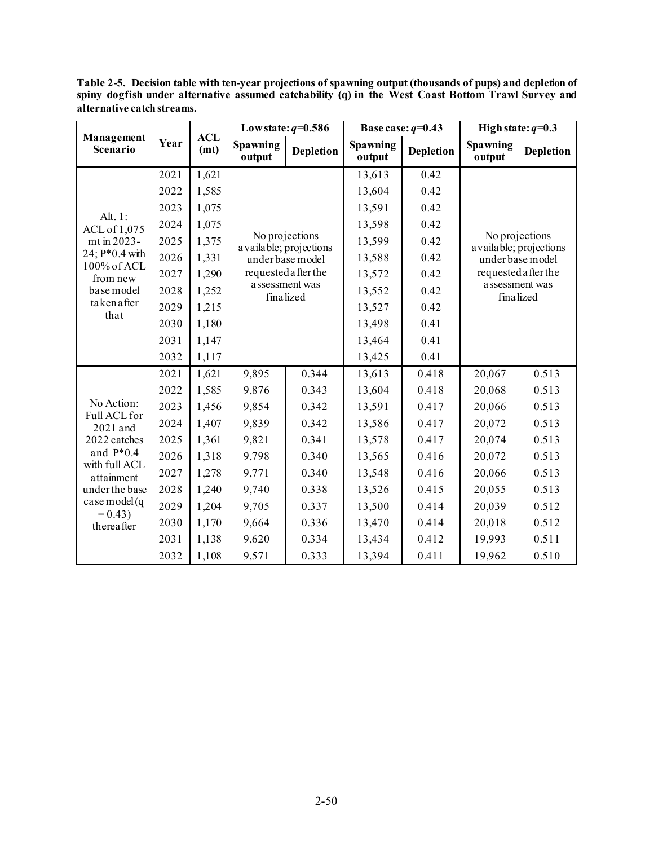<span id="page-49-0"></span>**Table 2-5. Decision table with ten-year projections of spawning output (thousands of pups) and depletion of spiny dogfish under alternative assumed catchability (q) in the West Coast Bottom Trawl Survey and alternative catch streams.**

|                                       |      |                    |                           | Low state: $q=0.586$ |                    | Base case: $q=0.43$ |                                           | High state: $q=0.3$  |  |
|---------------------------------------|------|--------------------|---------------------------|----------------------|--------------------|---------------------|-------------------------------------------|----------------------|--|
| Management<br>Scenario                | Year | <b>ACL</b><br>(mt) | <b>Spawning</b><br>output | <b>Depletion</b>     | Spawning<br>output | <b>Depletion</b>    | Spawning<br>output                        | <b>Depletion</b>     |  |
|                                       | 2021 | 1,621              |                           |                      | 13,613             | 0.42                |                                           |                      |  |
|                                       | 2022 | 1,585              |                           |                      | 13,604             | 0.42                |                                           |                      |  |
| Alt. 1:                               | 2023 | 1,075              |                           |                      | 13,591             | 0.42                |                                           |                      |  |
| ACL of 1,075<br>mt in 2023-           | 2024 | 1,075              |                           |                      | 13,598             | 0.42                | No projections<br>a vailable; projections |                      |  |
|                                       | 2025 | 1,375              | a vailable; projections   | No projections       | 13,599             | 0.42                |                                           |                      |  |
| $24$ ; $P*0.4$ with                   | 2026 | 1,331              |                           | under base model     | 13,588             | 0.42                |                                           | under base model     |  |
| 100% of ACL<br>from new<br>base model | 2027 | 1,290              |                           | requested a fter the | 13,572             | 0.42                |                                           | requested a fter the |  |
|                                       | 2028 | 1,252              | finalized                 | assessment was       | 13,552             | 0.42                | finalized                                 | a ssessment was      |  |
| takenafter<br>that                    | 2029 | 1,215              |                           |                      | 13,527             | 0.42                |                                           |                      |  |
|                                       | 2030 | 1,180              |                           |                      | 13,498             | 0.41                |                                           |                      |  |
|                                       | 2031 | 1,147              |                           |                      | 13,464             | 0.41                |                                           |                      |  |
|                                       | 2032 | 1,117              |                           |                      | 13,425             | 0.41                |                                           |                      |  |
|                                       | 2021 | 1,621              | 9,895                     | 0.344                | 13,613             | 0.418               | 20,067                                    | 0.513                |  |
|                                       | 2022 | 1,585              | 9,876                     | 0.343                | 13,604             | 0.418               | 20,068                                    | 0.513                |  |
| No Action:<br>Full ACL for            | 2023 | 1,456              | 9,854                     | 0.342                | 13,591             | 0.417               | 20,066                                    | 0.513                |  |
| 2021 and                              | 2024 | 1,407              | 9,839                     | 0.342                | 13,586             | 0.417               | 20,072                                    | 0.513                |  |
| 2022 catches                          | 2025 | 1,361              | 9,821                     | 0.341                | 13,578             | 0.417               | 20,074                                    | 0.513                |  |
| and $P*0.4$<br>with full ACL          | 2026 | 1,318              | 9,798                     | 0.340                | 13,565             | 0.416               | 20,072                                    | 0.513                |  |
| attainment                            | 2027 | 1,278              | 9,771                     | 0.340                | 13,548             | 0.416               | 20,066                                    | 0.513                |  |
| under the base                        | 2028 | 1,240              | 9,740                     | 0.338                | 13,526             | 0.415               | 20,055                                    | 0.513                |  |
| $case \text{ model}$ (q<br>$= 0.43$ ) | 2029 | 1,204              | 9,705                     | 0.337                | 13,500             | 0.414               | 20,039                                    | 0.512                |  |
| thereafter                            | 2030 | 1,170              | 9,664                     | 0.336                | 13,470             | 0.414               | 20,018                                    | 0.512                |  |
|                                       | 2031 | 1,138              | 9,620                     | 0.334                | 13,434             | 0.412               | 19,993                                    | 0.511                |  |
|                                       | 2032 | 1,108              | 9,571                     | 0.333                | 13,394             | 0.411               | 19,962                                    | 0.510                |  |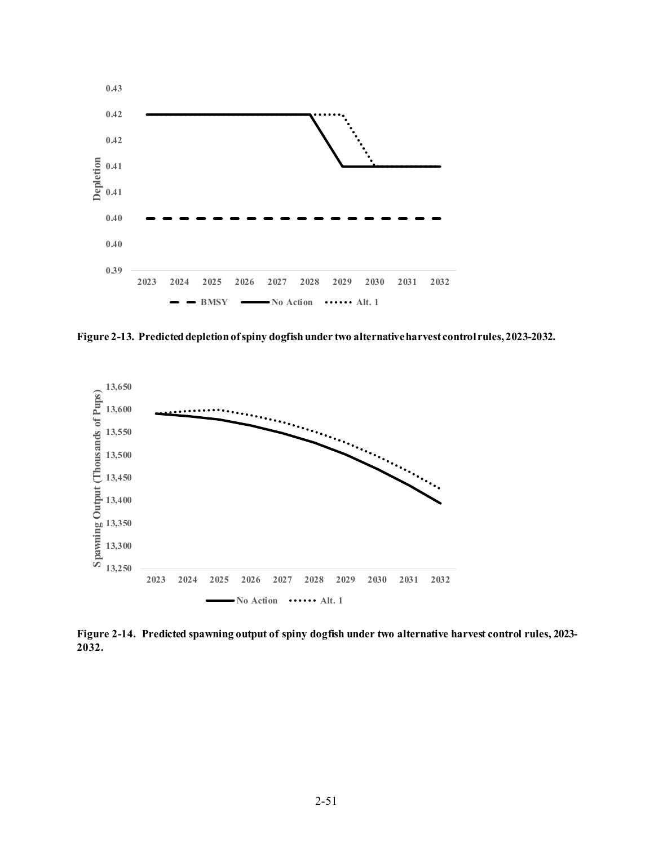

<span id="page-50-0"></span>**Figure 2-13. Predicted depletion of spiny dogfish under two alternative harvest control rules, 2023-2032.**



<span id="page-50-1"></span>**Figure 2-14. Predicted spawning output of spiny dogfish under two alternative harvest control rules, 2023- 2032.**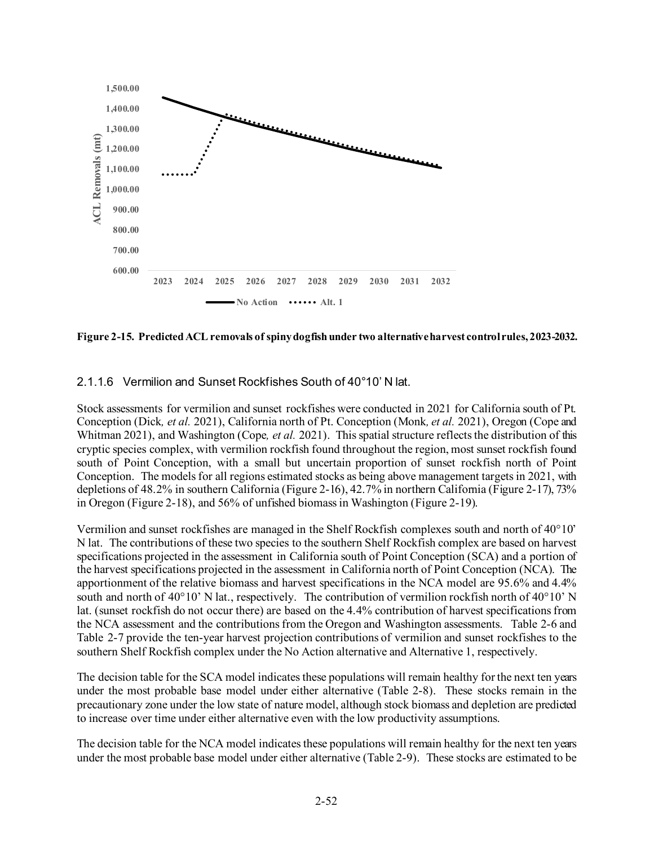

<span id="page-51-0"></span>**Figure 2-15. Predicted ACL removals of spiny dogfishunder two alternative harvest control rules, 2023-2032.**

### 2.1.1.6 Vermilion and Sunset Rockfishes South of 40°10' N lat.

Stock assessments for vermilion and sunset rockfishes were conducted in 2021 for California south of Pt. Conception (Dick*, et al.* 2021), California north of Pt. Conception (Monk*, et al.* 2021), Oregon (Cope and Whitman 2021), and Washington (Cope*, et al.* 2021). This spatial structure reflects the distribution of this cryptic species complex, with vermilion rockfish found throughout the region, most sunset rockfish found south of Point Conception, with a small but uncertain proportion of sunset rockfish north of Point Conception. The models for all regions estimated stocks as being above management targets in 2021, with depletions of 48.2% in southern California [\(Figure 2-16](#page-52-0)), 42.7% in northern California [\(Figure 2-17\)](#page-52-1), 73% in Oregon [\(Figure 2-18\)](#page-53-0), and 56% of unfished biomass in Washington [\(Figure 2-19](#page-53-1)).

Vermilion and sunset rockfishes are managed in the Shelf Rockfish complexes south and north of 40°10' N lat. The contributions of these two species to the southern Shelf Rockfish complex are based on harvest specifications projected in the assessment in California south of Point Conception (SCA) and a portion of the harvest specifications projected in the assessment in California north of Point Conception (NCA). The apportionment of the relative biomass and harvest specifications in the NCA model are 95.6% and 4.4% south and north of 40°10' N lat., respectively. The contribution of vermilion rockfish north of 40°10' N lat. (sunset rockfish do not occur there) are based on the 4.4% contribution of harvest specifications from the NCA assessment and the contributions from the Oregon and Washington assessments. [Table 2-6](#page-54-0) and [Table 2-7](#page-54-1) provide the ten-year harvest projection contributions of vermilion and sunset rockfishes to the southern Shelf Rockfish complex under the No Action alternative and Alternative 1, respectively.

The decision table for the SCA model indicates these populations will remain healthy for the next ten years under the most probable base model under either alternative [\(Table 2-8\)](#page-55-0). These stocks remain in the precautionary zone under the low state of nature model, although stock biomass and depletion are predicted to increase over time under either alternative even with the low productivity assumptions.

The decision table for the NCA model indicates these populations will remain healthy for the next ten years under the most probable base model under either alternative [\(Table 2-9\)](#page-56-0). These stocks are estimated to be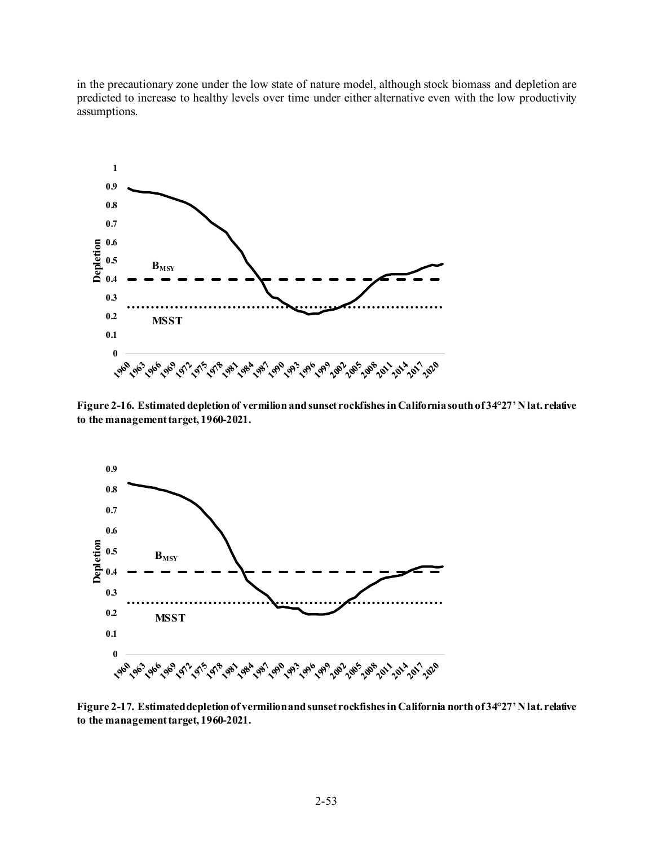in the precautionary zone under the low state of nature model, although stock biomass and depletion are predicted to increase to healthy levels over time under either alternative even with the low productivity assumptions.



<span id="page-52-0"></span>**Figure 2-16. Estimated depletion of vermilion and sunset rockfishes in California south of 34°27' N lat. relative to the management target, 1960-2021.**



<span id="page-52-1"></span>**Figure 2-17. Estimated depletion of vermilion and sunset rockfishes in California north of 34°27' N lat. relative to the management target, 1960-2021.**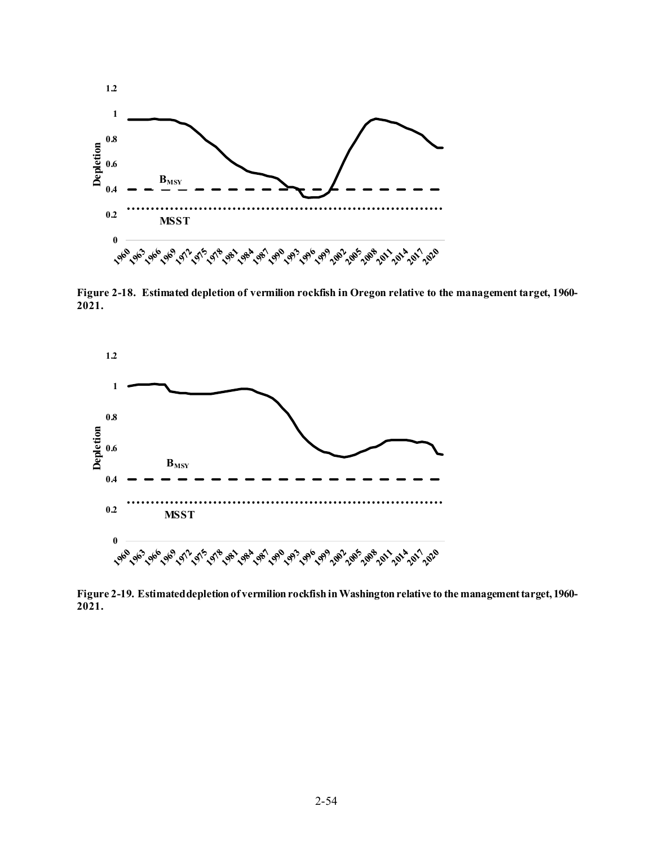

<span id="page-53-0"></span>**Figure 2-18. Estimated depletion of vermilion rockfish in Oregon relative to the management target, 1960- 2021.**



<span id="page-53-1"></span>**Figure 2-19. Estimated depletion of vermilion rockfish in Washington relative to the management target, 1960- 2021.**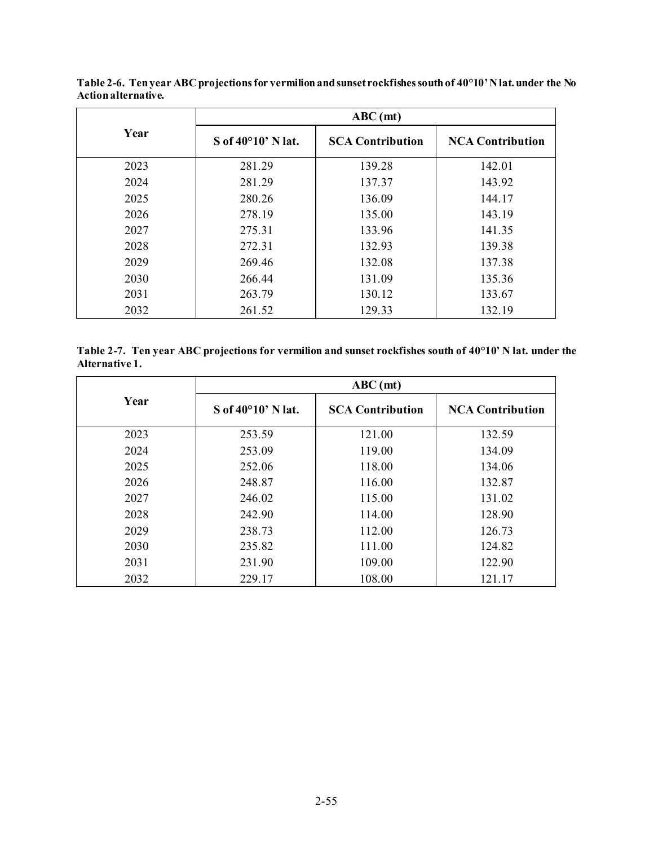|      | $ABC$ (mt)                     |                         |                         |  |  |  |  |  |
|------|--------------------------------|-------------------------|-------------------------|--|--|--|--|--|
| Year | $S$ of 40 $^{\circ}10'$ N lat. | <b>SCA Contribution</b> | <b>NCA Contribution</b> |  |  |  |  |  |
| 2023 | 281.29                         | 139.28                  | 142.01                  |  |  |  |  |  |
| 2024 | 281.29                         | 137.37                  | 143.92                  |  |  |  |  |  |
| 2025 | 280.26                         | 136.09                  | 144.17                  |  |  |  |  |  |
| 2026 | 278.19                         | 135.00                  | 143.19                  |  |  |  |  |  |
| 2027 | 275.31                         | 133.96                  | 141.35                  |  |  |  |  |  |
| 2028 | 272.31                         | 132.93                  | 139.38                  |  |  |  |  |  |
| 2029 | 269.46                         | 132.08                  | 137.38                  |  |  |  |  |  |
| 2030 | 266.44                         | 131.09                  | 135.36                  |  |  |  |  |  |
| 2031 | 263.79                         | 130.12                  | 133.67                  |  |  |  |  |  |
| 2032 | 261.52                         | 129.33                  | 132.19                  |  |  |  |  |  |

<span id="page-54-0"></span>**Table 2-6. Ten year ABC projections for vermilion and sunset rockfishes south of 40°10' N lat. under the No Action alternative.**

<span id="page-54-1"></span>**Table 2-7. Ten year ABC projections for vermilion and sunset rockfishes south of 40°10' N lat. under the Alternative 1.**

|      | $ABC$ (mt)                  |                         |                         |  |  |  |  |  |
|------|-----------------------------|-------------------------|-------------------------|--|--|--|--|--|
| Year | S of $40^{\circ}10'$ N lat. | <b>SCA Contribution</b> | <b>NCA Contribution</b> |  |  |  |  |  |
| 2023 | 253.59                      | 121.00                  | 132.59                  |  |  |  |  |  |
| 2024 | 253.09                      | 119.00                  | 134.09                  |  |  |  |  |  |
| 2025 | 252.06                      | 118.00                  | 134.06                  |  |  |  |  |  |
| 2026 | 248.87                      | 116.00                  | 132.87                  |  |  |  |  |  |
| 2027 | 246.02                      | 115.00                  | 131.02                  |  |  |  |  |  |
| 2028 | 242.90                      | 114.00                  | 128.90                  |  |  |  |  |  |
| 2029 | 238.73                      | 112.00                  | 126.73                  |  |  |  |  |  |
| 2030 | 235.82                      | 111.00                  | 124.82                  |  |  |  |  |  |
| 2031 | 231.90                      | 109.00                  | 122.90                  |  |  |  |  |  |
| 2032 | 229.17                      | 108.00                  | 121.17                  |  |  |  |  |  |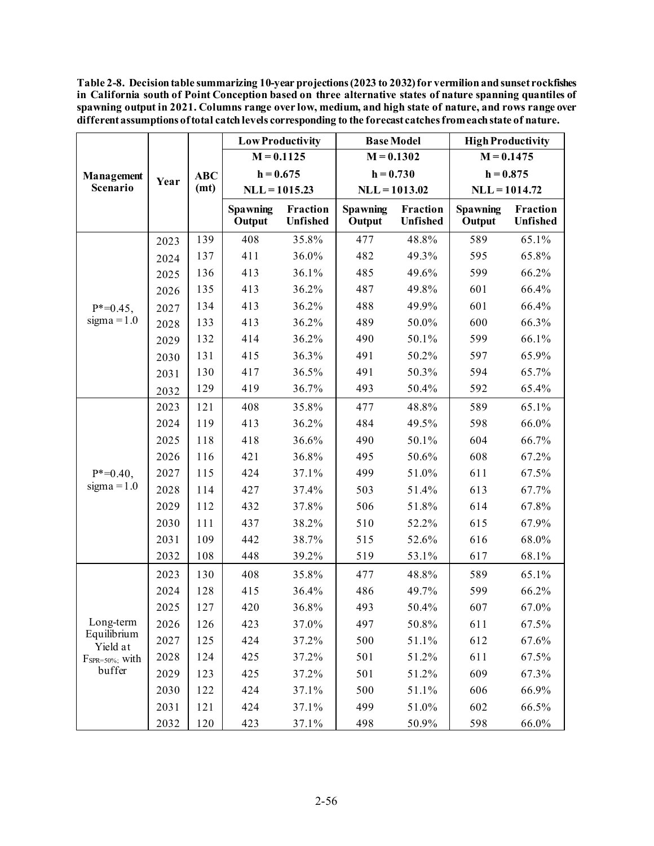<span id="page-55-0"></span>**Table 2-8. Decision table summarizing 10-year projections (2023 to 2032) for vermilion and sunset rockfishes in California south of Point Conception based on three alternative states of nature spanning quantiles of spawning output in 2021. Columns range over low, medium, and high state of nature, and rows range over different assumptions of total catch levels corresponding to the forecast catches from each state of nature.**

|                                 |      |            |                           | <b>Low Productivity</b> | <b>Base Model</b>         |                      | <b>High Productivity</b>  |                      |  |
|---------------------------------|------|------------|---------------------------|-------------------------|---------------------------|----------------------|---------------------------|----------------------|--|
|                                 |      |            | $M = 0.1125$              |                         | $M = 0.1302$              |                      | $M = 0.1475$              |                      |  |
| Management                      |      | <b>ABC</b> | $h = 0.675$               |                         | $h = 0.730$               |                      | $h = 0.875$               |                      |  |
| Scenario                        | Year | (mt)       | $NLL = 1015.23$           |                         | $NLL = 1013.02$           |                      | $NLL = 1014.72$           |                      |  |
|                                 |      |            | <b>Spawning</b><br>Output | Fraction<br>Unfished    | <b>Spawning</b><br>Output | Fraction<br>Unfished | <b>Spawning</b><br>Output | Fraction<br>Unfished |  |
|                                 | 2023 | 139        | 408                       | 35.8%                   | 477                       | 48.8%                | 589                       | 65.1%                |  |
|                                 | 2024 | 137        | 411                       | 36.0%                   | 482                       | 49.3%                | 595                       | 65.8%                |  |
|                                 | 2025 | 136        | 413                       | 36.1%                   | 485                       | 49.6%                | 599                       | 66.2%                |  |
| $P^* = 0.45$ ,<br>$sigma = 1.0$ | 2026 | 135        | 413                       | 36.2%                   | 487                       | 49.8%                | 601                       | 66.4%                |  |
|                                 | 2027 | 134        | 413                       | 36.2%                   | 488                       | 49.9%                | 601                       | 66.4%                |  |
|                                 | 2028 | 133        | 413                       | 36.2%                   | 489                       | 50.0%                | 600                       | 66.3%                |  |
|                                 | 2029 | 132        | 414                       | 36.2%                   | 490                       | 50.1%                | 599                       | 66.1%                |  |
|                                 | 2030 | 131        | 415                       | 36.3%                   | 491                       | 50.2%                | 597                       | 65.9%                |  |
|                                 | 2031 | 130        | 417                       | 36.5%                   | 491                       | 50.3%                | 594                       | 65.7%                |  |
|                                 | 2032 | 129        | 419                       | 36.7%                   | 493                       | 50.4%                | 592                       | 65.4%                |  |
|                                 | 2023 | 121        | 408                       | 35.8%                   | 477                       | 48.8%                | 589                       | 65.1%                |  |
|                                 | 2024 | 119        | 413                       | 36.2%                   | 484                       | 49.5%                | 598                       | 66.0%                |  |
|                                 | 2025 | 118        | 418                       | 36.6%                   | 490                       | $50.1\%$             | 604                       | 66.7%                |  |
|                                 | 2026 | 116        | 421                       | 36.8%                   | 495                       | 50.6%                | 608                       | 67.2%                |  |
| $P^* = 0.40$ ,                  | 2027 | 115        | 424                       | 37.1%                   | 499                       | 51.0%                | 611                       | 67.5%                |  |
| $sigma = 1.0$                   | 2028 | 114        | 427                       | 37.4%                   | 503                       | 51.4%                | 613                       | 67.7%                |  |
|                                 | 2029 | 112        | 432                       | 37.8%                   | 506                       | 51.8%                | 614                       | 67.8%                |  |
|                                 | 2030 | 111        | 437                       | 38.2%                   | 510                       | 52.2%                | 615                       | 67.9%                |  |
|                                 | 2031 | 109        | 442                       | 38.7%                   | 515                       | 52.6%                | 616                       | 68.0%                |  |
|                                 | 2032 | 108        | 448                       | 39.2%                   | 519                       | 53.1%                | 617                       | 68.1%                |  |
|                                 | 2023 | 130        | 408                       | 35.8%                   | 477                       | 48.8%                | 589                       | 65.1%                |  |
|                                 | 2024 | 128        | 415                       | 36.4%                   | 486                       | 49.7%                | 599                       | 66.2%                |  |
|                                 | 2025 | 127        | 420                       | 36.8%                   | 493                       | 50.4%                | 607                       | 67.0%                |  |
| Long-term                       | 2026 | 126        | 423                       | 37.0%                   | 497                       | 50.8%                | 611                       | 67.5%                |  |
| Equilibrium<br>Yield at         | 2027 | 125        | 424                       | 37.2%                   | 500                       | 51.1%                | 612                       | 67.6%                |  |
| $F_{SPR=50\%}$ ; with           | 2028 | 124        | 425                       | 37.2%                   | 501                       | 51.2%                | 611                       | 67.5%                |  |
| buffer                          | 2029 | 123        | 425                       | 37.2%                   | 501                       | 51.2%                | 609                       | 67.3%                |  |
|                                 | 2030 | 122        | 424                       | 37.1%                   | 500                       | 51.1%                | 606                       | 66.9%                |  |
|                                 | 2031 | 121        | 424                       | 37.1%                   | 499                       | 51.0%                | 602                       | 66.5%                |  |
|                                 | 2032 | 120        | 423                       | 37.1%                   | 498                       | 50.9%                | 598                       | 66.0%                |  |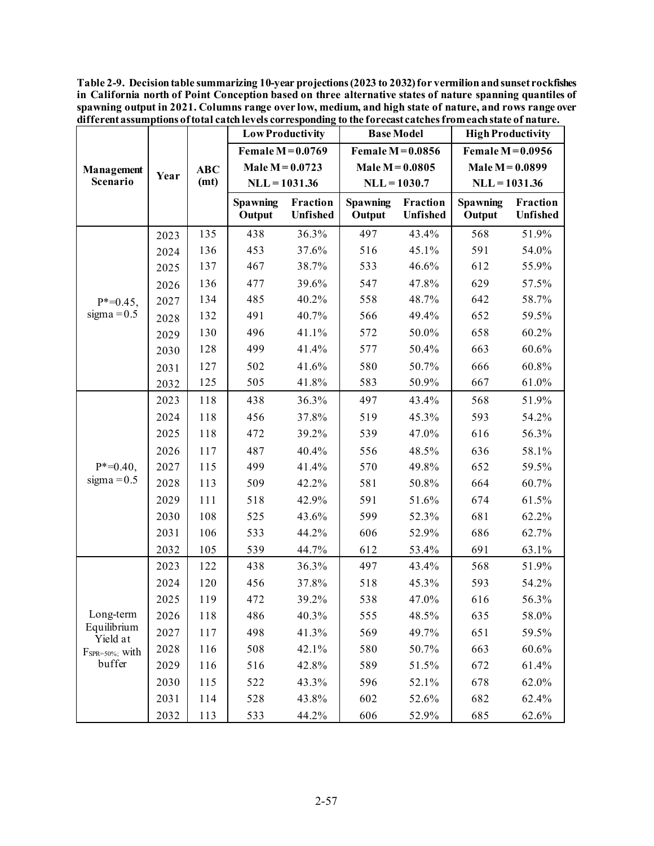<span id="page-56-0"></span>**Table 2-9. Decision table summarizing 10-year projections (2023 to 2032) for vermilion and sunset rockfishes in California north of Point Conception based on three alternative states of nature spanning quantiles of spawning output in 2021. Columns range over low, medium, and high state of nature, and rows range over different assumptions of total catch levels corresponding to the forecast catches from each state of nature.**

|                         |      |            | <b>Low Productivity</b>   |                      |                           | <b>Base Model</b>    | <b>High Productivity</b>  |                      |  |
|-------------------------|------|------------|---------------------------|----------------------|---------------------------|----------------------|---------------------------|----------------------|--|
|                         |      |            |                           | Female $M = 0.0769$  |                           | Female $M=0.0856$    | Female $M = 0.0956$       |                      |  |
| Management              |      | <b>ABC</b> | Male $M = 0.0723$         |                      |                           | Male $M = 0.0805$    | Male $M = 0.0899$         |                      |  |
| Scenario                | Year | (mt)       | $NLL = 1031.36$           |                      |                           | $NLL = 1030.7$       | $NLL = 1031.36$           |                      |  |
|                         |      |            | <b>Spawning</b><br>Output | Fraction<br>Unfished | <b>Spawning</b><br>Output | Fraction<br>Unfished | <b>Spawning</b><br>Output | Fraction<br>Unfished |  |
|                         | 2023 | 135        | 438                       | 36.3%                | 497                       | 43.4%                | 568                       | 51.9%                |  |
|                         | 2024 | 136        | 453                       | 37.6%                | 516                       | 45.1%                | 591                       | 54.0%                |  |
|                         | 2025 | 137        | 467                       | 38.7%                | 533                       | 46.6%                | 612                       | 55.9%                |  |
|                         | 2026 | 136        | 477                       | 39.6%                | 547                       | 47.8%                | 629                       | 57.5%                |  |
| $P^* = 0.45$ ,          | 2027 | 134        | 485                       | 40.2%                | 558                       | 48.7%                | 642                       | 58.7%                |  |
| sigma = $0.5$           | 2028 | 132        | 491                       | 40.7%                | 566                       | 49.4%                | 652                       | 59.5%                |  |
|                         | 2029 | 130        | 496                       | 41.1%                | 572                       | 50.0%                | 658                       | 60.2%                |  |
|                         | 2030 | 128        | 499                       | 41.4%                | 577                       | 50.4%                | 663                       | 60.6%                |  |
|                         | 2031 | 127        | 502                       | 41.6%                | 580                       | 50.7%                | 666                       | 60.8%                |  |
|                         | 2032 | 125        | 505                       | 41.8%                | 583                       | 50.9%                | 667                       | 61.0%                |  |
|                         | 2023 | 118        | 438                       | 36.3%                | 497                       | 43.4%                | 568                       | 51.9%                |  |
|                         | 2024 | 118        | 456                       | 37.8%                | 519                       | 45.3%                | 593                       | 54.2%                |  |
|                         | 2025 | 118        | 472                       | 39.2%                | 539                       | 47.0%                | 616                       | 56.3%                |  |
|                         | 2026 | 117        | 487                       | 40.4%                | 556                       | 48.5%                | 636                       | 58.1%                |  |
| $P^* = 0.40$ ,          | 2027 | 115        | 499                       | 41.4%                | 570                       | 49.8%                | 652                       | 59.5%                |  |
| sigma = $0.5$           | 2028 | 113        | 509                       | 42.2%                | 581                       | 50.8%                | 664                       | 60.7%                |  |
|                         | 2029 | 111        | 518                       | 42.9%                | 591                       | 51.6%                | 674                       | 61.5%                |  |
|                         | 2030 | 108        | 525                       | 43.6%                | 599                       | 52.3%                | 681                       | 62.2%                |  |
|                         | 2031 | 106        | 533                       | 44.2%                | 606                       | 52.9%                | 686                       | 62.7%                |  |
|                         | 2032 | 105        | 539                       | 44.7%                | 612                       | 53.4%                | 691                       | 63.1%                |  |
|                         | 2023 | 122        | 438                       | 36.3%                | 497                       | 43.4%                | 568                       | 51.9%                |  |
|                         | 2024 | 120        | 456                       | 37.8%                | 518                       | 45.3%                | 593                       | 54.2%                |  |
|                         | 2025 | 119        | 472                       | 39.2%                | 538                       | 47.0%                | 616                       | 56.3%                |  |
| Long-term               | 2026 | 118        | 486                       | 40.3%                | 555                       | 48.5%                | 635                       | 58.0%                |  |
| Equilibrium<br>Yield at | 2027 | 117        | 498                       | 41.3%                | 569                       | 49.7%                | 651                       | 59.5%                |  |
| $F_{SPR=50\%}$ ; with   | 2028 | 116        | 508                       | 42.1%                | 580                       | 50.7%                | 663                       | 60.6%                |  |
| buffer                  | 2029 | 116        | 516                       | 42.8%                | 589                       | 51.5%                | 672                       | 61.4%                |  |
|                         | 2030 | 115        | 522                       | 43.3%                | 596                       | 52.1%                | 678                       | 62.0%                |  |
|                         | 2031 | 114        | 528                       | 43.8%                | 602                       | 52.6%                | 682                       | 62.4%                |  |
|                         | 2032 | 113        | 533                       | 44.2%                | 606                       | 52.9%                | 685                       | 62.6%                |  |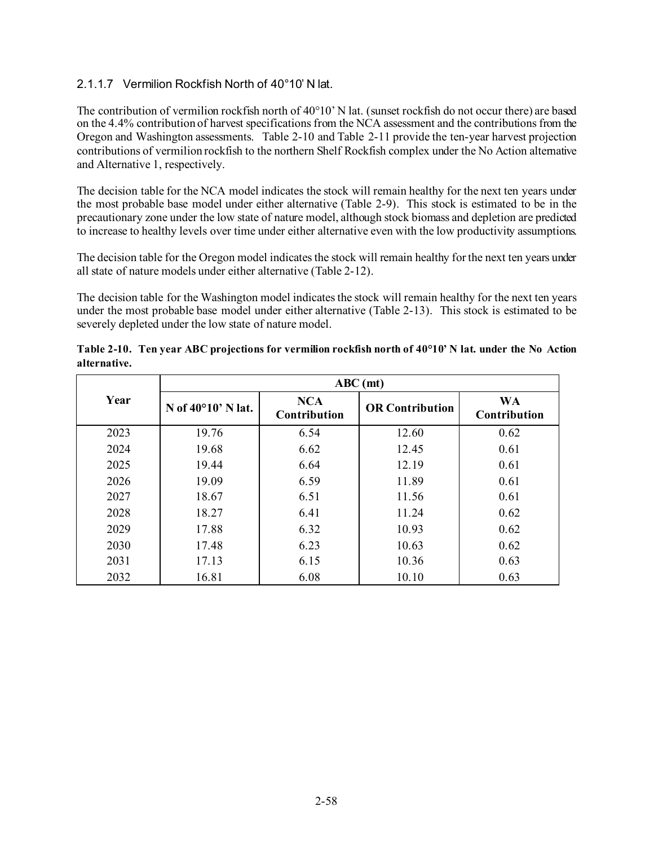### 2.1.1.7 Vermilion Rockfish North of 40°10' N lat.

The contribution of vermilion rockfish north of 40°10' N lat. (sunset rockfish do not occur there) are based on the 4.4% contribution of harvest specifications from the NCA assessment and the contributions from the Oregon and Washington assessments. [Table 2-10](#page-57-0) and [Table 2-11](#page-58-0) provide the ten-year harvest projection contributions of vermilion rockfish to the northern Shelf Rockfish complex under the No Action alternative and Alternative 1, respectively.

The decision table for the NCA model indicates the stock will remain healthy for the next ten years under the most probable base model under either alternative [\(Table 2-9\)](#page-56-0). This stock is estimated to be in the precautionary zone under the low state of nature model, although stock biomass and depletion are predicted to increase to healthy levels over time under either alternative even with the low productivity assumptions.

The decision table for the Oregon model indicates the stock will remain healthy for the next ten years under all state of nature models under either alternative [\(Table 2-12\)](#page-59-0).

The decision table for the Washington model indicates the stock will remain healthy for the next ten years under the most probable base model under either alternative [\(Table 2-13\)](#page-60-0). This stock is estimated to be severely depleted under the low state of nature model.

|      | $ABC$ (mt)                  |                                   |                        |                           |  |  |  |
|------|-----------------------------|-----------------------------------|------------------------|---------------------------|--|--|--|
| Year | N of $40^{\circ}10'$ N lat. | <b>NCA</b><br><b>Contribution</b> | <b>OR Contribution</b> | <b>WA</b><br>Contribution |  |  |  |
| 2023 | 19.76                       | 6.54                              | 12.60                  | 0.62                      |  |  |  |
| 2024 | 19.68                       | 6.62                              | 12.45                  | 0.61                      |  |  |  |
| 2025 | 19.44                       | 6.64                              | 12.19                  | 0.61                      |  |  |  |
| 2026 | 19.09                       | 6.59                              | 11.89                  | 0.61                      |  |  |  |
| 2027 | 18.67                       | 6.51                              | 11.56                  | 0.61                      |  |  |  |
| 2028 | 18.27                       | 6.41                              | 11.24                  | 0.62                      |  |  |  |
| 2029 | 17.88                       | 6.32                              | 10.93                  | 0.62                      |  |  |  |
| 2030 | 17.48                       | 6.23                              | 10.63                  | 0.62                      |  |  |  |
| 2031 | 17.13                       | 6.15                              | 10.36                  | 0.63                      |  |  |  |
| 2032 | 16.81                       | 6.08                              | 10.10                  | 0.63                      |  |  |  |

<span id="page-57-0"></span>**Table 2-10. Ten year ABC projections for vermilion rockfish north of 40°10' N lat. under the No Action alternative.**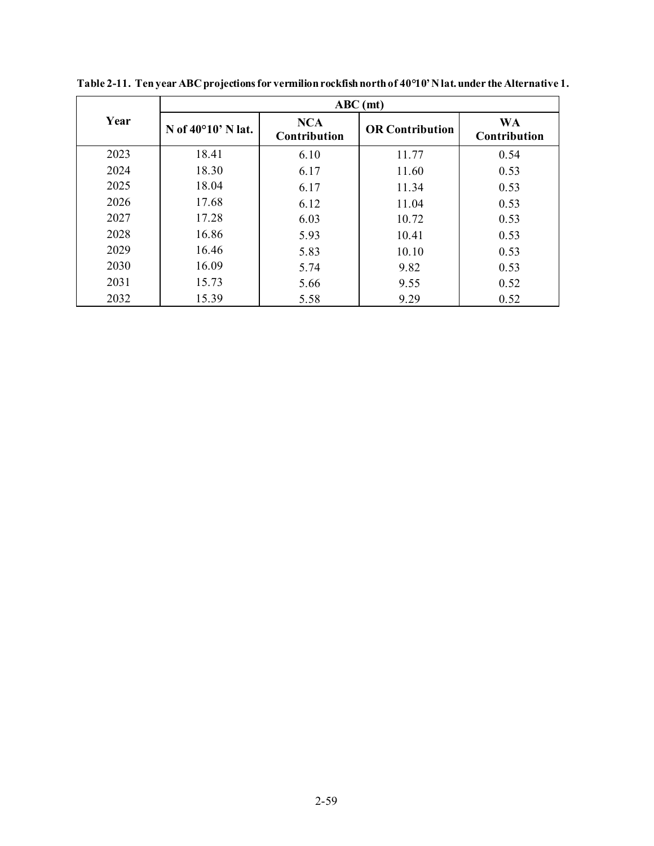|      | $ABC$ (mt)                  |                                   |                        |                           |  |  |
|------|-----------------------------|-----------------------------------|------------------------|---------------------------|--|--|
| Year | N of $40^{\circ}10'$ N lat. | <b>NCA</b><br><b>Contribution</b> | <b>OR Contribution</b> | <b>WA</b><br>Contribution |  |  |
| 2023 | 18.41                       | 6.10                              | 11.77                  | 0.54                      |  |  |
| 2024 | 18.30                       | 6.17                              | 11.60                  | 0.53                      |  |  |
| 2025 | 18.04                       | 6.17                              | 11.34                  | 0.53                      |  |  |
| 2026 | 17.68                       | 6.12                              | 11.04                  | 0.53                      |  |  |
| 2027 | 17.28                       | 6.03                              | 10.72                  | 0.53                      |  |  |
| 2028 | 16.86                       | 5.93                              | 10.41                  | 0.53                      |  |  |
| 2029 | 16.46                       | 5.83                              | 10.10                  | 0.53                      |  |  |
| 2030 | 16.09                       | 5.74                              | 9.82                   | 0.53                      |  |  |
| 2031 | 15.73                       | 5.66                              | 9.55                   | 0.52                      |  |  |
| 2032 | 15.39                       | 5.58                              | 9.29                   | 0.52                      |  |  |

<span id="page-58-0"></span>**Table 2-11. Ten year ABC projections for vermilion rockfish north of 40°10' N lat. under the Alternative 1.**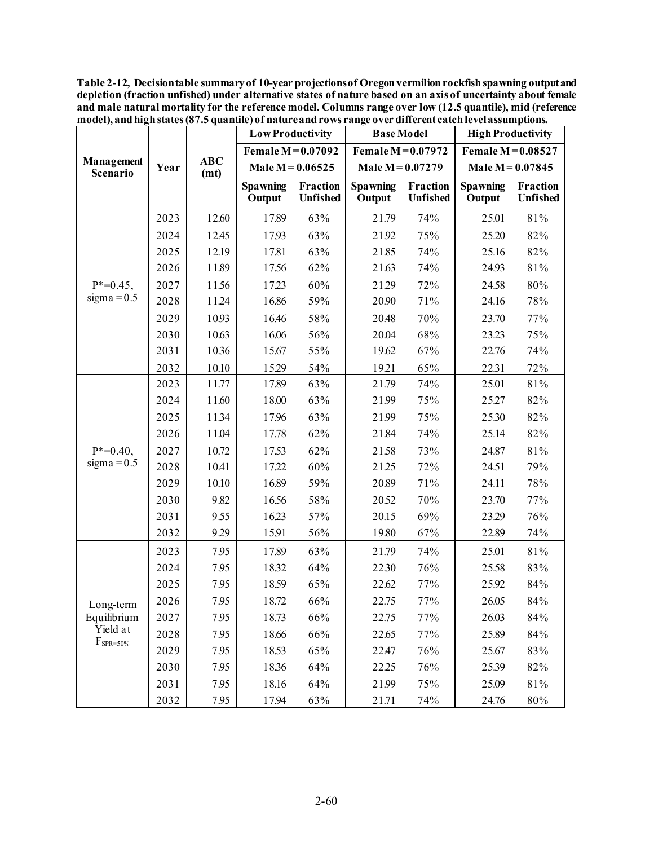<span id="page-59-0"></span>**Table 2-12, Decision table summary of 10-year projections of Oregon vermilion rockfish spawning output and depletion (fraction unfished) under alternative states of nature based on an axis of uncertainty about female and male natural mortality for the reference model. Columns range over low (12.5 quantile), mid (reference model), and high states (87.5 quantile) of nature and rows range over different catch level assumptions.** 

|                                                        | Year | <b>ABC</b><br>(mt) | <b>Low Productivity</b>   |                             | <b>Base Model</b>         |                             | <b>High Productivity</b>  |                             |
|--------------------------------------------------------|------|--------------------|---------------------------|-----------------------------|---------------------------|-----------------------------|---------------------------|-----------------------------|
|                                                        |      |                    | Female M = 0.07092        |                             | Female $M=0.07972$        |                             | Female $M=0.08527$        |                             |
| Management<br>Scenario                                 |      |                    | Male $M = 0.06525$        |                             | Male $M = 0.07279$        |                             | Male $M = 0.07845$        |                             |
|                                                        |      |                    | <b>Spawning</b><br>Output | Fraction<br><b>Unfished</b> | <b>Spawning</b><br>Output | Fraction<br><b>Unfished</b> | <b>Spawning</b><br>Output | Fraction<br><b>Unfished</b> |
|                                                        | 2023 | 12.60              | 17.89                     | 63%                         | 21.79                     | 74%                         | 25.01                     | 81%                         |
|                                                        | 2024 | 12.45              | 17.93                     | 63%                         | 21.92                     | 75%                         | 25.20                     | 82%                         |
|                                                        | 2025 | 12.19              | 17.81                     | 63%                         | 21.85                     | 74%                         | 25.16                     | 82%                         |
|                                                        | 2026 | 11.89              | 17.56                     | 62%                         | 21.63                     | 74%                         | 24.93                     | 81%                         |
| $P^* = 0.45$ ,                                         | 2027 | 11.56              | 17.23                     | 60%                         | 21.29                     | 72%                         | 24.58                     | 80%                         |
| sigma = $0.5$                                          | 2028 | 1124               | 16.86                     | 59%                         | 20.90                     | 71%                         | 24.16                     | 78%                         |
|                                                        | 2029 | 10.93              | 16.46                     | 58%                         | 20.48                     | 70%                         | 23.70                     | 77%                         |
|                                                        | 2030 | 10.63              | 16.06                     | 56%                         | 20.04                     | 68%                         | 23.23                     | 75%                         |
|                                                        | 2031 | 1036               | 15.67                     | 55%                         | 19.62                     | 67%                         | 22.76                     | 74%                         |
|                                                        | 2032 | 10.10              | 15.29                     | 54%                         | 19.21                     | 65%                         | 22.31                     | 72%                         |
|                                                        | 2023 | 11.77              | 17.89                     | 63%                         | 21.79                     | 74%                         | 25.01                     | 81%                         |
|                                                        | 2024 | 11.60              | 18.00                     | 63%                         | 21.99                     | 75%                         | 25.27                     | 82%                         |
|                                                        | 2025 | 1134               | 17.96                     | 63%                         | 21.99                     | 75%                         | 25.30                     | 82%                         |
|                                                        | 2026 | 11.04              | 17.78                     | 62%                         | 21.84                     | 74%                         | 25.14                     | 82%                         |
| $P^* = 0.40$ ,                                         | 2027 | 10.72              | 17.53                     | 62%                         | 21.58                     | 73%                         | 24.87                     | 81%                         |
| sigma = $0.5$                                          | 2028 | 10.41              | 17.22                     | 60%                         | 21.25                     | 72%                         | 24.51                     | 79%                         |
|                                                        | 2029 | 10.10              | 16.89                     | 59%                         | 20.89                     | 71%                         | 24.11                     | 78%                         |
|                                                        | 2030 | 9.82               | 16.56                     | 58%                         | 20.52                     | 70%                         | 23.70                     | 77%                         |
|                                                        | 2031 | 9.55               | 16.23                     | 57%                         | 20.15                     | 69%                         | 23.29                     | 76%                         |
|                                                        | 2032 | 929                | 15.91                     | 56%                         | 19.80                     | 67%                         | 22.89                     | 74%                         |
| Long-term<br>Equilibrium<br>Yield at<br>$F_{SPR=50\%}$ | 2023 | 7.95               | 17.89                     | 63%                         | 21.79                     | 74%                         | 25.01                     | 81%                         |
|                                                        | 2024 | 7.95               | 18.32                     | 64%                         | 22.30                     | 76%                         | 25.58                     | 83%                         |
|                                                        | 2025 | 7.95               | 18.59                     | 65%                         | 22.62                     | 77%                         | 25.92                     | 84%                         |
|                                                        | 2026 | 7.95               | 18.72                     | 66%                         | 22.75                     | 77%                         | 26.05                     | 84%                         |
|                                                        | 2027 | 7.95               | 18.73                     | 66%                         | 22.75                     | 77%                         | 26.03                     | 84%                         |
|                                                        | 2028 | 7.95               | 18.66                     | 66%                         | 22.65                     | 77%                         | 25.89                     | 84%                         |
|                                                        | 2029 | 7.95               | 18.53                     | 65%                         | 22.47                     | 76%                         | 25.67                     | 83%                         |
|                                                        | 2030 | 7.95               | 18.36                     | 64%                         | 22.25                     | 76%                         | 2539                      | 82%                         |
|                                                        | 2031 | 7.95               | 18.16                     | 64%                         | 21.99                     | 75%                         | 25.09                     | 81%                         |
|                                                        | 2032 | 7.95               | 17.94                     | 63%                         | 21.71                     | 74%                         | 24.76                     | 80%                         |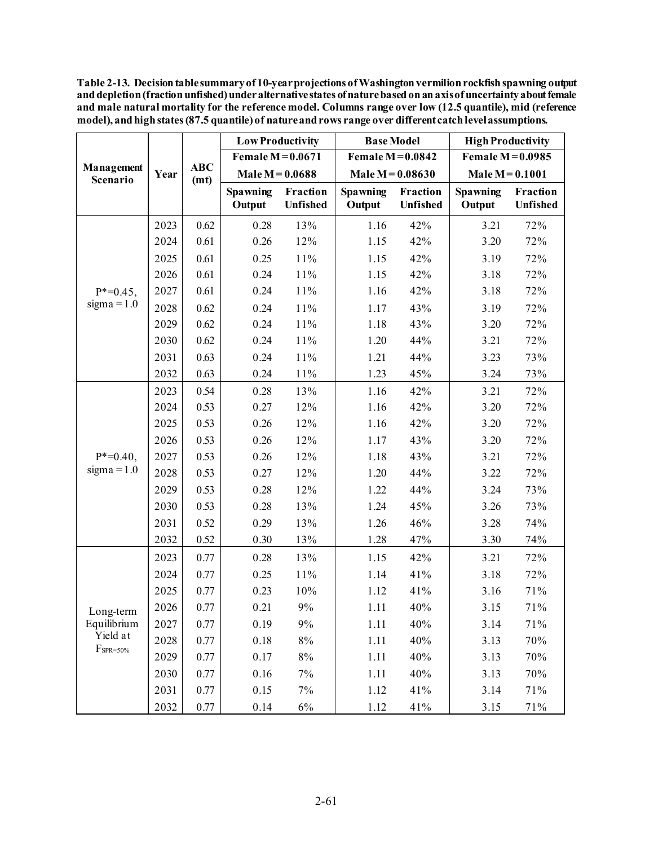<span id="page-60-0"></span>**Table 2-13. Decision table summary of 10-year projections of Washington vermilion rockfish spawning output and depletion (fraction unfished) underalternative states of nature based on an axis of uncertainty about female and male natural mortality for the reference model. Columns range over low (12.5 quantile), mid (reference model), and high states (87.5 quantile) of natureand rows range over different catch level assumptions.**

|                                                        | Year | <b>ABC</b><br>(mt) | <b>Low Productivity</b> |                      | <b>Base Model</b>  |                      | <b>High Productivity</b> |                      |
|--------------------------------------------------------|------|--------------------|-------------------------|----------------------|--------------------|----------------------|--------------------------|----------------------|
| Management<br>Scenario                                 |      |                    | Female $M = 0.0671$     |                      | Female $M=0.0842$  |                      | Female $M=0.0985$        |                      |
|                                                        |      |                    | Male $M = 0.0688$       |                      | Male $M = 0.08630$ |                      | Male $M = 0.1001$        |                      |
|                                                        |      |                    | Spawning<br>Output      | Fraction<br>Unfished | Spawning<br>Output | Fraction<br>Unfished | Spawning<br>Output       | Fraction<br>Unfished |
|                                                        | 2023 | 0.62               | 0.28                    | 13%                  | 1.16               | 42%                  | 3.21                     | 72%                  |
|                                                        | 2024 | 0.61               | 0.26                    | 12%                  | 1.15               | 42%                  | 3.20                     | 72%                  |
|                                                        | 2025 | 0.61               | 0.25                    | $11\%$               | 1.15               | 42%                  | 3.19                     | 72%                  |
|                                                        | 2026 | 0.61               | 0.24                    | $11\%$               | 1.15               | 42%                  | 3.18                     | 72%                  |
| $P^* = 0.45$ ,                                         | 2027 | 0.61               | 0.24                    | 11%                  | 1.16               | 42%                  | 3.18                     | 72%                  |
| $sigma = 1.0$                                          | 2028 | 0.62               | 0.24                    | $11\%$               | 1.17               | 43%                  | 3.19                     | 72%                  |
|                                                        | 2029 | 0.62               | 0.24                    | $11\%$               | 1.18               | 43%                  | 3.20                     | 72%                  |
|                                                        | 2030 | 0.62               | 0.24                    | 11%                  | 1.20               | 44%                  | 3.21                     | 72%                  |
|                                                        | 2031 | 0.63               | 0.24                    | 11%                  | 1.21               | 44%                  | 3.23                     | 73%                  |
|                                                        | 2032 | 0.63               | 0.24                    | 11%                  | 1.23               | 45%                  | 3.24                     | 73%                  |
|                                                        | 2023 | 0.54               | 0.28                    | 13%                  | 1.16               | 42%                  | 3.21                     | 72%                  |
|                                                        | 2024 | 0.53               | 0.27                    | 12%                  | 1.16               | 42%                  | 3.20                     | 72%                  |
|                                                        | 2025 | 0.53               | 0.26                    | 12%                  | 1.16               | 42%                  | 3.20                     | 72%                  |
|                                                        | 2026 | 0.53               | 0.26                    | 12%                  | 1.17               | 43%                  | 3.20                     | 72%                  |
| $P^* = 0.40$ ,                                         | 2027 | 0.53               | 0.26                    | 12%                  | 1.18               | 43%                  | 3.21                     | 72%                  |
| $sigma = 1.0$                                          | 2028 | 0.53               | 0.27                    | 12%                  | 1.20               | 44%                  | 3.22                     | 72%                  |
|                                                        | 2029 | 0.53               | 0.28                    | 12%                  | 1.22               | 44%                  | 3.24                     | 73%                  |
|                                                        | 2030 | 0.53               | 0.28                    | 13%                  | 1.24               | 45%                  | 3.26                     | 73%                  |
|                                                        | 2031 | 0.52               | 0.29                    | 13%                  | 1.26               | 46%                  | 3.28                     | 74%                  |
|                                                        | 2032 | 0.52               | 0.30                    | 13%                  | 1.28               | 47%                  | 3.30                     | 74%                  |
|                                                        | 2023 | 0.77               | 0.28                    | 13%                  | 1.15               | 42%                  | 3.21                     | 72%                  |
| Long-term<br>Equilibrium<br>Yield at<br>$F_{SPR=50\%}$ | 2024 | 0.77               | 0.25                    | $11\%$               | 1.14               | 41%                  | 3.18                     | 72%                  |
|                                                        | 2025 | 0.77               | 0.23                    | $10%$                | 1.12               | 41%                  | 3.16                     | 71%                  |
|                                                        | 2026 | 0.77               | 0.21                    | $9\%$                | 1.11               | 40%                  | 3.15                     | 71%                  |
|                                                        | 2027 | 0.77               | 0.19                    | 9%                   | 1.11               | 40%                  | 3.14                     | $71\%$               |
|                                                        | 2028 | 0.77               | 0.18                    | $8\%$                | 1.11               | 40%                  | 3.13                     | 70%                  |
|                                                        | 2029 | 0.77               | 0.17                    | $8\%$                | 1.11               | 40%                  | 3.13                     | $70\%$               |
|                                                        | 2030 | 0.77               | 0.16                    | $7\%$                | 1.11               | 40%                  | 3.13                     | $70\%$               |
|                                                        | 2031 | 0.77               | 0.15                    | 7%                   | 1.12               | 41%                  | 3.14                     | $71\%$               |
|                                                        | 2032 | 0.77               | 0.14                    | $6\%$                | 1.12               | 41%                  | 3.15                     | $71\%$               |